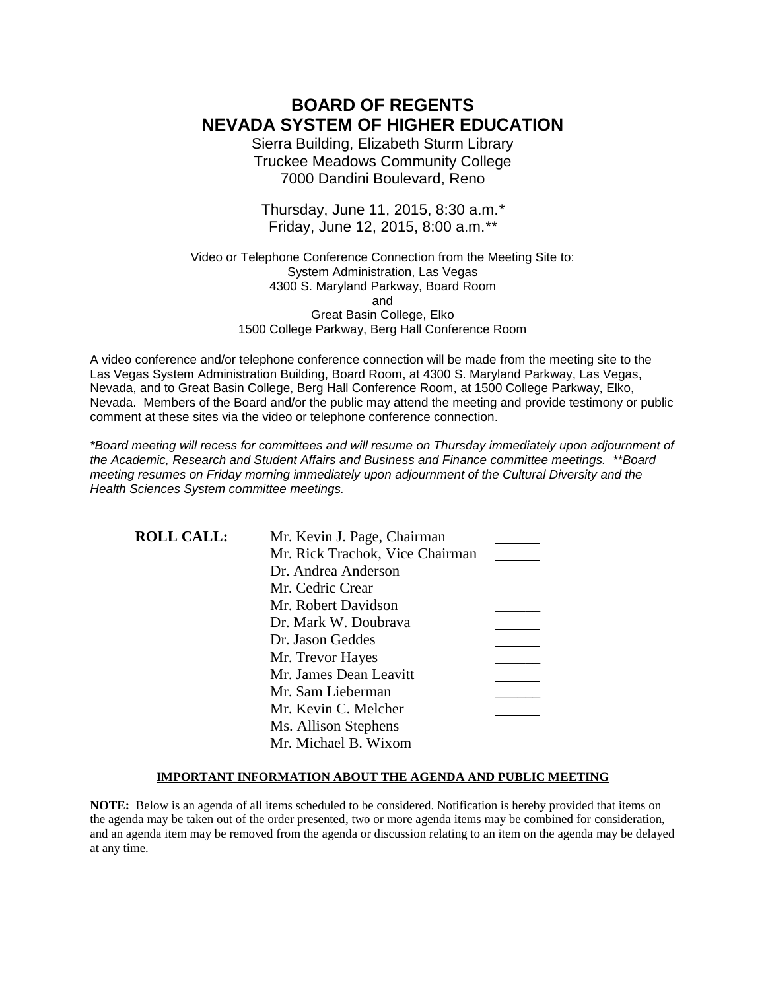# **BOARD OF REGENTS NEVADA SYSTEM OF HIGHER EDUCATION**

Sierra Building, Elizabeth Sturm Library Truckee Meadows Community College 7000 Dandini Boulevard, Reno

Thursday, June 11, 2015, 8:30 a.m.*\** Friday, June 12, 2015, 8:00 a.m.*\*\**

Video or Telephone Conference Connection from the Meeting Site to: System Administration, Las Vegas 4300 S. Maryland Parkway, Board Room and Great Basin College, Elko 1500 College Parkway, Berg Hall Conference Room

A video conference and/or telephone conference connection will be made from the meeting site to the Las Vegas System Administration Building, Board Room, at 4300 S. Maryland Parkway, Las Vegas, Nevada, and to Great Basin College, Berg Hall Conference Room, at 1500 College Parkway, Elko, Nevada. Members of the Board and/or the public may attend the meeting and provide testimony or public comment at these sites via the video or telephone conference connection.

*\*Board meeting will recess for committees and will resume on Thursday immediately upon adjournment of the Academic, Research and Student Affairs and Business and Finance committee meetings. \*\*Board meeting resumes on Friday morning immediately upon adjournment of the Cultural Diversity and the Health Sciences System committee meetings.*

| <b>ROLL CALL:</b> | Mr. Kevin J. Page, Chairman     |  |
|-------------------|---------------------------------|--|
|                   | Mr. Rick Trachok, Vice Chairman |  |
|                   | Dr. Andrea Anderson             |  |
|                   | Mr. Cedric Crear                |  |
|                   | Mr. Robert Davidson             |  |
|                   | Dr. Mark W. Doubrava            |  |
|                   | Dr. Jason Geddes                |  |
|                   | Mr. Trevor Hayes                |  |
|                   | Mr. James Dean Leavitt          |  |
|                   | Mr. Sam Lieberman               |  |
|                   | Mr. Kevin C. Melcher            |  |
|                   | Ms. Allison Stephens            |  |
|                   | Mr. Michael B. Wixom            |  |

### **IMPORTANT INFORMATION ABOUT THE AGENDA AND PUBLIC MEETING**

**NOTE:** Below is an agenda of all items scheduled to be considered. Notification is hereby provided that items on the agenda may be taken out of the order presented, two or more agenda items may be combined for consideration, and an agenda item may be removed from the agenda or discussion relating to an item on the agenda may be delayed at any time.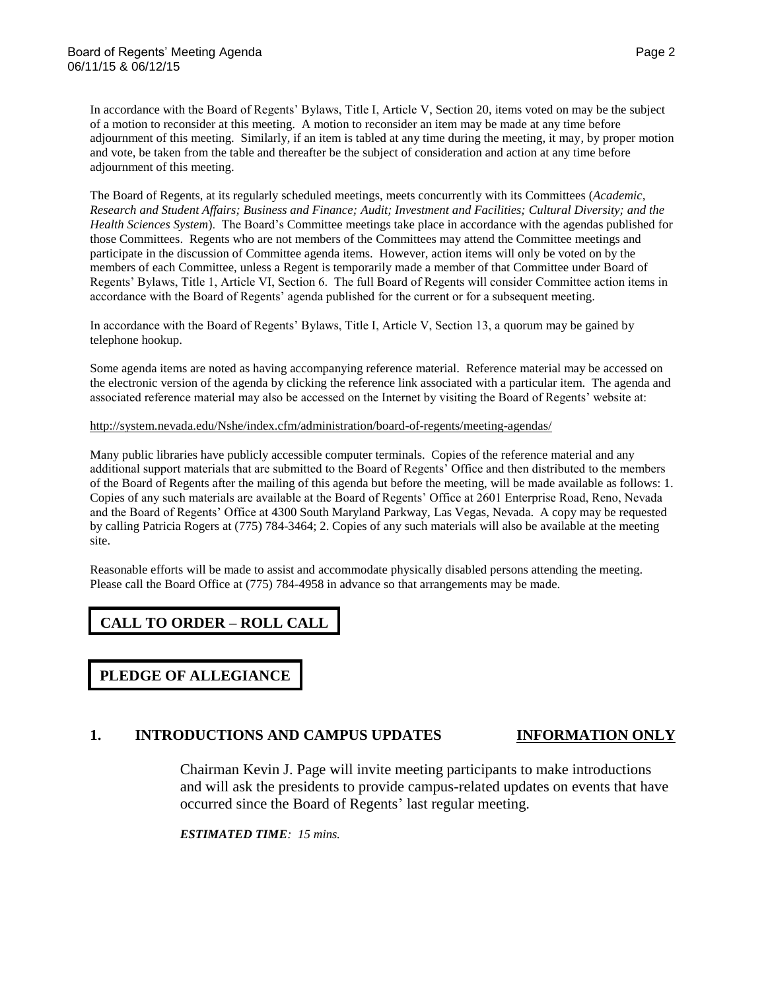In accordance with the Board of Regents' Bylaws, Title I, Article V, Section 20, items voted on may be the subject of a motion to reconsider at this meeting. A motion to reconsider an item may be made at any time before adjournment of this meeting. Similarly, if an item is tabled at any time during the meeting, it may, by proper motion and vote, be taken from the table and thereafter be the subject of consideration and action at any time before adjournment of this meeting.

The Board of Regents, at its regularly scheduled meetings, meets concurrently with its Committees (*Academic, Research and Student Affairs; Business and Finance; Audit; Investment and Facilities; Cultural Diversity; and the Health Sciences System*). The Board's Committee meetings take place in accordance with the agendas published for those Committees. Regents who are not members of the Committees may attend the Committee meetings and participate in the discussion of Committee agenda items. However, action items will only be voted on by the members of each Committee, unless a Regent is temporarily made a member of that Committee under Board of Regents' Bylaws, Title 1, Article VI, Section 6. The full Board of Regents will consider Committee action items in accordance with the Board of Regents' agenda published for the current or for a subsequent meeting.

In accordance with the Board of Regents' Bylaws, Title I, Article V, Section 13, a quorum may be gained by telephone hookup.

Some agenda items are noted as having accompanying reference material. Reference material may be accessed on the electronic version of the agenda by clicking the reference link associated with a particular item. The agenda and associated reference material may also be accessed on the Internet by visiting the Board of Regents' website at:

<http://system.nevada.edu/Nshe/index.cfm/administration/board-of-regents/meeting-agendas/>

Many public libraries have publicly accessible computer terminals. Copies of the reference material and any additional support materials that are submitted to the Board of Regents' Office and then distributed to the members of the Board of Regents after the mailing of this agenda but before the meeting, will be made available as follows: 1. Copies of any such materials are available at the Board of Regents' Office at 2601 Enterprise Road, Reno, Nevada and the Board of Regents' Office at 4300 South Maryland Parkway, Las Vegas, Nevada. A copy may be requested by calling Patricia Rogers at (775) 784-3464; 2. Copies of any such materials will also be available at the meeting site.

Reasonable efforts will be made to assist and accommodate physically disabled persons attending the meeting. Please call the Board Office at (775) 784-4958 in advance so that arrangements may be made.

# **CALL TO ORDER – ROLL CALL**

**PLEDGE OF ALLEGIANCE**

# **1. INTRODUCTIONS AND CAMPUS UPDATES INFORMATION ONLY**

Chairman Kevin J. Page will invite meeting participants to make introductions and will ask the presidents to provide campus-related updates on events that have occurred since the Board of Regents' last regular meeting.

*ESTIMATED TIME: 15 mins.*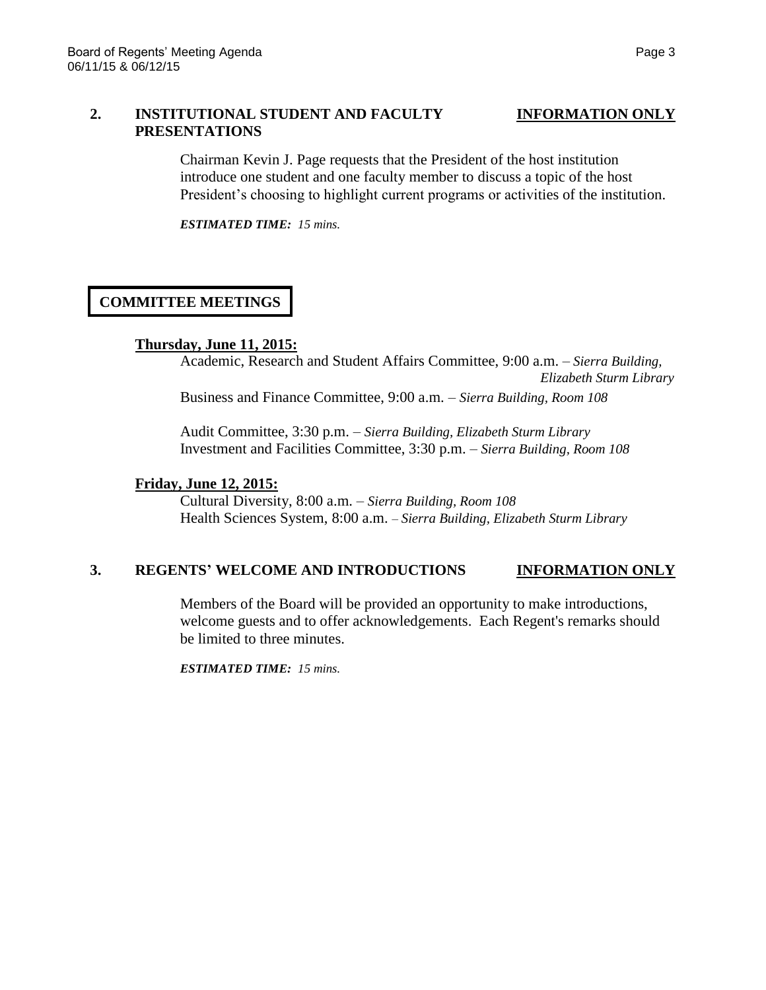## **2. INSTITUTIONAL STUDENT AND FACULTY INFORMATION ONLY PRESENTATIONS**

Chairman Kevin J. Page requests that the President of the host institution introduce one student and one faculty member to discuss a topic of the host President's choosing to highlight current programs or activities of the institution.

*ESTIMATED TIME: 15 mins.*

# **COMMITTEE MEETINGS**

### **Thursday, June 11, 2015:**

Academic, Research and Student Affairs Committee, 9:00 a.m. – *Sierra Building, Elizabeth Sturm Library* Business and Finance Committee, 9:00 a.m. – *Sierra Building, Room 108*

Audit Committee, 3:30 p.m. – *Sierra Building, Elizabeth Sturm Library* Investment and Facilities Committee, 3:30 p.m. – *Sierra Building, Room 108*

### **Friday, June 12, 2015:**

Cultural Diversity, 8:00 a.m. – *Sierra Building, Room 108* Health Sciences System, 8:00 a.m. *– Sierra Building, Elizabeth Sturm Library*

# **3. REGENTS' WELCOME AND INTRODUCTIONS INFORMATION ONLY**

Members of the Board will be provided an opportunity to make introductions, welcome guests and to offer acknowledgements. Each Regent's remarks should be limited to three minutes.

*ESTIMATED TIME: 15 mins.*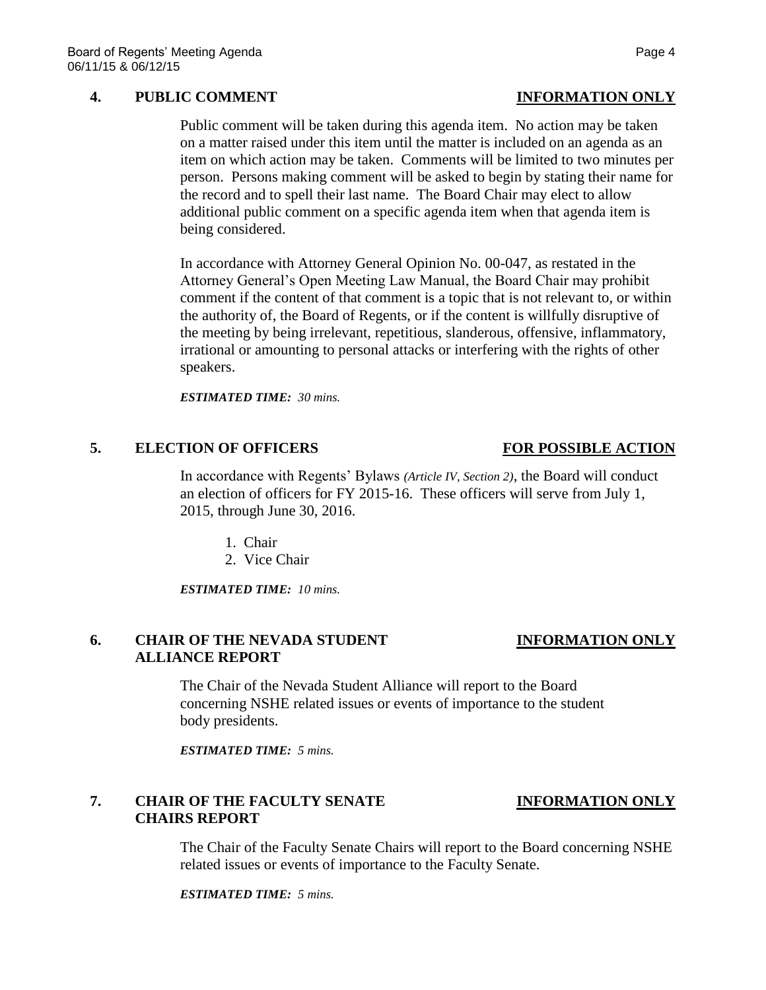## **4. PUBLIC COMMENT INFORMATION ONLY**

Public comment will be taken during this agenda item. No action may be taken on a matter raised under this item until the matter is included on an agenda as an item on which action may be taken. Comments will be limited to two minutes per person. Persons making comment will be asked to begin by stating their name for the record and to spell their last name. The Board Chair may elect to allow additional public comment on a specific agenda item when that agenda item is being considered.

In accordance with Attorney General Opinion No. 00-047, as restated in the Attorney General's Open Meeting Law Manual, the Board Chair may prohibit comment if the content of that comment is a topic that is not relevant to, or within the authority of, the Board of Regents, or if the content is willfully disruptive of the meeting by being irrelevant, repetitious, slanderous, offensive, inflammatory, irrational or amounting to personal attacks or interfering with the rights of other speakers.

*ESTIMATED TIME: 30 mins.*

### **5. ELECTION OF OFFICERS FOR POSSIBLE ACTION**

In accordance with Regents' Bylaws *(Article IV, Section 2)*, the Board will conduct an election of officers for FY 2015-16. These officers will serve from July 1, 2015, through June 30, 2016.

- 1. Chair
- 2. Vice Chair

*ESTIMATED TIME: 10 mins.*

# **6. CHAIR OF THE NEVADA STUDENT INFORMATION ONLY ALLIANCE REPORT**

The Chair of the Nevada Student Alliance will report to the Board concerning NSHE related issues or events of importance to the student body presidents.

*ESTIMATED TIME: 5 mins.*

# **7. CHAIR OF THE FACULTY SENATE INFORMATION ONLY CHAIRS REPORT**

The Chair of the Faculty Senate Chairs will report to the Board concerning NSHE related issues or events of importance to the Faculty Senate.

*ESTIMATED TIME: 5 mins.*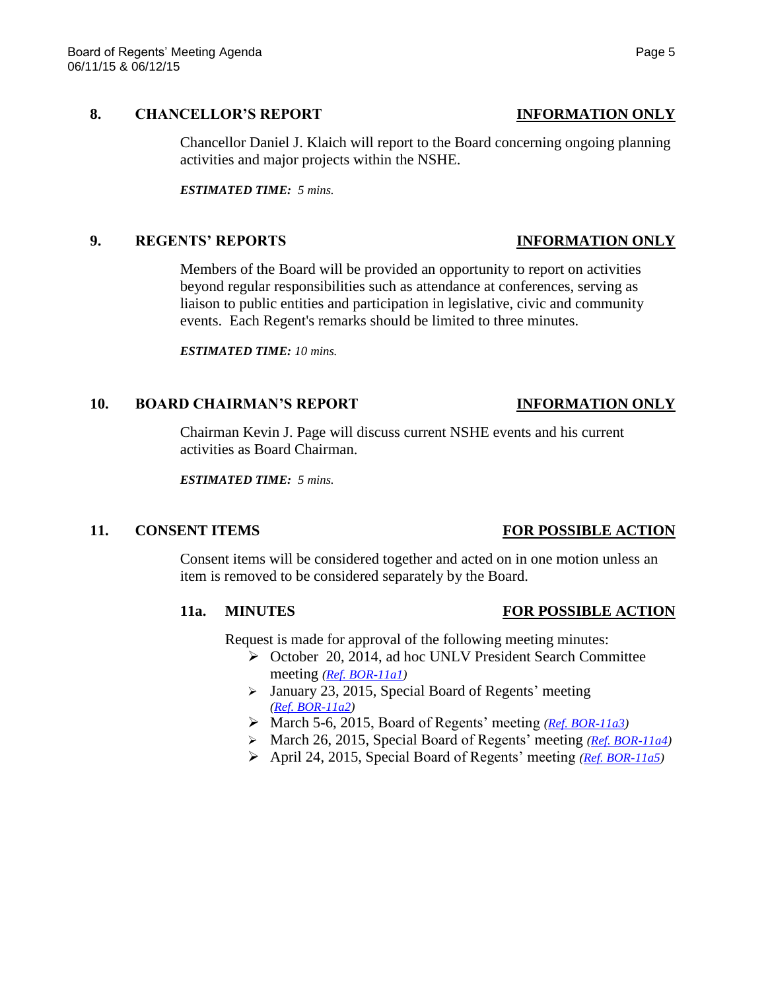### **8. CHANCELLOR'S REPORT INFORMATION ONLY**

Chancellor Daniel J. Klaich will report to the Board concerning ongoing planning activities and major projects within the NSHE.

*ESTIMATED TIME: 5 mins.*

### **9. REGENTS' REPORTS INFORMATION ONLY**

Members of the Board will be provided an opportunity to report on activities beyond regular responsibilities such as attendance at conferences, serving as liaison to public entities and participation in legislative, civic and community events. Each Regent's remarks should be limited to three minutes.

*ESTIMATED TIME: 10 mins.*

### **10. BOARD CHAIRMAN'S REPORT INFORMATION ONLY**

Chairman Kevin J. Page will discuss current NSHE events and his current activities as Board Chairman.

*ESTIMATED TIME: 5 mins.*

### **11. CONSENT ITEMS FOR POSSIBLE ACTION**

Consent items will be considered together and acted on in one motion unless an item is removed to be considered separately by the Board.

### **11a. MINUTES FOR POSSIBLE ACTION**

Request is made for approval of the following meeting minutes:

- ▶ October 20, 2014, ad hoc UNLV President Search Committee meeting *[\(Ref. BOR-11a1\)](http://system.nevada.edu/tasks/sites/Nshe/assets/File/BoardOfRegents/Agendas/2015/jun-mtgs/bor-refs/BOR-11a1.pdf)*
- $\triangleright$  January 23, 2015, Special Board of Regents' meeting *[\(Ref. BOR-11a2\)](http://system.nevada.edu/tasks/sites/Nshe/assets/File/BoardOfRegents/Agendas/2015/jun-mtgs/bor-refs/BOR-11a2.pdf)*
- March 5-6, 2015, Board of Regents' meeting *[\(Ref. BOR-11a3\)](http://system.nevada.edu/tasks/sites/Nshe/assets/File/BoardOfRegents/Agendas/2015/jun-mtgs/bor-refs/BOR-11a3.pdf)*
- March 26, 2015, Special Board of Regents' meeting *[\(Ref. BOR-11a4\)](http://system.nevada.edu/tasks/sites/Nshe/assets/File/BoardOfRegents/Agendas/2015/jun-mtgs/bor-refs/BOR-11a4.pdf)*
- April 24, 2015, Special Board of Regents' meeting *[\(Ref. BOR-11a5\)](http://system.nevada.edu/tasks/sites/Nshe/assets/File/BoardOfRegents/Agendas/2015/jun-mtgs/bor-refs/BOR-11a5.pdf)*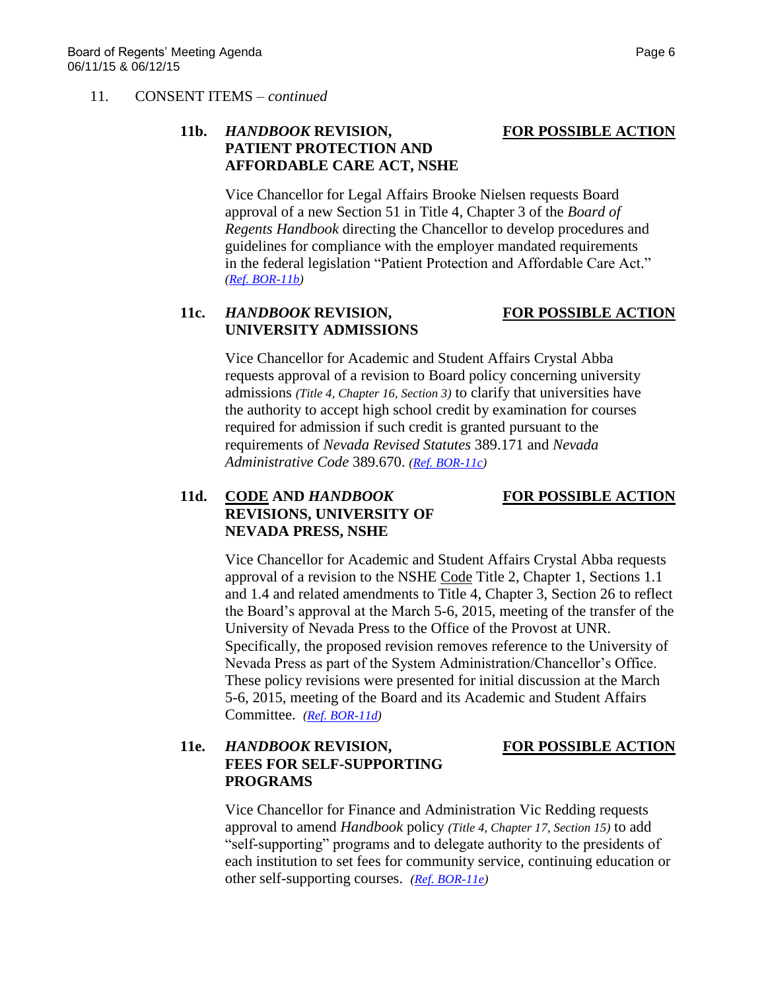### 11. CONSENT ITEMS – *continued*

# **11b.** *HANDBOOK* **REVISION, FOR POSSIBLE ACTION PATIENT PROTECTION AND AFFORDABLE CARE ACT, NSHE**

Vice Chancellor for Legal Affairs Brooke Nielsen requests Board approval of a new Section 51 in Title 4, Chapter 3 of the *Board of Regents Handbook* directing the Chancellor to develop procedures and guidelines for compliance with the employer mandated requirements in the federal legislation "Patient Protection and Affordable Care Act." *[\(Ref. BOR-11b\)](http://system.nevada.edu/tasks/sites/Nshe/assets/File/BoardOfRegents/Agendas/2015/jun-mtgs/bor-refs/BOR-11b.pdf)*

# **11c.** *HANDBOOK* **REVISION, FOR POSSIBLE ACTION UNIVERSITY ADMISSIONS**

Vice Chancellor for Academic and Student Affairs Crystal Abba requests approval of a revision to Board policy concerning university admissions *(Title 4, Chapter 16, Section 3)* to clarify that universities have the authority to accept high school credit by examination for courses required for admission if such credit is granted pursuant to the requirements of *Nevada Revised Statutes* 389.171 and *Nevada Administrative Code* 389.670. *[\(Ref. BOR-11c\)](http://system.nevada.edu/tasks/sites/Nshe/assets/File/BoardOfRegents/Agendas/2015/jun-mtgs/bor-refs/BOR-11c.pdf)*

# **11d. CODE AND** *HANDBOOK* **FOR POSSIBLE ACTION REVISIONS, UNIVERSITY OF NEVADA PRESS, NSHE**

Vice Chancellor for Academic and Student Affairs Crystal Abba requests approval of a revision to the NSHE Code Title 2, Chapter 1, Sections 1.1 and 1.4 and related amendments to Title 4, Chapter 3, Section 26 to reflect the Board's approval at the March 5-6, 2015, meeting of the transfer of the University of Nevada Press to the Office of the Provost at UNR. Specifically, the proposed revision removes reference to the University of Nevada Press as part of the System Administration/Chancellor's Office. These policy revisions were presented for initial discussion at the March 5-6, 2015, meeting of the Board and its Academic and Student Affairs Committee. *[\(Ref. BOR-11d\)](http://system.nevada.edu/tasks/sites/Nshe/assets/File/BoardOfRegents/Agendas/2015/jun-mtgs/bor-refs/BOR-11d.pdf)*

# **11e.** *HANDBOOK* **REVISION, FOR POSSIBLE ACTION FEES FOR SELF-SUPPORTING PROGRAMS**

Vice Chancellor for Finance and Administration Vic Redding requests approval to amend *Handbook* policy *(Title 4, Chapter 17, Section 15)* to add "self-supporting" programs and to delegate authority to the presidents of each institution to set fees for community service, continuing education or other self-supporting courses. *[\(Ref. BOR-11e\)](http://system.nevada.edu/tasks/sites/Nshe/assets/File/BoardOfRegents/Agendas/2015/jun-mtgs/bor-refs/BOR-11e.pdf)*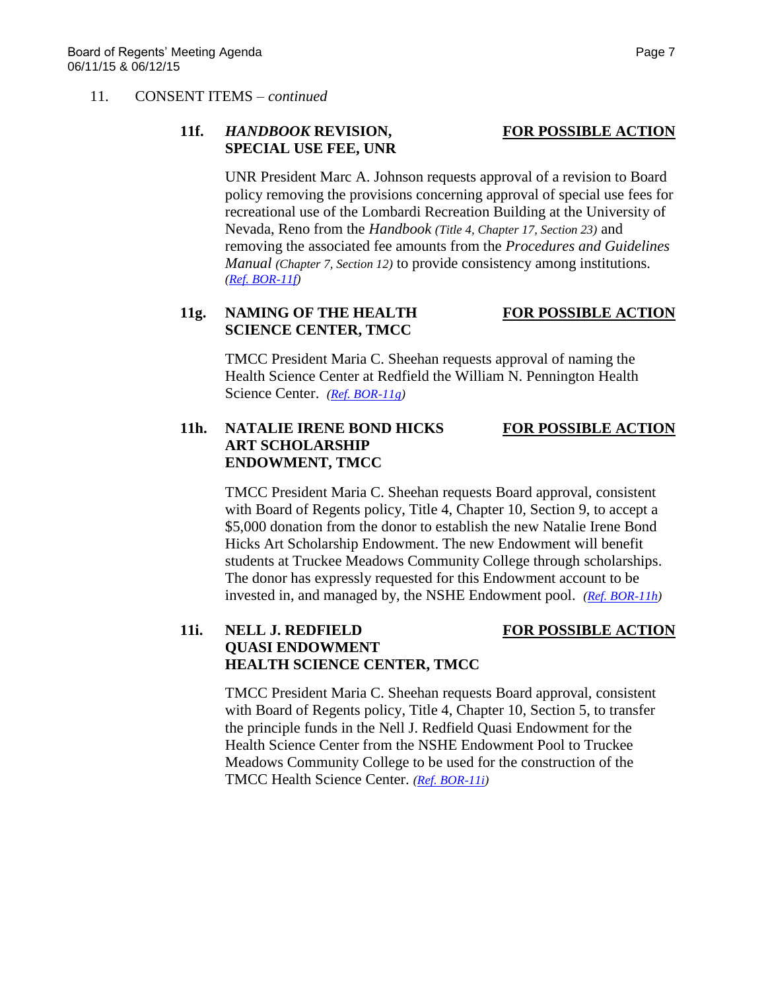### 11. CONSENT ITEMS – *continued*

# **11f.** *HANDBOOK* **REVISION, FOR POSSIBLE ACTION SPECIAL USE FEE, UNR**

UNR President Marc A. Johnson requests approval of a revision to Board policy removing the provisions concerning approval of special use fees for recreational use of the Lombardi Recreation Building at the University of Nevada, Reno from the *Handbook (Title 4, Chapter 17, Section 23)* and removing the associated fee amounts from the *Procedures and Guidelines Manual (Chapter 7, Section 12)* to provide consistency among institutions. *[\(Ref. BOR-11f\)](http://system.nevada.edu/tasks/sites/Nshe/assets/File/BoardOfRegents/Agendas/2015/jun-mtgs/bor-refs/BOR-11f.pdf)*

# **11g. NAMING OF THE HEALTH FOR POSSIBLE ACTION SCIENCE CENTER, TMCC**

TMCC President Maria C. Sheehan requests approval of naming the Health Science Center at Redfield the William N. Pennington Health Science Center. *[\(Ref. BOR-11g\)](http://system.nevada.edu/tasks/sites/Nshe/assets/File/BoardOfRegents/Agendas/2015/jun-mtgs/bor-refs/BOR-11g.pdf)*

# **11h. NATALIE IRENE BOND HICKS FOR POSSIBLE ACTION ART SCHOLARSHIP ENDOWMENT, TMCC**

TMCC President Maria C. Sheehan requests Board approval, consistent with Board of Regents policy, Title 4, Chapter 10, Section 9, to accept a \$5,000 donation from the donor to establish the new Natalie Irene Bond Hicks Art Scholarship Endowment. The new Endowment will benefit students at Truckee Meadows Community College through scholarships. The donor has expressly requested for this Endowment account to be invested in, and managed by, the NSHE Endowment pool. *[\(Ref. BOR-11h\)](http://system.nevada.edu/tasks/sites/Nshe/assets/File/BoardOfRegents/Agendas/2015/jun-mtgs/bor-refs/BOR-11h.pdf)*

# **11i. NELL J. REDFIELD FOR POSSIBLE ACTION QUASI ENDOWMENT HEALTH SCIENCE CENTER, TMCC**

TMCC President Maria C. Sheehan requests Board approval, consistent with Board of Regents policy, Title 4, Chapter 10, Section 5, to transfer the principle funds in the Nell J. Redfield Quasi Endowment for the Health Science Center from the NSHE Endowment Pool to Truckee Meadows Community College to be used for the construction of the TMCC Health Science Center. *[\(Ref. BOR-11i\)](http://system.nevada.edu/tasks/sites/Nshe/assets/File/BoardOfRegents/Agendas/2015/jun-mtgs/bor-refs/BOR-11i.pdf)*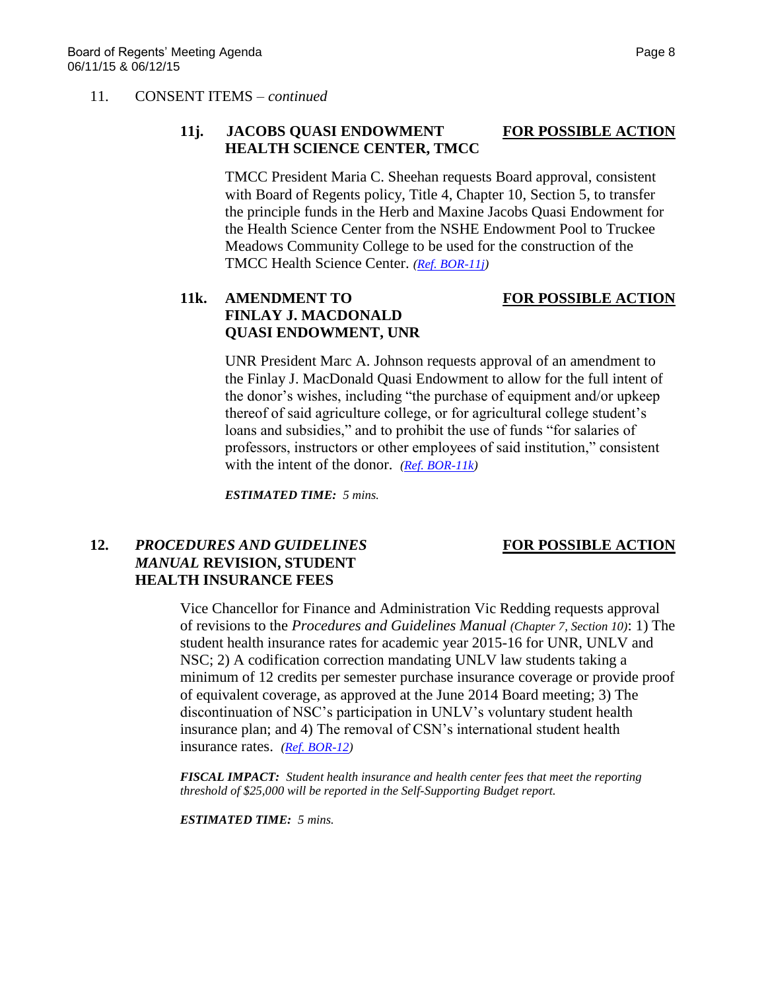### 11. CONSENT ITEMS – *continued*

# **11j. JACOBS QUASI ENDOWMENT FOR POSSIBLE ACTION HEALTH SCIENCE CENTER, TMCC**

TMCC President Maria C. Sheehan requests Board approval, consistent with Board of Regents policy, Title 4, Chapter 10, Section 5, to transfer the principle funds in the Herb and Maxine Jacobs Quasi Endowment for the Health Science Center from the NSHE Endowment Pool to Truckee Meadows Community College to be used for the construction of the TMCC Health Science Center. *[\(Ref. BOR-11j\)](http://system.nevada.edu/tasks/sites/Nshe/assets/File/BoardOfRegents/Agendas/2015/jun-mtgs/bor-refs/BOR-11j.pdf)*

# **11k. AMENDMENT TO FOR POSSIBLE ACTION FINLAY J. MACDONALD QUASI ENDOWMENT, UNR**

# UNR President Marc A. Johnson requests approval of an amendment to the Finlay J. MacDonald Quasi Endowment to allow for the full intent of the donor's wishes, including "the purchase of equipment and/or upkeep thereof of said agriculture college, or for agricultural college student's loans and subsidies," and to prohibit the use of funds "for salaries of professors, instructors or other employees of said institution," consistent with the intent of the donor. *[\(Ref. BOR-11k\)](http://system.nevada.edu/tasks/sites/Nshe/assets/File/BoardOfRegents/Agendas/2015/jun-mtgs/bor-refs/BOR-11k.pdf)*

*ESTIMATED TIME: 5 mins.*

# **12.** *PROCEDURES AND GUIDELINES* **FOR POSSIBLE ACTION** *MANUAL* **REVISION, STUDENT HEALTH INSURANCE FEES**

Vice Chancellor for Finance and Administration Vic Redding requests approval of revisions to the *Procedures and Guidelines Manual (Chapter 7, Section 10)*: 1) The student health insurance rates for academic year 2015-16 for UNR, UNLV and NSC; 2) A codification correction mandating UNLV law students taking a minimum of 12 credits per semester purchase insurance coverage or provide proof of equivalent coverage, as approved at the June 2014 Board meeting; 3) The discontinuation of NSC's participation in UNLV's voluntary student health insurance plan; and 4) The removal of CSN's international student health insurance rates. *[\(Ref. BOR-12\)](http://system.nevada.edu/tasks/sites/Nshe/assets/File/BoardOfRegents/Agendas/2015/jun-mtgs/bor-refs/BOR-12.pdf)*

*FISCAL IMPACT: Student health insurance and health center fees that meet the reporting threshold of \$25,000 will be reported in the Self-Supporting Budget report.*

*ESTIMATED TIME: 5 mins.*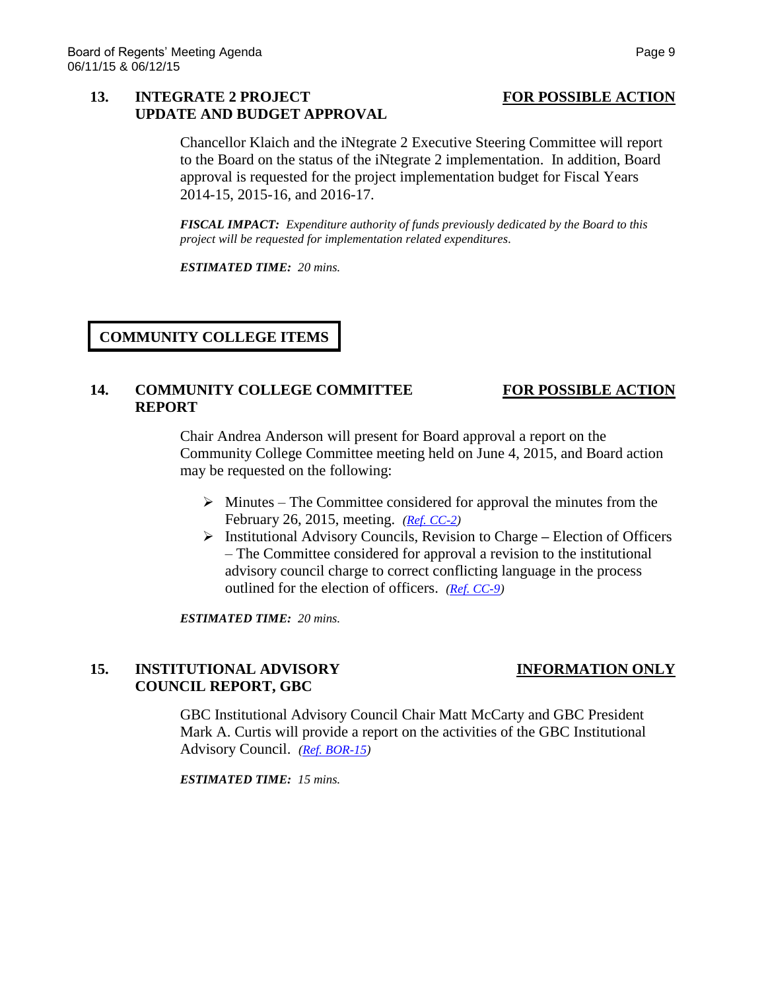# **13. INTEGRATE 2 PROJECT FOR POSSIBLE ACTION UPDATE AND BUDGET APPROVAL**

Chancellor Klaich and the iNtegrate 2 Executive Steering Committee will report to the Board on the status of the iNtegrate 2 implementation. In addition, Board approval is requested for the project implementation budget for Fiscal Years 2014-15, 2015-16, and 2016-17.

*FISCAL IMPACT: Expenditure authority of funds previously dedicated by the Board to this project will be requested for implementation related expenditures.*

*ESTIMATED TIME: 20 mins.*

# **COMMUNITY COLLEGE ITEMS**

### **14. COMMUNITY COLLEGE COMMITTEE FOR POSSIBLE ACTION REPORT**

Chair Andrea Anderson will present for Board approval a report on the Community College Committee meeting held on June 4, 2015, and Board action may be requested on the following:

- $\triangleright$  Minutes The Committee considered for approval the minutes from the February 26, 2015, meeting. *[\(Ref. CC-2\)](http://system.nevada.edu/tasks/sites/Nshe/assets/File/BoardOfRegents/Agendas/2015/jun-mtgs/cc-refs/CC-2.pdf)*
- Institutional Advisory Councils, Revision to Charge **–** Election of Officers – The Committee considered for approval a revision to the institutional advisory council charge to correct conflicting language in the process outlined for the election of officers. *[\(Ref. CC-9\)](http://system.nevada.edu/tasks/sites/Nshe/assets/File/BoardOfRegents/Agendas/2015/jun-mtgs/cc-refs/CC-9.pdf)*

*ESTIMATED TIME: 20 mins.*

# **15. INSTITUTIONAL ADVISORY INFORMATION ONLY COUNCIL REPORT, GBC**

GBC Institutional Advisory Council Chair Matt McCarty and GBC President Mark A. Curtis will provide a report on the activities of the GBC Institutional Advisory Council. *[\(Ref. BOR-15\)](http://system.nevada.edu/tasks/sites/Nshe/assets/File/BoardOfRegents/Agendas/2015/jun-mtgs/bor-refs/BOR-15.pdf)*

*ESTIMATED TIME: 15 mins.*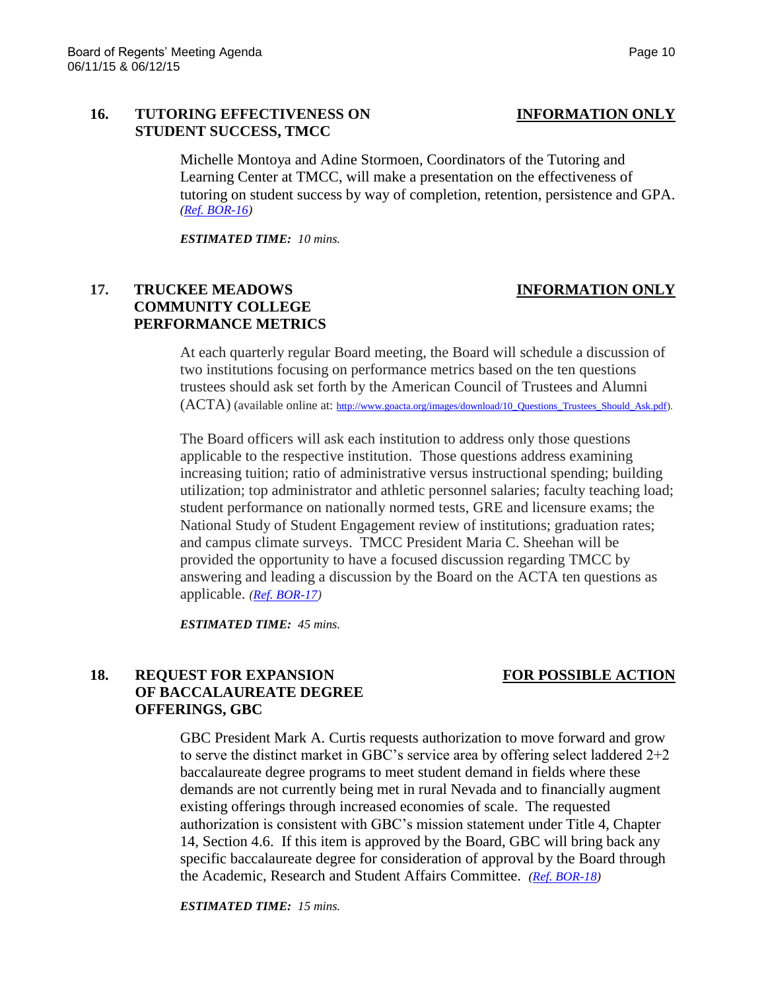### **16. TUTORING EFFECTIVENESS ON INFORMATION ONLY STUDENT SUCCESS, TMCC**

Michelle Montoya and Adine Stormoen, Coordinators of the Tutoring and Learning Center at TMCC, will make a presentation on the effectiveness of tutoring on student success by way of completion, retention, persistence and GPA. *[\(Ref. BOR-16\)](http://system.nevada.edu/tasks/sites/Nshe/assets/File/BoardOfRegents/Agendas/2015/jun-mtgs/bor-refs/BOR-16.pdf)*

*ESTIMATED TIME: 10 mins.*

# **17. TRUCKEE MEADOWS INFORMATION ONLY COMMUNITY COLLEGE PERFORMANCE METRICS**

# At each quarterly regular Board meeting, the Board will schedule a discussion of two institutions focusing on performance metrics based on the ten questions trustees should ask set forth by the American Council of Trustees and Alumni

The Board officers will ask each institution to address only those questions applicable to the respective institution. Those questions address examining increasing tuition; ratio of administrative versus instructional spending; building utilization; top administrator and athletic personnel salaries; faculty teaching load; student performance on nationally normed tests, GRE and licensure exams; the National Study of Student Engagement review of institutions; graduation rates; and campus climate surveys. TMCC President Maria C. Sheehan will be provided the opportunity to have a focused discussion regarding TMCC by answering and leading a discussion by the Board on the ACTA ten questions as applicable. *[\(Ref. BOR-17\)](http://system.nevada.edu/tasks/sites/Nshe/assets/File/BoardOfRegents/Agendas/2015/jun-mtgs/bor-refs/BOR-17.pdf)*

*ESTIMATED TIME: 45 mins.*

# **18. REQUEST FOR EXPANSION FOR POSSIBLE ACTION OF BACCALAUREATE DEGREE OFFERINGS, GBC**

GBC President Mark A. Curtis requests authorization to move forward and grow to serve the distinct market in GBC's service area by offering select laddered  $2+2$ baccalaureate degree programs to meet student demand in fields where these demands are not currently being met in rural Nevada and to financially augment existing offerings through increased economies of scale. The requested authorization is consistent with GBC's mission statement under Title 4, Chapter 14, Section 4.6. If this item is approved by the Board, GBC will bring back any specific baccalaureate degree for consideration of approval by the Board through the Academic, Research and Student Affairs Committee. *[\(Ref. BOR-18\)](http://system.nevada.edu/tasks/sites/Nshe/assets/File/BoardOfRegents/Agendas/2015/jun-mtgs/bor-refs/BOR-18.pdf)*

*ESTIMATED TIME: 15 mins.*

(ACTA) (available online at: [http://www.goacta.org/images/download/10\\_Questions\\_Trustees\\_Should\\_Ask.pdf\)](http://www.goacta.org/images/download/10_Questions_Trustees_Should_Ask.pdf).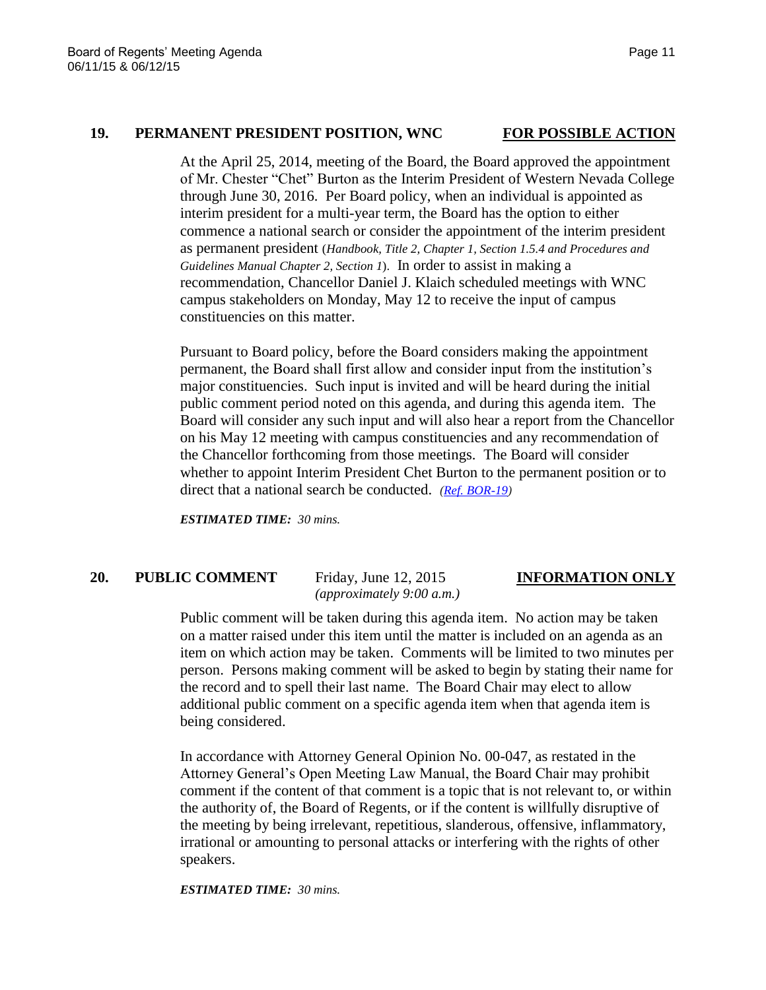### **19. PERMANENT PRESIDENT POSITION, WNC FOR POSSIBLE ACTION**

At the April 25, 2014, meeting of the Board, the Board approved the appointment of Mr. Chester "Chet" Burton as the Interim President of Western Nevada College through June 30, 2016. Per Board policy, when an individual is appointed as interim president for a multi-year term, the Board has the option to either commence a national search or consider the appointment of the interim president as permanent president (*Handbook, Title 2, Chapter 1, Section 1.5.4 and Procedures and Guidelines Manual Chapter 2, Section 1*). In order to assist in making a recommendation, Chancellor Daniel J. Klaich scheduled meetings with WNC campus stakeholders on Monday, May 12 to receive the input of campus constituencies on this matter.

Pursuant to Board policy, before the Board considers making the appointment permanent, the Board shall first allow and consider input from the institution's major constituencies. Such input is invited and will be heard during the initial public comment period noted on this agenda, and during this agenda item. The Board will consider any such input and will also hear a report from the Chancellor on his May 12 meeting with campus constituencies and any recommendation of the Chancellor forthcoming from those meetings. The Board will consider whether to appoint Interim President Chet Burton to the permanent position or to direct that a national search be conducted. *[\(Ref. BOR-19\)](http://system.nevada.edu/tasks/sites/Nshe/assets/File/BoardOfRegents/Agendas/2015/jun-mtgs/bor-refs/BOR-19.pdf)*

*ESTIMATED TIME: 30 mins.*

# **20. PUBLIC COMMENT** Friday, June 12, 2015 **INFORMATION ONLY**

*(approximately 9:00 a.m.)*

Public comment will be taken during this agenda item. No action may be taken on a matter raised under this item until the matter is included on an agenda as an item on which action may be taken. Comments will be limited to two minutes per person. Persons making comment will be asked to begin by stating their name for the record and to spell their last name. The Board Chair may elect to allow additional public comment on a specific agenda item when that agenda item is being considered.

In accordance with Attorney General Opinion No. 00-047, as restated in the Attorney General's Open Meeting Law Manual, the Board Chair may prohibit comment if the content of that comment is a topic that is not relevant to, or within the authority of, the Board of Regents, or if the content is willfully disruptive of the meeting by being irrelevant, repetitious, slanderous, offensive, inflammatory, irrational or amounting to personal attacks or interfering with the rights of other speakers.

### *ESTIMATED TIME: 30 mins.*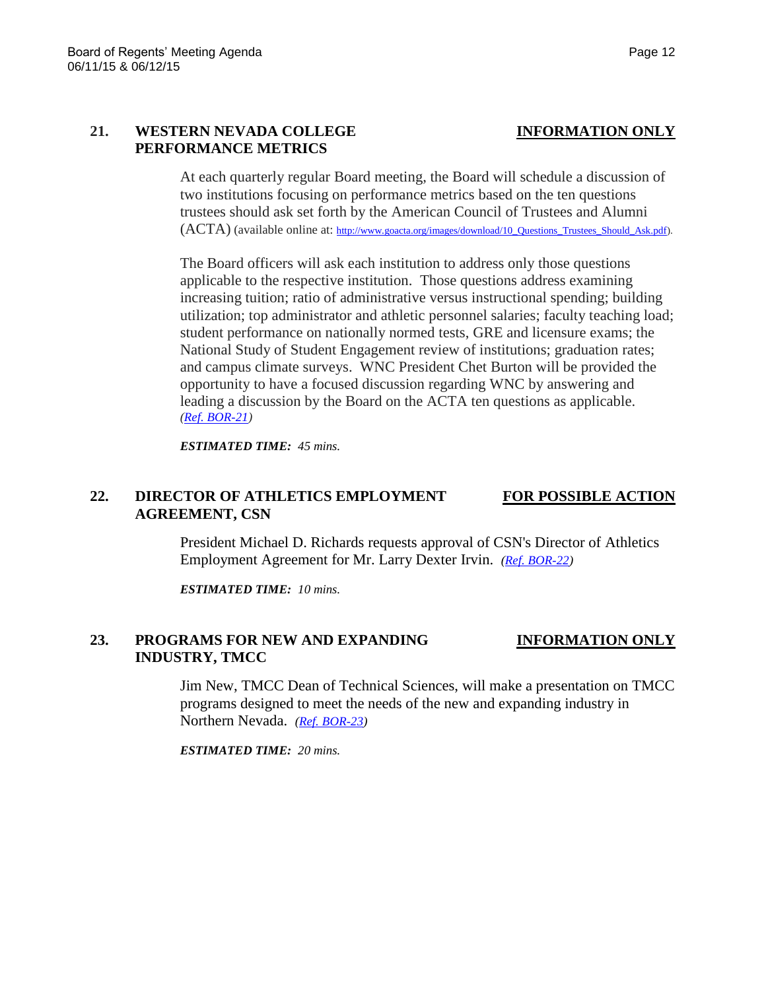## **21. WESTERN NEVADA COLLEGE INFORMATION ONLY PERFORMANCE METRICS**

At each quarterly regular Board meeting, the Board will schedule a discussion of two institutions focusing on performance metrics based on the ten questions trustees should ask set forth by the American Council of Trustees and Alumni (ACTA) (available online at: [http://www.goacta.org/images/download/10\\_Questions\\_Trustees\\_Should\\_Ask.pdf\)](http://www.goacta.org/images/download/10_Questions_Trustees_Should_Ask.pdf).

The Board officers will ask each institution to address only those questions applicable to the respective institution. Those questions address examining increasing tuition; ratio of administrative versus instructional spending; building utilization; top administrator and athletic personnel salaries; faculty teaching load; student performance on nationally normed tests, GRE and licensure exams; the National Study of Student Engagement review of institutions; graduation rates; and campus climate surveys. WNC President Chet Burton will be provided the opportunity to have a focused discussion regarding WNC by answering and leading a discussion by the Board on the ACTA ten questions as applicable. *[\(Ref. BOR-21\)](http://system.nevada.edu/tasks/sites/Nshe/assets/File/BoardOfRegents/Agendas/2015/jun-mtgs/bor-refs/BOR-21.pdf)*

*ESTIMATED TIME: 45 mins.*

# **22. DIRECTOR OF ATHLETICS EMPLOYMENT FOR POSSIBLE ACTION AGREEMENT, CSN**

President Michael D. Richards requests approval of CSN's Director of Athletics Employment Agreement for Mr. Larry Dexter Irvin. *[\(Ref. BOR-22\)](http://system.nevada.edu/tasks/sites/Nshe/assets/File/BoardOfRegents/Agendas/2015/jun-mtgs/bor-refs/BOR-22.pdf)*

*ESTIMATED TIME: 10 mins.*

# **23. PROGRAMS FOR NEW AND EXPANDING INFORMATION ONLY INDUSTRY, TMCC**

Jim New, TMCC Dean of Technical Sciences, will make a presentation on TMCC programs designed to meet the needs of the new and expanding industry in Northern Nevada. *[\(Ref. BOR-23\)](http://system.nevada.edu/tasks/sites/Nshe/assets/File/BoardOfRegents/Agendas/2015/jun-mtgs/bor-refs/BOR-23.pdf)*

*ESTIMATED TIME: 20 mins.*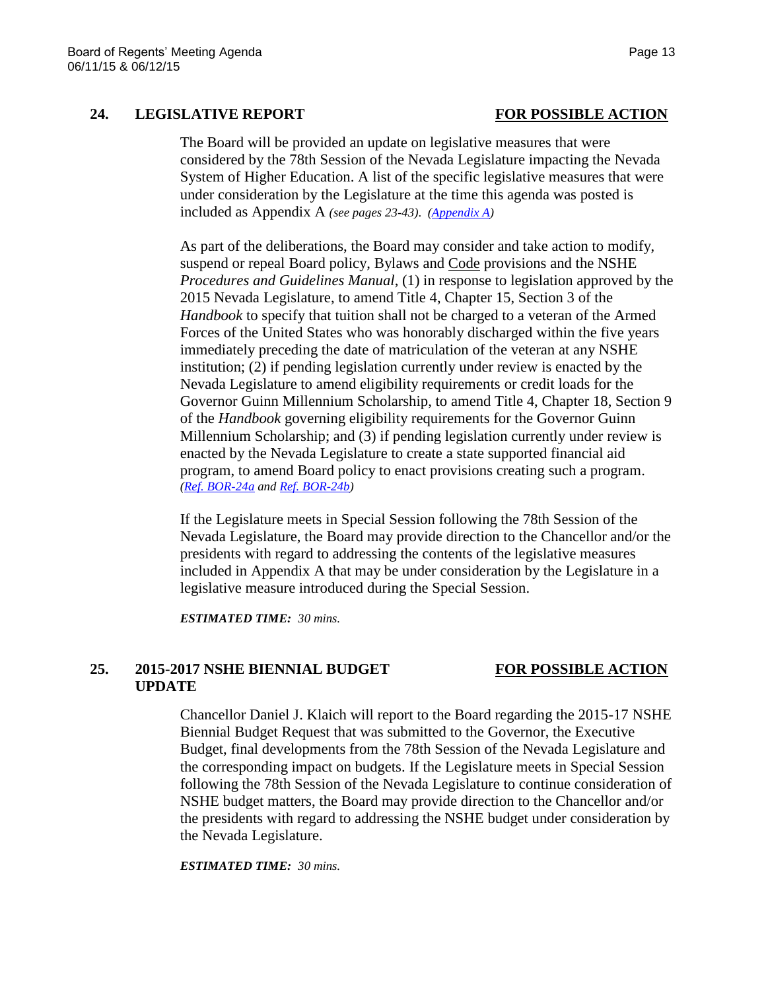# **24. LEGISLATIVE REPORT FOR POSSIBLE ACTION**

The Board will be provided an update on legislative measures that were considered by the 78th Session of the Nevada Legislature impacting the Nevada System of Higher Education. A list of the specific legislative measures that were under consideration by the Legislature at the time this agenda was posted is included as Appendix A *(see pages 23-43)*. *[\(Appendix A\)](http://system.nevada.edu/tasks/sites/Nshe/assets/File/BoardOfRegents/Agendas/2015/jun-mtgs/bor-refs/Appendix%20A.pdf)*

As part of the deliberations, the Board may consider and take action to modify, suspend or repeal Board policy, Bylaws and Code provisions and the NSHE *Procedures and Guidelines Manual*, (1) in response to legislation approved by the 2015 Nevada Legislature, to amend Title 4, Chapter 15, Section 3 of the *Handbook* to specify that tuition shall not be charged to a veteran of the Armed Forces of the United States who was honorably discharged within the five years immediately preceding the date of matriculation of the veteran at any NSHE institution; (2) if pending legislation currently under review is enacted by the Nevada Legislature to amend eligibility requirements or credit loads for the Governor Guinn Millennium Scholarship, to amend Title 4, Chapter 18, Section 9 of the *Handbook* governing eligibility requirements for the Governor Guinn Millennium Scholarship; and (3) if pending legislation currently under review is enacted by the Nevada Legislature to create a state supported financial aid program, to amend Board policy to enact provisions creating such a program. *[\(Ref. BOR-24a](http://system.nevada.edu/tasks/sites/Nshe/assets/File/BoardOfRegents/Agendas/2015/jun-mtgs/bor-refs/BOR-24a.pdf) an[d Ref. BOR-24b\)](http://system.nevada.edu/tasks/sites/Nshe/assets/File/BoardOfRegents/Agendas/2015/jun-mtgs/bor-refs/BOR-24b.pdf)*

If the Legislature meets in Special Session following the 78th Session of the Nevada Legislature, the Board may provide direction to the Chancellor and/or the presidents with regard to addressing the contents of the legislative measures included in Appendix A that may be under consideration by the Legislature in a legislative measure introduced during the Special Session.

*ESTIMATED TIME: 30 mins.*

### **25. 2015-2017 NSHE BIENNIAL BUDGET FOR POSSIBLE ACTION UPDATE**

Chancellor Daniel J. Klaich will report to the Board regarding the 2015-17 NSHE Biennial Budget Request that was submitted to the Governor, the Executive Budget, final developments from the 78th Session of the Nevada Legislature and the corresponding impact on budgets. If the Legislature meets in Special Session following the 78th Session of the Nevada Legislature to continue consideration of NSHE budget matters, the Board may provide direction to the Chancellor and/or the presidents with regard to addressing the NSHE budget under consideration by the Nevada Legislature.

*ESTIMATED TIME: 30 mins.*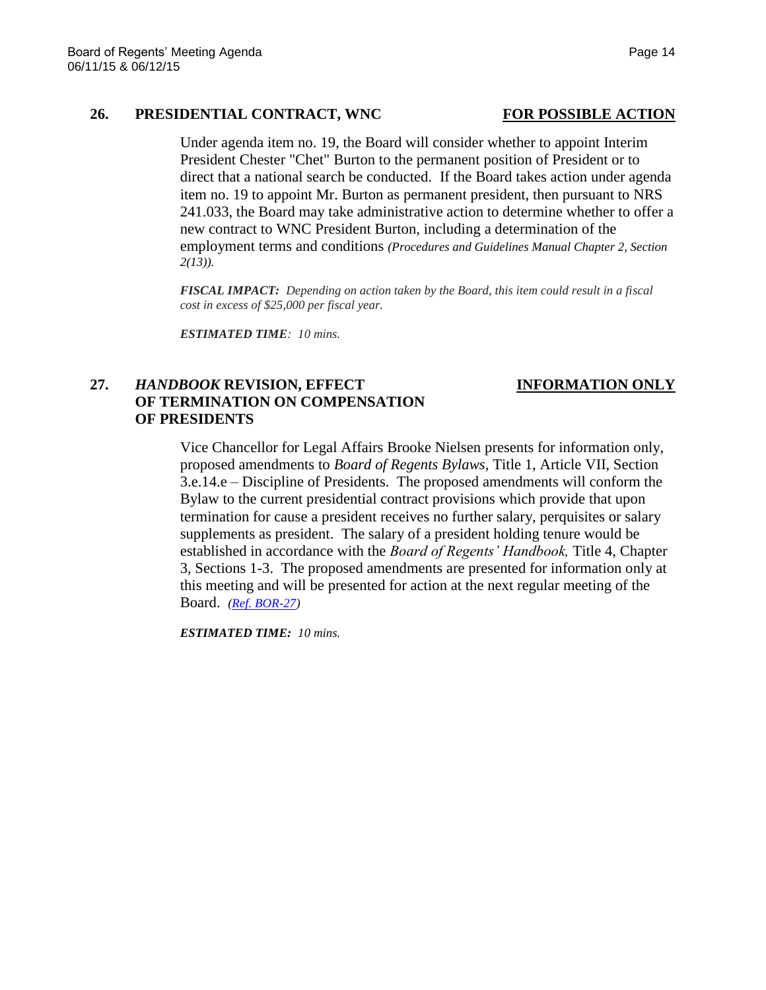### 26. **PRESIDENTIAL CONTRACT, WNC** FOR POSSIBLE ACTION

Under agenda item no. 19, the Board will consider whether to appoint Interim President Chester "Chet" Burton to the permanent position of President or to direct that a national search be conducted. If the Board takes action under agenda item no. 19 to appoint Mr. Burton as permanent president, then pursuant to NRS 241.033, the Board may take administrative action to determine whether to offer a new contract to WNC President Burton, including a determination of the employment terms and conditions *(Procedures and Guidelines Manual Chapter 2, Section 2(13)).*

*FISCAL IMPACT: Depending on action taken by the Board, this item could result in a fiscal cost in excess of \$25,000 per fiscal year.*

*ESTIMATED TIME: 10 mins.*

# **27.** *HANDBOOK* **REVISION, EFFECT INFORMATION ONLY OF TERMINATION ON COMPENSATION OF PRESIDENTS**

Vice Chancellor for Legal Affairs Brooke Nielsen presents for information only, proposed amendments to *Board of Regents Bylaws,* Title 1, Article VII, Section 3.e.14.e – Discipline of Presidents. The proposed amendments will conform the Bylaw to the current presidential contract provisions which provide that upon termination for cause a president receives no further salary, perquisites or salary supplements as president. The salary of a president holding tenure would be established in accordance with the *Board of Regents' Handbook,* Title 4, Chapter 3, Sections 1-3. The proposed amendments are presented for information only at this meeting and will be presented for action at the next regular meeting of the Board. *[\(Ref. BOR-27\)](http://system.nevada.edu/tasks/sites/Nshe/assets/File/BoardOfRegents/Agendas/2015/jun-mtgs/bor-refs/BOR-27.pdf)*

*ESTIMATED TIME: 10 mins.*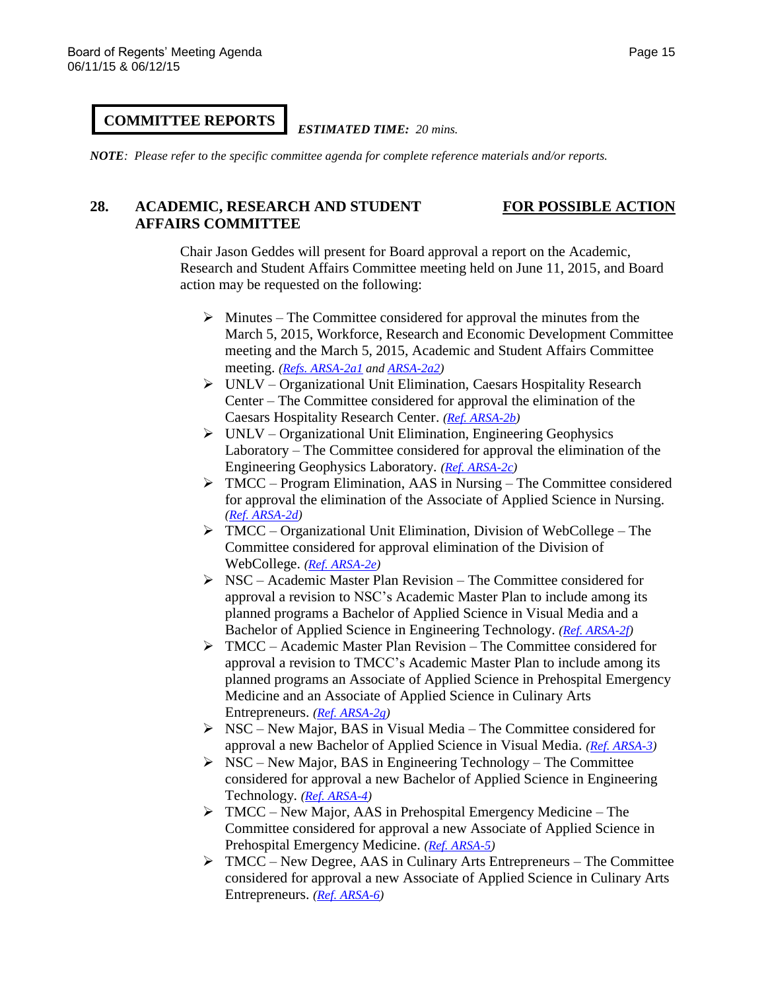### **COMMITTEE REPORTS**

### *ESTIMATED TIME: 20 mins.*

*NOTE: Please refer to the specific committee agenda for complete reference materials and/or reports.*

## **28. ACADEMIC, RESEARCH AND STUDENT FOR POSSIBLE ACTION AFFAIRS COMMITTEE**

Chair Jason Geddes will present for Board approval a report on the Academic, Research and Student Affairs Committee meeting held on June 11, 2015, and Board action may be requested on the following:

- $\triangleright$  Minutes The Committee considered for approval the minutes from the March 5, 2015, Workforce, Research and Economic Development Committee meeting and the March 5, 2015, Academic and Student Affairs Committee meeting. *[\(Refs. ARSA-2a1](http://system.nevada.edu/tasks/sites/Nshe/assets/File/BoardOfRegents/Agendas/2015/jun-mtgs/arsa-refs/ARSA-2a1.pdf) and [ARSA-2a2\)](http://system.nevada.edu/tasks/sites/Nshe/assets/File/BoardOfRegents/Agendas/2015/jun-mtgs/arsa-refs/ARSA-2a2.pdf)*
- UNLV Organizational Unit Elimination, Caesars Hospitality Research Center – The Committee considered for approval the elimination of the Caesars Hospitality Research Center. *[\(Ref. ARSA-2b\)](http://system.nevada.edu/tasks/sites/Nshe/assets/File/BoardOfRegents/Agendas/2015/jun-mtgs/arsa-refs/ARSA-2b.pdf)*
- $\triangleright$  UNLV Organizational Unit Elimination, Engineering Geophysics Laboratory – The Committee considered for approval the elimination of the Engineering Geophysics Laboratory. *[\(Ref. ARSA-2c\)](http://system.nevada.edu/tasks/sites/Nshe/assets/File/BoardOfRegents/Agendas/2015/jun-mtgs/arsa-refs/ARSA-2c.pdf)*
- $\triangleright$  TMCC Program Elimination, AAS in Nursing The Committee considered for approval the elimination of the Associate of Applied Science in Nursing. *[\(Ref. ARSA-2d\)](http://system.nevada.edu/tasks/sites/Nshe/assets/File/BoardOfRegents/Agendas/2015/jun-mtgs/arsa-refs/ARSA-2d.pdf)*
- $\triangleright$  TMCC Organizational Unit Elimination, Division of WebCollege The Committee considered for approval elimination of the Division of WebCollege. *[\(Ref. ARSA-2e\)](http://system.nevada.edu/tasks/sites/Nshe/assets/File/BoardOfRegents/Agendas/2015/jun-mtgs/arsa-refs/ARSA-2e.pdf)*
- $\triangleright$  NSC Academic Master Plan Revision The Committee considered for approval a revision to NSC's Academic Master Plan to include among its planned programs a Bachelor of Applied Science in Visual Media and a Bachelor of Applied Science in Engineering Technology. *[\(Ref. ARSA-2f\)](http://system.nevada.edu/tasks/sites/Nshe/assets/File/BoardOfRegents/Agendas/2015/jun-mtgs/arsa-refs/ARSA-2f.pdf)*
- TMCC Academic Master Plan Revision The Committee considered for approval a revision to TMCC's Academic Master Plan to include among its planned programs an Associate of Applied Science in Prehospital Emergency Medicine and an Associate of Applied Science in Culinary Arts Entrepreneurs. *[\(Ref. ARSA-2g\)](http://system.nevada.edu/tasks/sites/Nshe/assets/File/BoardOfRegents/Agendas/2015/jun-mtgs/arsa-refs/ARSA-2g.pdf)*
- $\triangleright$  NSC New Major, BAS in Visual Media The Committee considered for approval a new Bachelor of Applied Science in Visual Media. *[\(Ref. ARSA-3\)](http://system.nevada.edu/tasks/sites/Nshe/assets/File/BoardOfRegents/Agendas/2015/jun-mtgs/arsa-refs/ARSA-3.pdf)*
- $\triangleright$  NSC New Major, BAS in Engineering Technology The Committee considered for approval a new Bachelor of Applied Science in Engineering Technology. *[\(Ref. ARSA-4\)](http://system.nevada.edu/tasks/sites/Nshe/assets/File/BoardOfRegents/Agendas/2015/jun-mtgs/arsa-refs/ARSA-4.pdf)*
- TMCC New Major, AAS in Prehospital Emergency Medicine The Committee considered for approval a new Associate of Applied Science in Prehospital Emergency Medicine. *[\(Ref. ARSA-5\)](http://system.nevada.edu/tasks/sites/Nshe/assets/File/BoardOfRegents/Agendas/2015/jun-mtgs/arsa-refs/ARSA-5.pdf)*
- $\triangleright$  TMCC New Degree, AAS in Culinary Arts Entrepreneurs The Committee considered for approval a new Associate of Applied Science in Culinary Arts Entrepreneurs. *[\(Ref. ARSA-6\)](http://system.nevada.edu/tasks/sites/Nshe/assets/File/BoardOfRegents/Agendas/2015/jun-mtgs/arsa-refs/ARSA-6.pdf)*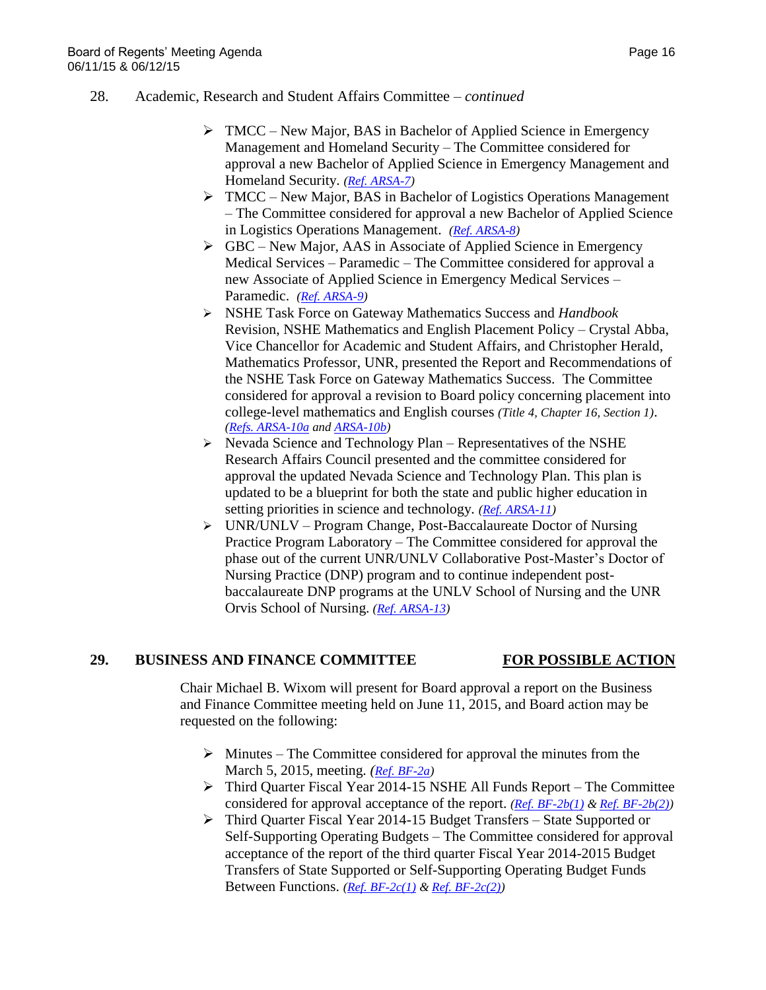- $\triangleright$  TMCC New Major, BAS in Bachelor of Applied Science in Emergency Management and Homeland Security – The Committee considered for approval a new Bachelor of Applied Science in Emergency Management and Homeland Security. *[\(Ref. ARSA-7\)](http://system.nevada.edu/tasks/sites/Nshe/assets/File/BoardOfRegents/Agendas/2015/jun-mtgs/arsa-refs/ARSA-7.pdf)*
- TMCC New Major, BAS in Bachelor of Logistics Operations Management – The Committee considered for approval a new Bachelor of Applied Science in Logistics Operations Management. *[\(Ref. ARSA-8\)](http://system.nevada.edu/tasks/sites/Nshe/assets/File/BoardOfRegents/Agendas/2015/jun-mtgs/arsa-refs/ARSA-8.pdf)*
- $\triangleright$  GBC New Major, AAS in Associate of Applied Science in Emergency Medical Services – Paramedic – The Committee considered for approval a new Associate of Applied Science in Emergency Medical Services – Paramedic. *[\(Ref. ARSA-9\)](http://system.nevada.edu/tasks/sites/Nshe/assets/File/BoardOfRegents/Agendas/2015/jun-mtgs/arsa-refs/ARSA-9.pdf)*
- NSHE Task Force on Gateway Mathematics Success and *Handbook*  Revision, NSHE Mathematics and English Placement Policy – Crystal Abba, Vice Chancellor for Academic and Student Affairs, and Christopher Herald, Mathematics Professor, UNR, presented the Report and Recommendations of the NSHE Task Force on Gateway Mathematics Success. The Committee considered for approval a revision to Board policy concerning placement into college-level mathematics and English courses *(Title 4, Chapter 16, Section 1)*. *[\(Refs. ARSA-10a](http://system.nevada.edu/tasks/sites/Nshe/assets/File/BoardOfRegents/Agendas/2015/jun-mtgs/arsa-refs/ARSA-10a.pdf) and [ARSA-10b\)](http://system.nevada.edu/tasks/sites/Nshe/assets/File/BoardOfRegents/Agendas/2015/jun-mtgs/arsa-refs/ARSA-10b.pdf)*
- $\triangleright$  Nevada Science and Technology Plan Representatives of the NSHE Research Affairs Council presented and the committee considered for approval the updated Nevada Science and Technology Plan. This plan is updated to be a blueprint for both the state and public higher education in setting priorities in science and technology. *[\(Ref. ARSA-11\)](http://system.nevada.edu/tasks/sites/Nshe/assets/File/BoardOfRegents/Agendas/2015/jun-mtgs/arsa-refs/ARSA-11.pdf)*
- $\triangleright$  UNR/UNLV Program Change, Post-Baccalaureate Doctor of Nursing Practice Program Laboratory – The Committee considered for approval the phase out of the current UNR/UNLV Collaborative Post-Master's Doctor of Nursing Practice (DNP) program and to continue independent postbaccalaureate DNP programs at the UNLV School of Nursing and the UNR Orvis School of Nursing. *[\(Ref. ARSA-13\)](http://system.nevada.edu/tasks/sites/Nshe/assets/File/BoardOfRegents/Agendas/2015/jun-mtgs/arsa-refs/ARSA-13.pdf)*

# **29. BUSINESS AND FINANCE COMMITTEE FOR POSSIBLE ACTION**

Chair Michael B. Wixom will present for Board approval a report on the Business and Finance Committee meeting held on June 11, 2015, and Board action may be requested on the following:

- $\triangleright$  Minutes The Committee considered for approval the minutes from the March 5, 2015, meeting. *([Ref. BF-2a\)](http://system.nevada.edu/tasks/sites/Nshe/assets/File/BoardOfRegents/Agendas/2015/jun-mtgs/bf-refs/BF-2a.pdf)*
- $\triangleright$  Third Quarter Fiscal Year 2014-15 NSHE All Funds Report The Committee considered for approval acceptance of the report. *[\(Ref. BF-2b\(1\)](http://system.nevada.edu/tasks/sites/Nshe/assets/File/BoardOfRegents/Agendas/2015/jun-mtgs/bf-refs/BF-2b(1).pdf) [& Ref. BF-2b\(2\)\)](http://system.nevada.edu/tasks/sites/Nshe/assets/File/BoardOfRegents/Agendas/2015/jun-mtgs/bf-refs/BF-2b(2).pdf)*
- Third Quarter Fiscal Year 2014-15 Budget Transfers State Supported or Self-Supporting Operating Budgets – The Committee considered for approval acceptance of the report of the third quarter Fiscal Year 2014-2015 Budget Transfers of State Supported or Self-Supporting Operating Budget Funds Between Functions. *[\(Ref. BF-2c\(1\)](http://system.nevada.edu/tasks/sites/Nshe/assets/File/BoardOfRegents/Agendas/2015/jun-mtgs/bf-refs/BF-2c(1).pdf) [& Ref. BF-2c\(2\)\)](http://system.nevada.edu/tasks/sites/Nshe/assets/File/BoardOfRegents/Agendas/2015/jun-mtgs/bf-refs/BF-2c(2).pdf)*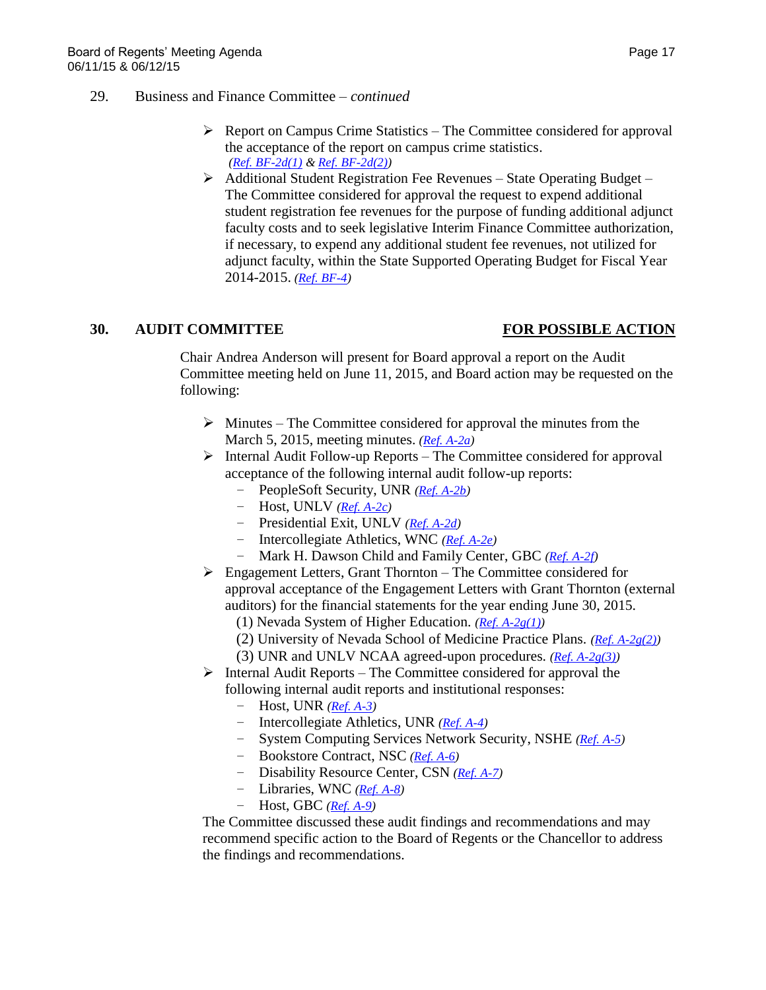- $\triangleright$  Report on Campus Crime Statistics The Committee considered for approval the acceptance of the report on campus crime statistics. *[\(Ref. BF-2d\(1\)](http://system.nevada.edu/tasks/sites/Nshe/assets/File/BoardOfRegents/Agendas/2015/jun-mtgs/bf-refs/BF-2d(1).pdf) [& Ref. BF-2d\(2\)\)](http://system.nevada.edu/tasks/sites/Nshe/assets/File/BoardOfRegents/Agendas/2015/jun-mtgs/bf-refs/BF-2d(2).pdf)*
- Additional Student Registration Fee Revenues State Operating Budget The Committee considered for approval the request to expend additional student registration fee revenues for the purpose of funding additional adjunct faculty costs and to seek legislative Interim Finance Committee authorization, if necessary, to expend any additional student fee revenues, not utilized for adjunct faculty, within the State Supported Operating Budget for Fiscal Year 2014-2015. *[\(Ref. BF-4\)](http://system.nevada.edu/tasks/sites/Nshe/assets/File/BoardOfRegents/Agendas/2015/jun-mtgs/bf-refs/BF-4.pdf)*

### **30. AUDIT COMMITTEE FOR POSSIBLE ACTION**

Chair Andrea Anderson will present for Board approval a report on the Audit Committee meeting held on June 11, 2015, and Board action may be requested on the following:

- $\triangleright$  Minutes The Committee considered for approval the minutes from the March 5, 2015, meeting minutes. *[\(Ref. A-2a\)](http://system.nevada.edu/tasks/sites/Nshe/assets/File/BoardOfRegents/Agendas/2015/jun-mtgs/audit-refs/A-2a.pdf)*
- $\triangleright$  Internal Audit Follow-up Reports The Committee considered for approval acceptance of the following internal audit follow-up reports:
	- *−* PeopleSoft Security, UNR *[\(Ref. A-2b\)](http://system.nevada.edu/tasks/sites/Nshe/assets/File/BoardOfRegents/Agendas/2015/jun-mtgs/audit-refs/A-2b.pdf)*
	- *−* Host, UNLV *[\(Ref. A-2c\)](http://system.nevada.edu/tasks/sites/Nshe/assets/File/BoardOfRegents/Agendas/2015/jun-mtgs/audit-refs/A-2c.pdf)*
	- *−* Presidential Exit, UNLV *[\(Ref. A-2d\)](http://system.nevada.edu/tasks/sites/Nshe/assets/File/BoardOfRegents/Agendas/2015/jun-mtgs/audit-refs/A-2d.pdf)*
	- *−* Intercollegiate Athletics, WNC *[\(Ref. A-2e\)](http://system.nevada.edu/tasks/sites/Nshe/assets/File/BoardOfRegents/Agendas/2015/jun-mtgs/audit-refs/A-2e.pdf)*
	- *−* Mark H. Dawson Child and Family Center, GBC *[\(Ref. A-2f\)](http://system.nevada.edu/tasks/sites/Nshe/assets/File/BoardOfRegents/Agendas/2015/jun-mtgs/audit-refs/A-2f.pdf)*
- $\triangleright$  Engagement Letters, Grant Thornton The Committee considered for approval acceptance of the Engagement Letters with Grant Thornton (external auditors) for the financial statements for the year ending June 30, 2015.
	- (1) Nevada System of Higher Education. *[\(Ref. A-2g\(1\)\)](http://system.nevada.edu/tasks/sites/Nshe/assets/File/BoardOfRegents/Agendas/2015/jun-mtgs/audit-refs/A-2g(1).pdf)*
	- (2) University of Nevada School of Medicine Practice Plans. *[\(Ref. A-2g\(2\)\)](http://system.nevada.edu/tasks/sites/Nshe/assets/File/BoardOfRegents/Agendas/2015/jun-mtgs/audit-refs/A-2g(2).pdf)*
	- (3) UNR and UNLV NCAA agreed-upon procedures. *[\(Ref. A-2g\(3\)\)](http://system.nevada.edu/tasks/sites/Nshe/assets/File/BoardOfRegents/Agendas/2015/jun-mtgs/audit-refs/A-2g(3).pdf)*
- $\triangleright$  Internal Audit Reports The Committee considered for approval the following internal audit reports and institutional responses:
	- *−* Host, UNR *[\(Ref. A-3\)](http://system.nevada.edu/tasks/sites/Nshe/assets/File/BoardOfRegents/Agendas/2015/jun-mtgs/audit-refs/A-3.pdf)*
	- *−* Intercollegiate Athletics, UNR *[\(Ref. A-4\)](http://system.nevada.edu/tasks/sites/Nshe/assets/File/BoardOfRegents/Agendas/2015/jun-mtgs/audit-refs/A-4.pdf)*
	- *−* System Computing Services Network Security, NSHE *[\(Ref. A-5\)](http://system.nevada.edu/tasks/sites/Nshe/assets/File/BoardOfRegents/Agendas/2015/jun-mtgs/audit-refs/A-5.pdf)*
	- *−* Bookstore Contract, NSC *[\(Ref. A-6\)](http://system.nevada.edu/tasks/sites/Nshe/assets/File/BoardOfRegents/Agendas/2015/jun-mtgs/audit-refs/A-6.pdf)*
	- *−* Disability Resource Center, CSN *[\(Ref. A-7\)](http://system.nevada.edu/tasks/sites/Nshe/assets/File/BoardOfRegents/Agendas/2015/jun-mtgs/audit-refs/A-7.pdf)*
	- *−* Libraries, WNC *[\(Ref. A-8\)](http://system.nevada.edu/tasks/sites/Nshe/assets/File/BoardOfRegents/Agendas/2015/jun-mtgs/audit-refs/A-8.pdf)*
	- *−* Host, GBC *[\(Ref. A-9\)](http://system.nevada.edu/tasks/sites/Nshe/assets/File/BoardOfRegents/Agendas/2015/jun-mtgs/audit-refs/A-9.pdf)*

The Committee discussed these audit findings and recommendations and may recommend specific action to the Board of Regents or the Chancellor to address the findings and recommendations.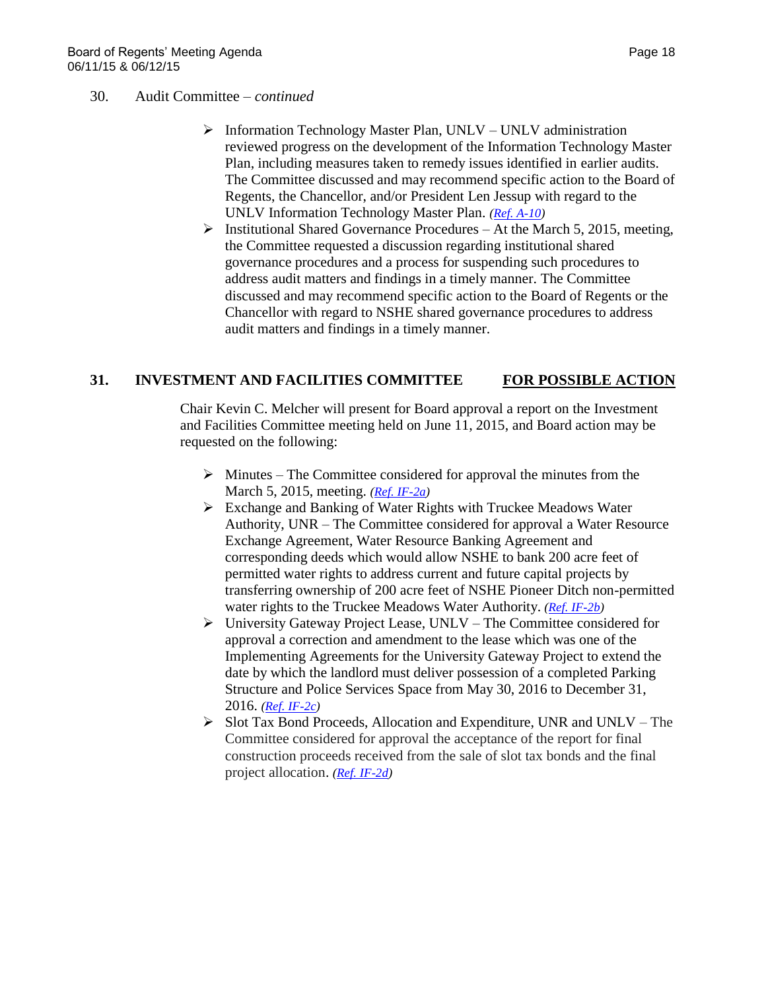### 30. Audit Committee – *continued*

- $\triangleright$  Information Technology Master Plan, UNLV UNLV administration reviewed progress on the development of the Information Technology Master Plan, including measures taken to remedy issues identified in earlier audits. The Committee discussed and may recommend specific action to the Board of Regents, the Chancellor, and/or President Len Jessup with regard to the UNLV Information Technology Master Plan. *[\(Ref. A-10\)](http://system.nevada.edu/tasks/sites/Nshe/assets/File/BoardOfRegents/Agendas/2015/jun-mtgs/audit-refs/A-10.pdf)*
- $\triangleright$  Institutional Shared Governance Procedures At the March 5, 2015, meeting, the Committee requested a discussion regarding institutional shared governance procedures and a process for suspending such procedures to address audit matters and findings in a timely manner. The Committee discussed and may recommend specific action to the Board of Regents or the Chancellor with regard to NSHE shared governance procedures to address audit matters and findings in a timely manner.

### **31. INVESTMENT AND FACILITIES COMMITTEE FOR POSSIBLE ACTION**

Chair Kevin C. Melcher will present for Board approval a report on the Investment and Facilities Committee meeting held on June 11, 2015, and Board action may be requested on the following:

- $\triangleright$  Minutes The Committee considered for approval the minutes from the March 5, 2015, meeting. *[\(Ref. IF-2a\)](http://system.nevada.edu/tasks/sites/Nshe/assets/File/BoardOfRegents/Agendas/2015/jun-mtgs/if-refs/IF-2a.pdf)*
- Exchange and Banking of Water Rights with Truckee Meadows Water Authority, UNR – The Committee considered for approval a Water Resource Exchange Agreement, Water Resource Banking Agreement and corresponding deeds which would allow NSHE to bank 200 acre feet of permitted water rights to address current and future capital projects by transferring ownership of 200 acre feet of NSHE Pioneer Ditch non-permitted water rights to the Truckee Meadows Water Authority. *[\(Ref. IF-2b\)](http://system.nevada.edu/tasks/sites/Nshe/assets/File/BoardOfRegents/Agendas/2015/jun-mtgs/if-refs/IF-2b.pdf)*
- $\triangleright$  University Gateway Project Lease, UNLV The Committee considered for approval a correction and amendment to the lease which was one of the Implementing Agreements for the University Gateway Project to extend the date by which the landlord must deliver possession of a completed Parking Structure and Police Services Space from May 30, 2016 to December 31, 2016. *[\(Ref. IF-2c\)](http://system.nevada.edu/tasks/sites/Nshe/assets/File/BoardOfRegents/Agendas/2015/jun-mtgs/if-refs/IF-2c.pdf)*
- $\triangleright$  Slot Tax Bond Proceeds, Allocation and Expenditure, UNR and UNLV The Committee considered for approval the acceptance of the report for final construction proceeds received from the sale of slot tax bonds and the final project allocation. *[\(Ref. IF-2d\)](http://system.nevada.edu/tasks/sites/Nshe/assets/File/BoardOfRegents/Agendas/2015/jun-mtgs/if-refs/IF-2d.pdf)*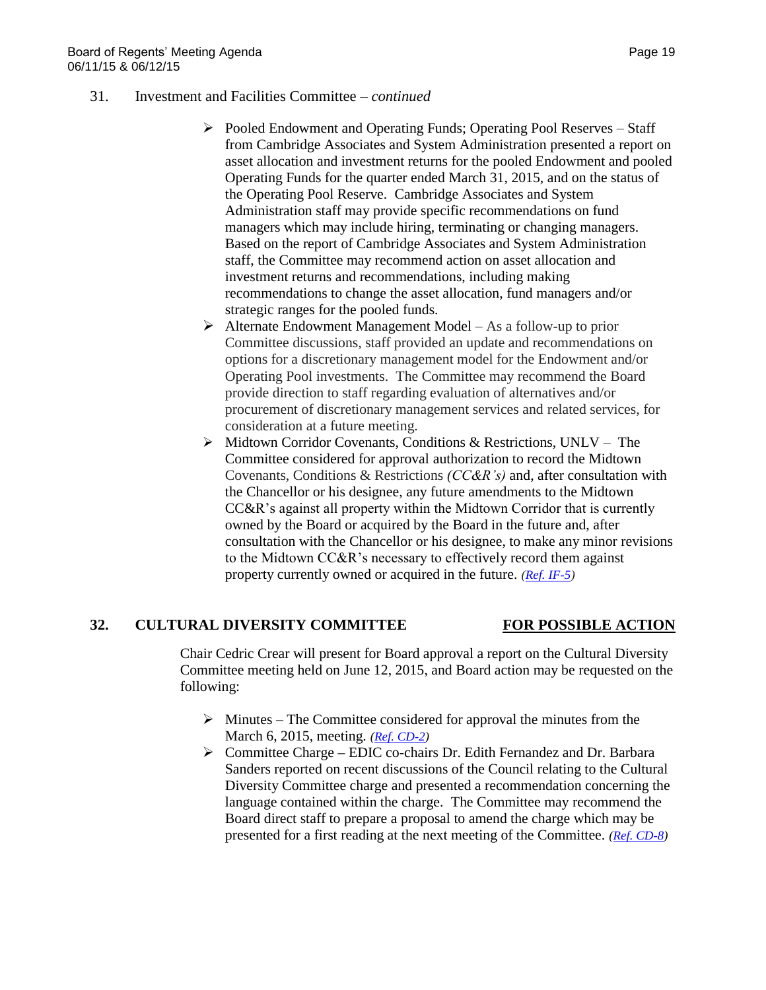- 31. Investment and Facilities Committee *continued*
	- $\triangleright$  Pooled Endowment and Operating Funds; Operating Pool Reserves Staff from Cambridge Associates and System Administration presented a report on asset allocation and investment returns for the pooled Endowment and pooled Operating Funds for the quarter ended March 31, 2015, and on the status of the Operating Pool Reserve. Cambridge Associates and System Administration staff may provide specific recommendations on fund managers which may include hiring, terminating or changing managers. Based on the report of Cambridge Associates and System Administration staff, the Committee may recommend action on asset allocation and investment returns and recommendations, including making recommendations to change the asset allocation, fund managers and/or strategic ranges for the pooled funds.
	- $\triangleright$  Alternate Endowment Management Model As a follow-up to prior Committee discussions, staff provided an update and recommendations on options for a discretionary management model for the Endowment and/or Operating Pool investments. The Committee may recommend the Board provide direction to staff regarding evaluation of alternatives and/or procurement of discretionary management services and related services, for consideration at a future meeting.
	- Midtown Corridor Covenants, Conditions & Restrictions, UNLV The Committee considered for approval authorization to record the Midtown Covenants, Conditions & Restrictions *(CC&R's)* and, after consultation with the Chancellor or his designee, any future amendments to the Midtown CC&R's against all property within the Midtown Corridor that is currently owned by the Board or acquired by the Board in the future and, after consultation with the Chancellor or his designee, to make any minor revisions to the Midtown CC&R's necessary to effectively record them against property currently owned or acquired in the future. *[\(Ref. IF-5\)](http://system.nevada.edu/tasks/sites/Nshe/assets/File/BoardOfRegents/Agendas/2015/jun-mtgs/if-refs/IF-5.pdf)*

### **32. CULTURAL DIVERSITY COMMITTEE FOR POSSIBLE ACTION**

Chair Cedric Crear will present for Board approval a report on the Cultural Diversity Committee meeting held on June 12, 2015, and Board action may be requested on the following:

- $\triangleright$  Minutes The Committee considered for approval the minutes from the March 6, 2015, meeting. *[\(Ref. CD-2\)](http://system.nevada.edu/tasks/sites/Nshe/assets/File/BoardOfRegents/Agendas/2015/jun-mtgs/cd-refs/CD-2.pdf)*
- Committee Charge **–** EDIC co-chairs Dr. Edith Fernandez and Dr. Barbara Sanders reported on recent discussions of the Council relating to the Cultural Diversity Committee charge and presented a recommendation concerning the language contained within the charge. The Committee may recommend the Board direct staff to prepare a proposal to amend the charge which may be presented for a first reading at the next meeting of the Committee. *[\(Ref. CD-8\)](http://system.nevada.edu/tasks/sites/Nshe/assets/File/BoardOfRegents/Agendas/2015/jun-mtgs/cd-refs/CD-8.pdf)*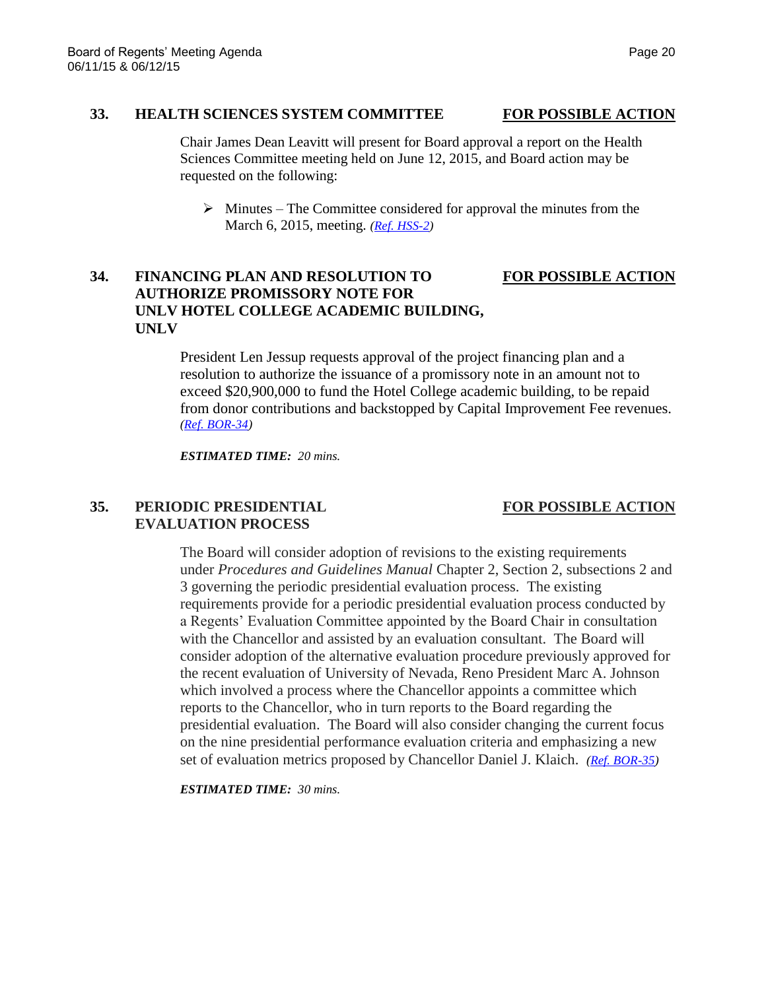# **33. HEALTH SCIENCES SYSTEM COMMITTEE FOR POSSIBLE ACTION**

Chair James Dean Leavitt will present for Board approval a report on the Health Sciences Committee meeting held on June 12, 2015, and Board action may be requested on the following:

 $\triangleright$  Minutes – The Committee considered for approval the minutes from the March 6, 2015, meeting. *[\(Ref. HSS-2\)](http://system.nevada.edu/tasks/sites/Nshe/assets/File/BoardOfRegents/Agendas/2015/jun-mtgs/hss-refs/HSS-2.pdf)*

# **34. FINANCING PLAN AND RESOLUTION TO FOR POSSIBLE ACTION AUTHORIZE PROMISSORY NOTE FOR UNLV HOTEL COLLEGE ACADEMIC BUILDING, UNLV**

President Len Jessup requests approval of the project financing plan and a resolution to authorize the issuance of a promissory note in an amount not to exceed \$20,900,000 to fund the Hotel College academic building, to be repaid from donor contributions and backstopped by Capital Improvement Fee revenues. *[\(Ref. BOR-34\)](http://system.nevada.edu/tasks/sites/Nshe/assets/File/BoardOfRegents/Agendas/2015/jun-mtgs/bor-refs/BOR-34.pdf)*

*ESTIMATED TIME: 20 mins.*

### **35. PERIODIC PRESIDENTIAL FOR POSSIBLE ACTION EVALUATION PROCESS**

The Board will consider adoption of revisions to the existing requirements under *Procedures and Guidelines Manual* Chapter 2, Section 2, subsections 2 and 3 governing the periodic presidential evaluation process. The existing requirements provide for a periodic presidential evaluation process conducted by a Regents' Evaluation Committee appointed by the Board Chair in consultation with the Chancellor and assisted by an evaluation consultant. The Board will consider adoption of the alternative evaluation procedure previously approved for the recent evaluation of University of Nevada, Reno President Marc A. Johnson which involved a process where the Chancellor appoints a committee which reports to the Chancellor, who in turn reports to the Board regarding the presidential evaluation. The Board will also consider changing the current focus on the nine presidential performance evaluation criteria and emphasizing a new set of evaluation metrics proposed by Chancellor Daniel J. Klaich. *[\(Ref. BOR-35\)](http://system.nevada.edu/tasks/sites/Nshe/assets/File/BoardOfRegents/Agendas/2015/jun-mtgs/bor-refs/BOR-35.pdf)*

*ESTIMATED TIME: 30 mins.*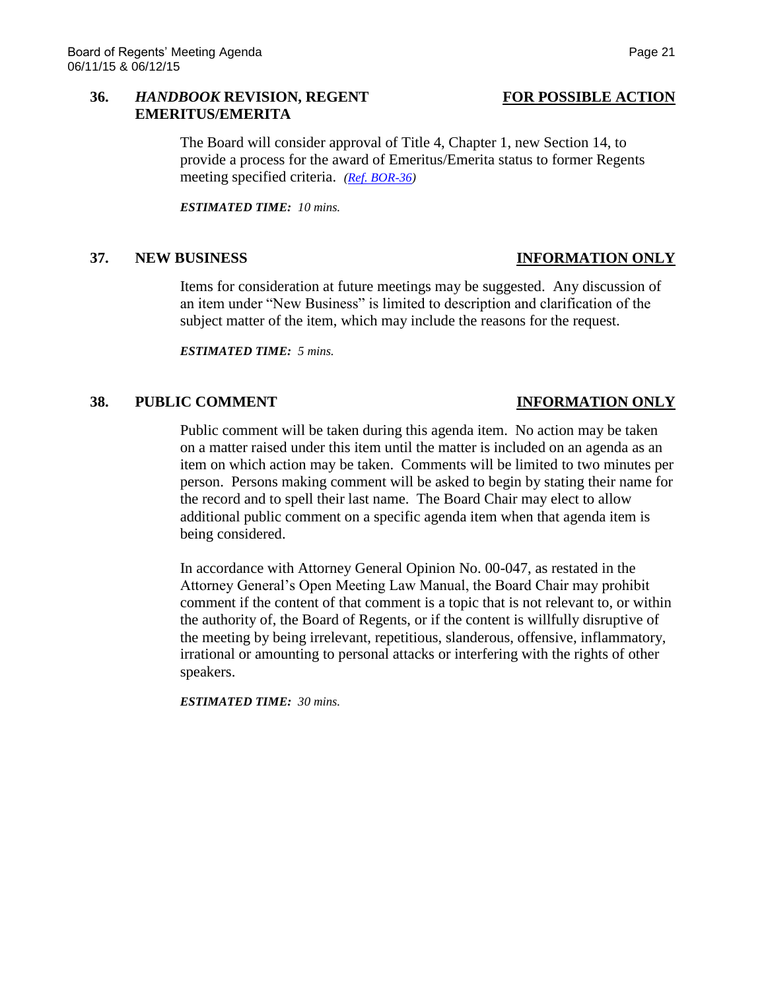### **36.** *HANDBOOK* **REVISION, REGENT FOR POSSIBLE ACTION EMERITUS/EMERITA**

The Board will consider approval of Title 4, Chapter 1, new Section 14, to provide a process for the award of Emeritus/Emerita status to former Regents meeting specified criteria. *[\(Ref. BOR-36\)](http://system.nevada.edu/tasks/sites/Nshe/assets/File/BoardOfRegents/Agendas/2015/jun-mtgs/bor-refs/BOR-36.pdf)*

*ESTIMATED TIME: 10 mins.*

### **37. NEW BUSINESS INFORMATION ONLY**

Items for consideration at future meetings may be suggested. Any discussion of an item under "New Business" is limited to description and clarification of the subject matter of the item, which may include the reasons for the request.

*ESTIMATED TIME: 5 mins.*

### **38. PUBLIC COMMENT INFORMATION ONLY**

Public comment will be taken during this agenda item. No action may be taken on a matter raised under this item until the matter is included on an agenda as an item on which action may be taken. Comments will be limited to two minutes per person. Persons making comment will be asked to begin by stating their name for the record and to spell their last name. The Board Chair may elect to allow additional public comment on a specific agenda item when that agenda item is being considered.

In accordance with Attorney General Opinion No. 00-047, as restated in the Attorney General's Open Meeting Law Manual, the Board Chair may prohibit comment if the content of that comment is a topic that is not relevant to, or within the authority of, the Board of Regents, or if the content is willfully disruptive of the meeting by being irrelevant, repetitious, slanderous, offensive, inflammatory, irrational or amounting to personal attacks or interfering with the rights of other speakers.

*ESTIMATED TIME: 30 mins.*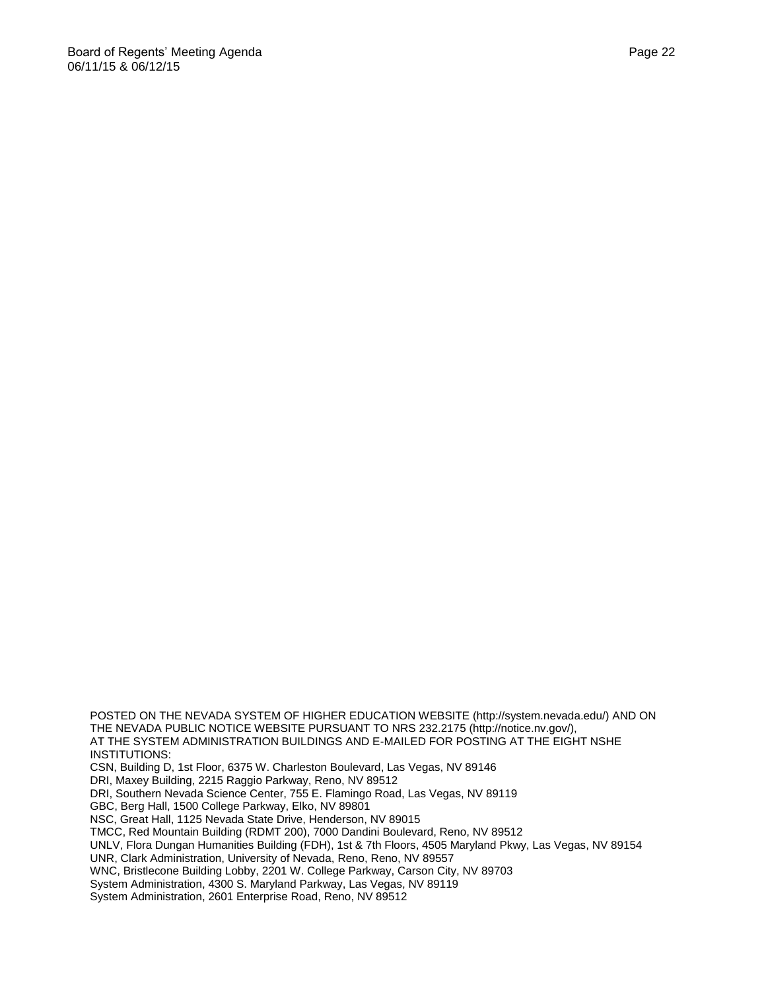POSTED ON THE NEVADA SYSTEM OF HIGHER EDUCATION WEBSITE (http://system.nevada.edu/) AND ON THE NEVADA PUBLIC NOTICE WEBSITE PURSUANT TO NRS 232.2175 (http://notice.nv.gov/), AT THE SYSTEM ADMINISTRATION BUILDINGS AND E-MAILED FOR POSTING AT THE EIGHT NSHE INSTITUTIONS: CSN, Building D, 1st Floor, 6375 W. Charleston Boulevard, Las Vegas, NV 89146 DRI, Maxey Building, 2215 Raggio Parkway, Reno, NV 89512 DRI, Southern Nevada Science Center, 755 E. Flamingo Road, Las Vegas, NV 89119 GBC, Berg Hall, 1500 College Parkway, Elko, NV 89801 NSC, Great Hall, 1125 Nevada State Drive, Henderson, NV 89015 TMCC, Red Mountain Building (RDMT 200), 7000 Dandini Boulevard, Reno, NV 89512 UNLV, Flora Dungan Humanities Building (FDH), 1st & 7th Floors, 4505 Maryland Pkwy, Las Vegas, NV 89154 UNR, Clark Administration, University of Nevada, Reno, Reno, NV 89557 WNC, Bristlecone Building Lobby, 2201 W. College Parkway, Carson City, NV 89703 System Administration, 4300 S. Maryland Parkway, Las Vegas, NV 89119

System Administration, 2601 Enterprise Road, Reno, NV 89512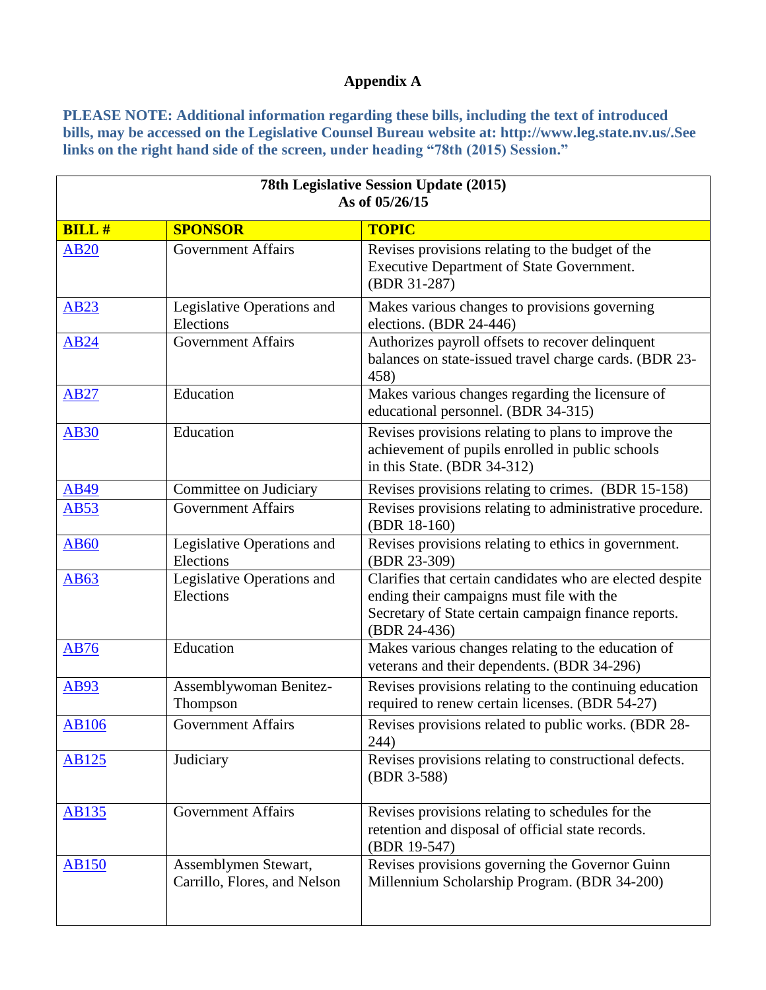# **Appendix A**

**PLEASE NOTE: Additional information regarding these bills, including the text of introduced bills, may be accessed on the Legislative Counsel Bureau website at: http://www.leg.state.nv.us/.See links on the right hand side of the screen, under heading "78th (2015) Session."**

| 78th Legislative Session Update (2015)<br>As of 05/26/15 |                                                      |                                                                                                                                                                                |  |
|----------------------------------------------------------|------------------------------------------------------|--------------------------------------------------------------------------------------------------------------------------------------------------------------------------------|--|
| <b>BILL#</b>                                             | <b>SPONSOR</b>                                       | <b>TOPIC</b>                                                                                                                                                                   |  |
| <b>AB20</b>                                              | <b>Government Affairs</b>                            | Revises provisions relating to the budget of the<br><b>Executive Department of State Government.</b><br>(BDR 31-287)                                                           |  |
| <b>AB23</b>                                              | Legislative Operations and<br>Elections              | Makes various changes to provisions governing<br>elections. (BDR 24-446)                                                                                                       |  |
| <b>AB24</b>                                              | <b>Government Affairs</b>                            | Authorizes payroll offsets to recover delinquent<br>balances on state-issued travel charge cards. (BDR 23-<br>458)                                                             |  |
| <b>AB27</b>                                              | Education                                            | Makes various changes regarding the licensure of<br>educational personnel. (BDR 34-315)                                                                                        |  |
| <b>AB30</b>                                              | Education                                            | Revises provisions relating to plans to improve the<br>achievement of pupils enrolled in public schools<br>in this State. (BDR 34-312)                                         |  |
| <b>AB49</b>                                              | Committee on Judiciary                               | Revises provisions relating to crimes. (BDR 15-158)                                                                                                                            |  |
| <b>AB53</b>                                              | <b>Government Affairs</b>                            | Revises provisions relating to administrative procedure.<br>(BDR 18-160)                                                                                                       |  |
| <b>AB60</b>                                              | Legislative Operations and<br>Elections              | Revises provisions relating to ethics in government.<br>(BDR 23-309)                                                                                                           |  |
| <b>AB63</b>                                              | Legislative Operations and<br>Elections              | Clarifies that certain candidates who are elected despite<br>ending their campaigns must file with the<br>Secretary of State certain campaign finance reports.<br>(BDR 24-436) |  |
| <b>AB76</b>                                              | Education                                            | Makes various changes relating to the education of<br>veterans and their dependents. (BDR 34-296)                                                                              |  |
| <b>AB93</b>                                              | Assemblywoman Benitez-<br>Thompson                   | Revises provisions relating to the continuing education<br>required to renew certain licenses. (BDR 54-27)                                                                     |  |
| <b>AB106</b>                                             | <b>Government Affairs</b>                            | Revises provisions related to public works. (BDR 28-<br>244)                                                                                                                   |  |
| <b>AB125</b>                                             | Judiciary                                            | Revises provisions relating to constructional defects.<br>(BDR 3-588)                                                                                                          |  |
| <b>AB135</b>                                             | <b>Government Affairs</b>                            | Revises provisions relating to schedules for the<br>retention and disposal of official state records.<br>(BDR 19-547)                                                          |  |
| <b>AB150</b>                                             | Assemblymen Stewart,<br>Carrillo, Flores, and Nelson | Revises provisions governing the Governor Guinn<br>Millennium Scholarship Program. (BDR 34-200)                                                                                |  |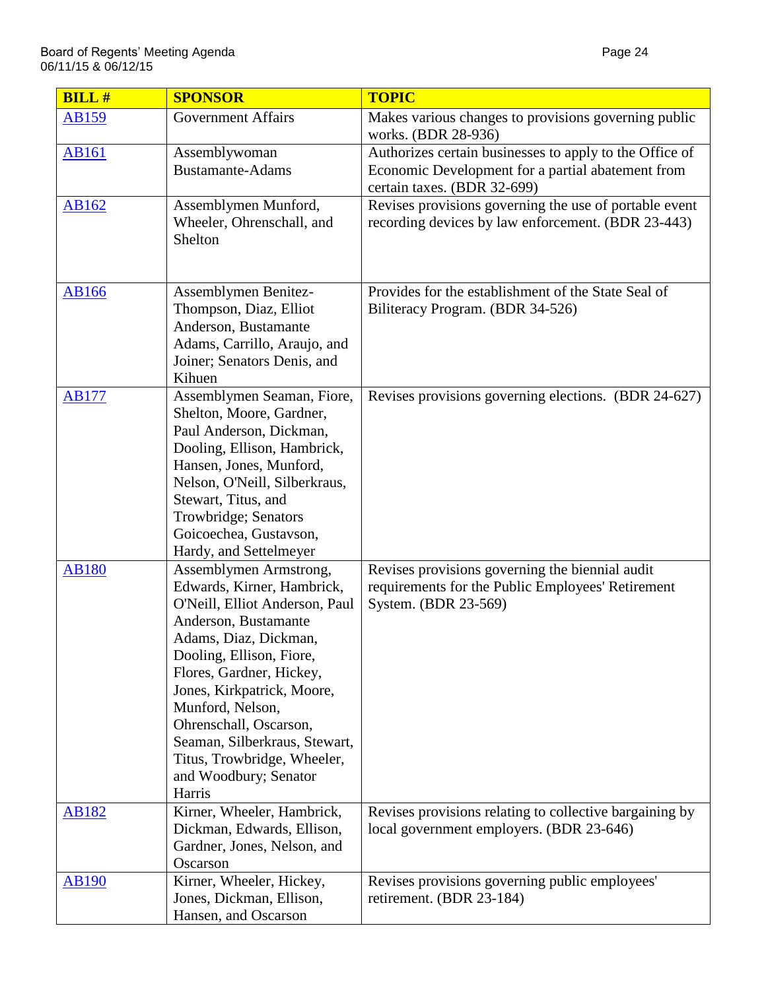| <b>BILL#</b> | <b>SPONSOR</b>                                         | <b>TOPIC</b>                                                                |
|--------------|--------------------------------------------------------|-----------------------------------------------------------------------------|
| <b>AB159</b> | <b>Government Affairs</b>                              | Makes various changes to provisions governing public<br>works. (BDR 28-936) |
| AB161        | Assemblywoman                                          | Authorizes certain businesses to apply to the Office of                     |
|              | <b>Bustamante-Adams</b>                                | Economic Development for a partial abatement from                           |
|              |                                                        | certain taxes. (BDR 32-699)                                                 |
| AB162        | Assemblymen Munford,                                   | Revises provisions governing the use of portable event                      |
|              | Wheeler, Ohrenschall, and                              | recording devices by law enforcement. (BDR 23-443)                          |
|              | Shelton                                                |                                                                             |
|              |                                                        |                                                                             |
| <b>AB166</b> | Assemblymen Benitez-                                   | Provides for the establishment of the State Seal of                         |
|              | Thompson, Diaz, Elliot                                 | Biliteracy Program. (BDR 34-526)                                            |
|              | Anderson, Bustamante                                   |                                                                             |
|              | Adams, Carrillo, Araujo, and                           |                                                                             |
|              | Joiner; Senators Denis, and                            |                                                                             |
|              | Kihuen                                                 |                                                                             |
| <b>AB177</b> | Assemblymen Seaman, Fiore,                             | Revises provisions governing elections. (BDR 24-627)                        |
|              | Shelton, Moore, Gardner,                               |                                                                             |
|              | Paul Anderson, Dickman,<br>Dooling, Ellison, Hambrick, |                                                                             |
|              | Hansen, Jones, Munford,                                |                                                                             |
|              | Nelson, O'Neill, Silberkraus,                          |                                                                             |
|              | Stewart, Titus, and                                    |                                                                             |
|              | Trowbridge; Senators                                   |                                                                             |
|              | Goicoechea, Gustavson,                                 |                                                                             |
|              | Hardy, and Settelmeyer                                 |                                                                             |
| <b>AB180</b> | Assemblymen Armstrong,                                 | Revises provisions governing the biennial audit                             |
|              | Edwards, Kirner, Hambrick,                             | requirements for the Public Employees' Retirement                           |
|              | O'Neill, Elliot Anderson, Paul                         | System. (BDR 23-569)                                                        |
|              | Anderson, Bustamante                                   |                                                                             |
|              | Adams, Diaz, Dickman,                                  |                                                                             |
|              | Dooling, Ellison, Fiore,                               |                                                                             |
|              | Flores, Gardner, Hickey,                               |                                                                             |
|              | Jones, Kirkpatrick, Moore,                             |                                                                             |
|              | Munford, Nelson,<br>Ohrenschall, Oscarson,             |                                                                             |
|              | Seaman, Silberkraus, Stewart,                          |                                                                             |
|              | Titus, Trowbridge, Wheeler,                            |                                                                             |
|              | and Woodbury; Senator                                  |                                                                             |
|              | Harris                                                 |                                                                             |
| <b>AB182</b> | Kirner, Wheeler, Hambrick,                             | Revises provisions relating to collective bargaining by                     |
|              | Dickman, Edwards, Ellison,                             | local government employers. (BDR 23-646)                                    |
|              | Gardner, Jones, Nelson, and                            |                                                                             |
|              | Oscarson                                               |                                                                             |
| <b>AB190</b> | Kirner, Wheeler, Hickey,                               | Revises provisions governing public employees'                              |
|              | Jones, Dickman, Ellison,                               | retirement. (BDR 23-184)                                                    |
|              | Hansen, and Oscarson                                   |                                                                             |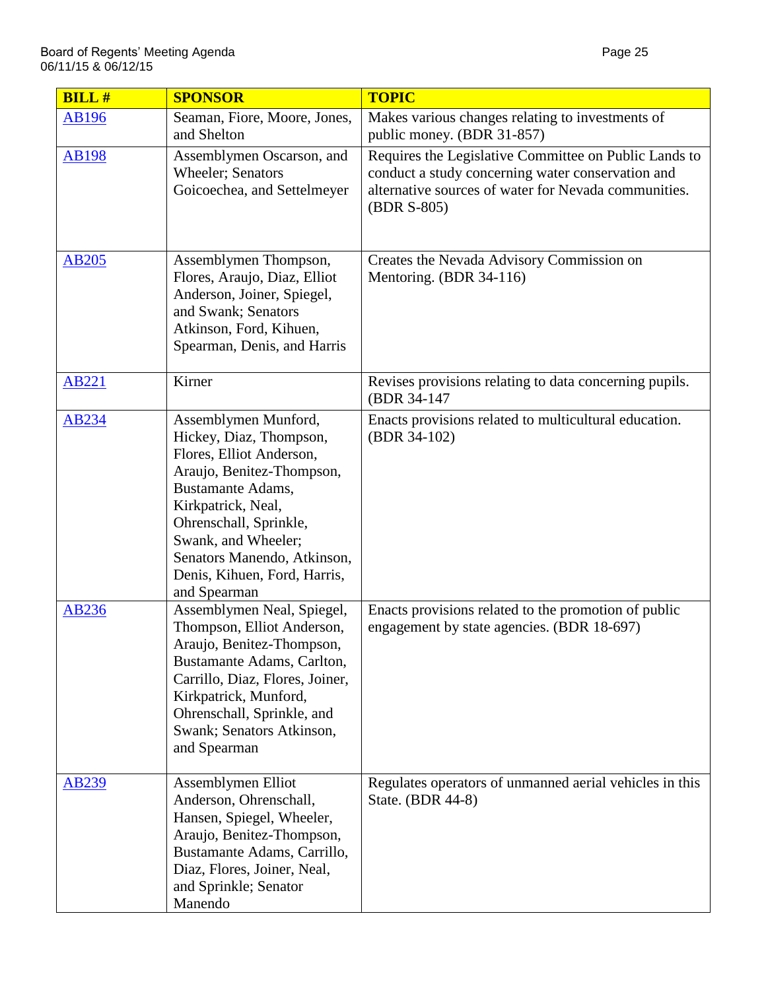| <b>BILL#</b> | <b>SPONSOR</b>                                                                                                                                                                                                                                                                             | <b>TOPIC</b>                                                                                                                                                                      |
|--------------|--------------------------------------------------------------------------------------------------------------------------------------------------------------------------------------------------------------------------------------------------------------------------------------------|-----------------------------------------------------------------------------------------------------------------------------------------------------------------------------------|
| <b>AB196</b> | Seaman, Fiore, Moore, Jones,<br>and Shelton                                                                                                                                                                                                                                                | Makes various changes relating to investments of<br>public money. (BDR 31-857)                                                                                                    |
| <b>AB198</b> | Assemblymen Oscarson, and<br>Wheeler; Senators<br>Goicoechea, and Settelmeyer                                                                                                                                                                                                              | Requires the Legislative Committee on Public Lands to<br>conduct a study concerning water conservation and<br>alternative sources of water for Nevada communities.<br>(BDR S-805) |
| <b>AB205</b> | Assemblymen Thompson,<br>Flores, Araujo, Diaz, Elliot<br>Anderson, Joiner, Spiegel,<br>and Swank; Senators<br>Atkinson, Ford, Kihuen,<br>Spearman, Denis, and Harris                                                                                                                       | Creates the Nevada Advisory Commission on<br>Mentoring. (BDR 34-116)                                                                                                              |
| <b>AB221</b> | Kirner                                                                                                                                                                                                                                                                                     | Revises provisions relating to data concerning pupils.<br>(BDR 34-147                                                                                                             |
| AB234        | Assemblymen Munford,<br>Hickey, Diaz, Thompson,<br>Flores, Elliot Anderson,<br>Araujo, Benitez-Thompson,<br><b>Bustamante Adams,</b><br>Kirkpatrick, Neal,<br>Ohrenschall, Sprinkle,<br>Swank, and Wheeler;<br>Senators Manendo, Atkinson,<br>Denis, Kihuen, Ford, Harris,<br>and Spearman | Enacts provisions related to multicultural education.<br>(BDR 34-102)                                                                                                             |
| <b>AB236</b> | Assemblymen Neal, Spiegel,<br>Thompson, Elliot Anderson,<br>Araujo, Benitez-Thompson,<br>Bustamante Adams, Carlton,<br>Carrillo, Diaz, Flores, Joiner,<br>Kirkpatrick, Munford,<br>Ohrenschall, Sprinkle, and<br>Swank; Senators Atkinson,<br>and Spearman                                 | Enacts provisions related to the promotion of public<br>engagement by state agencies. (BDR 18-697)                                                                                |
| <u>AB239</u> | Assemblymen Elliot<br>Anderson, Ohrenschall,<br>Hansen, Spiegel, Wheeler,<br>Araujo, Benitez-Thompson,<br>Bustamante Adams, Carrillo,<br>Diaz, Flores, Joiner, Neal,<br>and Sprinkle; Senator<br>Manendo                                                                                   | Regulates operators of unmanned aerial vehicles in this<br>State. (BDR 44-8)                                                                                                      |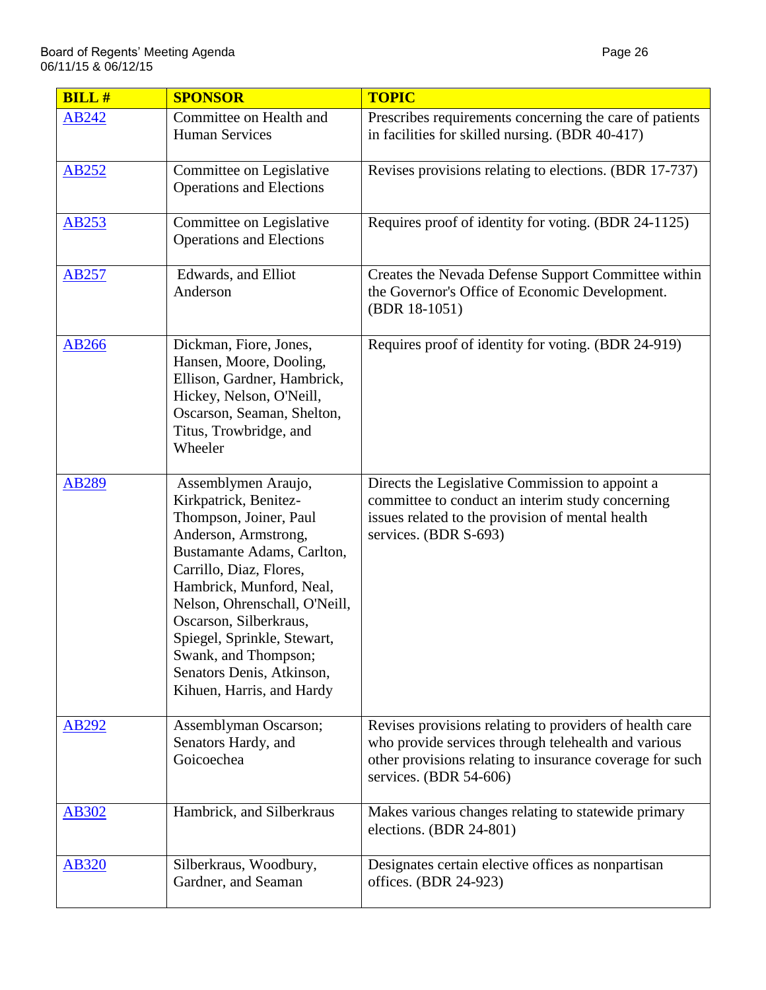| <b>BILL#</b> | <b>SPONSOR</b>                                                                                                                                                                                                                                                                                                                                                  | <b>TOPIC</b>                                                                                                                                                                                         |
|--------------|-----------------------------------------------------------------------------------------------------------------------------------------------------------------------------------------------------------------------------------------------------------------------------------------------------------------------------------------------------------------|------------------------------------------------------------------------------------------------------------------------------------------------------------------------------------------------------|
| AB242        | Committee on Health and<br><b>Human Services</b>                                                                                                                                                                                                                                                                                                                | Prescribes requirements concerning the care of patients<br>in facilities for skilled nursing. (BDR 40-417)                                                                                           |
| <b>AB252</b> | Committee on Legislative<br><b>Operations and Elections</b>                                                                                                                                                                                                                                                                                                     | Revises provisions relating to elections. (BDR 17-737)                                                                                                                                               |
| <b>AB253</b> | Committee on Legislative<br><b>Operations and Elections</b>                                                                                                                                                                                                                                                                                                     | Requires proof of identity for voting. (BDR 24-1125)                                                                                                                                                 |
| <b>AB257</b> | Edwards, and Elliot<br>Anderson                                                                                                                                                                                                                                                                                                                                 | Creates the Nevada Defense Support Committee within<br>the Governor's Office of Economic Development.<br>(BDR 18-1051)                                                                               |
| <b>AB266</b> | Dickman, Fiore, Jones,<br>Hansen, Moore, Dooling,<br>Ellison, Gardner, Hambrick,<br>Hickey, Nelson, O'Neill,<br>Oscarson, Seaman, Shelton,<br>Titus, Trowbridge, and<br>Wheeler                                                                                                                                                                                 | Requires proof of identity for voting. (BDR 24-919)                                                                                                                                                  |
| <b>AB289</b> | Assemblymen Araujo,<br>Kirkpatrick, Benitez-<br>Thompson, Joiner, Paul<br>Anderson, Armstrong,<br>Bustamante Adams, Carlton,<br>Carrillo, Diaz, Flores,<br>Hambrick, Munford, Neal,<br>Nelson, Ohrenschall, O'Neill,<br>Oscarson, Silberkraus,<br>Spiegel, Sprinkle, Stewart,<br>Swank, and Thompson;<br>Senators Denis, Atkinson,<br>Kihuen, Harris, and Hardy | Directs the Legislative Commission to appoint a<br>committee to conduct an interim study concerning<br>issues related to the provision of mental health<br>services. (BDR S-693)                     |
| AB292        | Assemblyman Oscarson;<br>Senators Hardy, and<br>Goicoechea                                                                                                                                                                                                                                                                                                      | Revises provisions relating to providers of health care<br>who provide services through telehealth and various<br>other provisions relating to insurance coverage for such<br>services. (BDR 54-606) |
| <b>AB302</b> | Hambrick, and Silberkraus                                                                                                                                                                                                                                                                                                                                       | Makes various changes relating to statewide primary<br>elections. (BDR 24-801)                                                                                                                       |
| <b>AB320</b> | Silberkraus, Woodbury,<br>Gardner, and Seaman                                                                                                                                                                                                                                                                                                                   | Designates certain elective offices as nonpartisan<br>offices. (BDR 24-923)                                                                                                                          |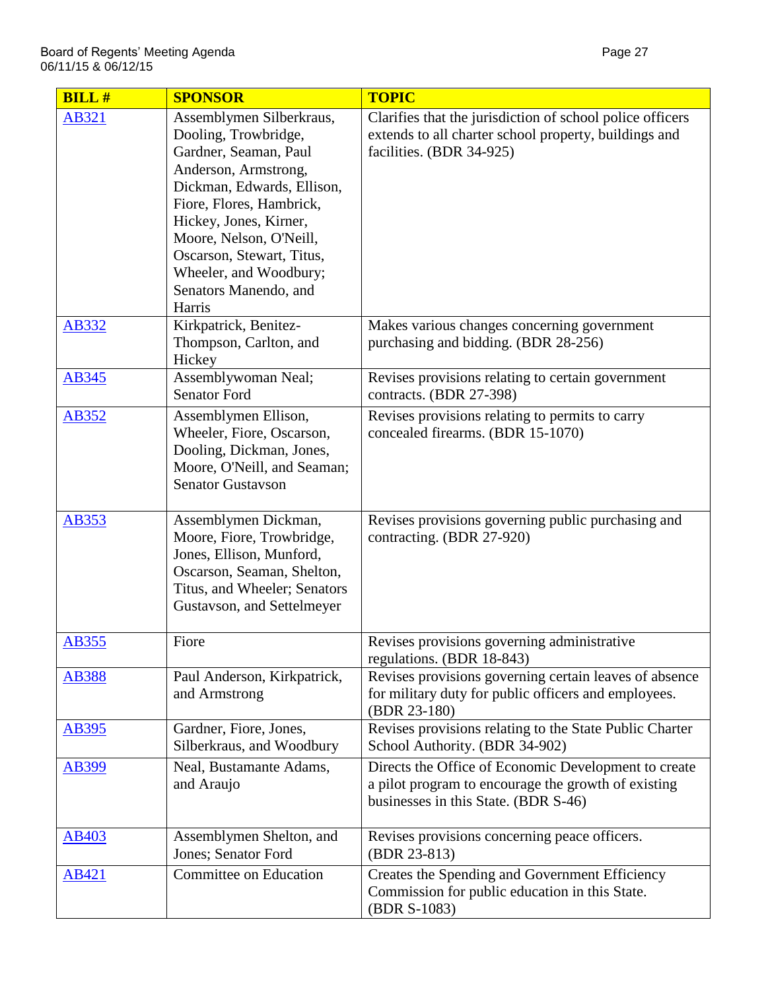| <b>BILL#</b> | <b>SPONSOR</b>                                    | <b>TOPIC</b>                                                                                                   |
|--------------|---------------------------------------------------|----------------------------------------------------------------------------------------------------------------|
| AB321        | Assemblymen Silberkraus,                          | Clarifies that the jurisdiction of school police officers                                                      |
|              | Dooling, Trowbridge,                              | extends to all charter school property, buildings and                                                          |
|              | Gardner, Seaman, Paul                             | facilities. (BDR 34-925)                                                                                       |
|              | Anderson, Armstrong,                              |                                                                                                                |
|              | Dickman, Edwards, Ellison,                        |                                                                                                                |
|              | Fiore, Flores, Hambrick,                          |                                                                                                                |
|              | Hickey, Jones, Kirner,<br>Moore, Nelson, O'Neill, |                                                                                                                |
|              | Oscarson, Stewart, Titus,                         |                                                                                                                |
|              | Wheeler, and Woodbury;                            |                                                                                                                |
|              | Senators Manendo, and                             |                                                                                                                |
|              | Harris                                            |                                                                                                                |
| AB332        | Kirkpatrick, Benitez-                             | Makes various changes concerning government                                                                    |
|              | Thompson, Carlton, and                            | purchasing and bidding. (BDR 28-256)                                                                           |
|              | Hickey                                            |                                                                                                                |
| AB345        | Assemblywoman Neal;                               | Revises provisions relating to certain government                                                              |
|              | <b>Senator Ford</b>                               | contracts. (BDR 27-398)                                                                                        |
| AB352        | Assemblymen Ellison,                              | Revises provisions relating to permits to carry                                                                |
|              | Wheeler, Fiore, Oscarson,                         | concealed firearms. (BDR 15-1070)                                                                              |
|              | Dooling, Dickman, Jones,                          |                                                                                                                |
|              | Moore, O'Neill, and Seaman;                       |                                                                                                                |
|              | <b>Senator Gustavson</b>                          |                                                                                                                |
| AB353        | Assemblymen Dickman,                              | Revises provisions governing public purchasing and                                                             |
|              | Moore, Fiore, Trowbridge,                         | contracting. (BDR 27-920)                                                                                      |
|              | Jones, Ellison, Munford,                          |                                                                                                                |
|              | Oscarson, Seaman, Shelton,                        |                                                                                                                |
|              | Titus, and Wheeler; Senators                      |                                                                                                                |
|              | Gustavson, and Settelmeyer                        |                                                                                                                |
|              |                                                   |                                                                                                                |
| <b>AB355</b> | Fiore                                             | Revises provisions governing administrative                                                                    |
|              |                                                   | regulations. (BDR 18-843)                                                                                      |
| <b>AB388</b> | Paul Anderson, Kirkpatrick,<br>and Armstrong      | Revises provisions governing certain leaves of absence<br>for military duty for public officers and employees. |
|              |                                                   | (BDR 23-180)                                                                                                   |
| AB395        | Gardner, Fiore, Jones,                            | Revises provisions relating to the State Public Charter                                                        |
|              | Silberkraus, and Woodbury                         | School Authority. (BDR 34-902)                                                                                 |
| AB399        | Neal, Bustamante Adams,                           | Directs the Office of Economic Development to create                                                           |
|              | and Araujo                                        | a pilot program to encourage the growth of existing                                                            |
|              |                                                   | businesses in this State. (BDR S-46)                                                                           |
|              |                                                   |                                                                                                                |
| <b>AB403</b> | Assemblymen Shelton, and                          | Revises provisions concerning peace officers.                                                                  |
|              | Jones; Senator Ford                               | (BDR 23-813)                                                                                                   |
| AB421        | Committee on Education                            | Creates the Spending and Government Efficiency                                                                 |
|              |                                                   | Commission for public education in this State.                                                                 |
|              |                                                   | (BDR S-1083)                                                                                                   |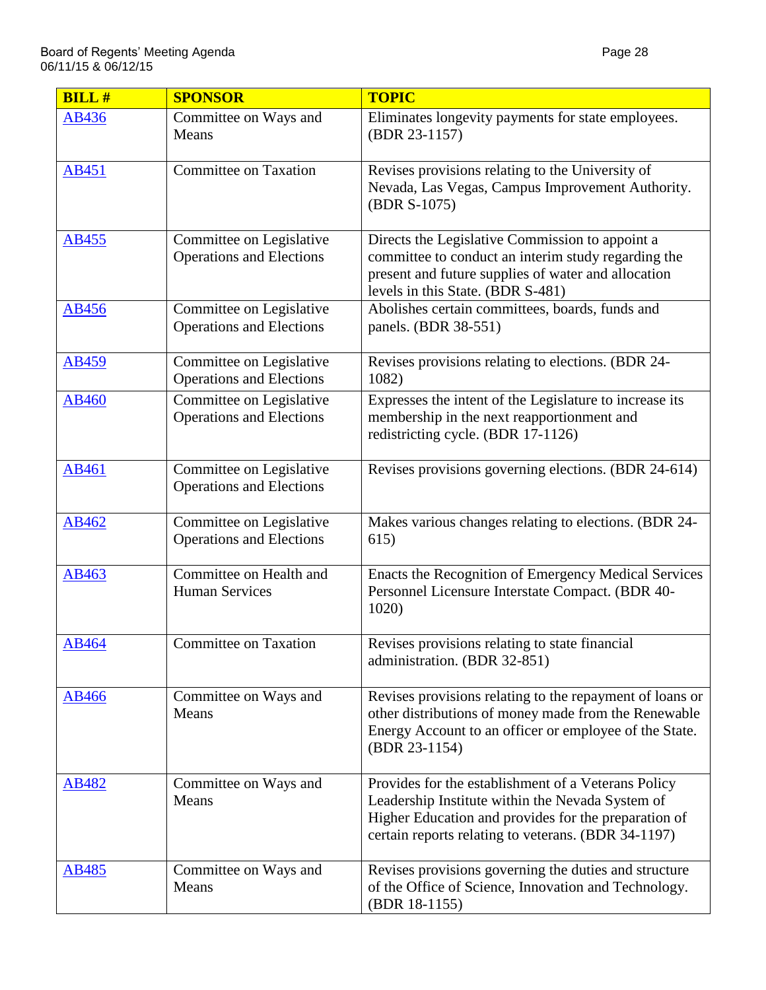| <b>BILL#</b> | <b>SPONSOR</b>                                              | <b>TOPIC</b>                                                                                                                                                                                                           |
|--------------|-------------------------------------------------------------|------------------------------------------------------------------------------------------------------------------------------------------------------------------------------------------------------------------------|
| AB436        | Committee on Ways and<br>Means                              | Eliminates longevity payments for state employees.<br>(BDR 23-1157)                                                                                                                                                    |
| <b>AB451</b> | <b>Committee on Taxation</b>                                | Revises provisions relating to the University of<br>Nevada, Las Vegas, Campus Improvement Authority.<br>(BDR S-1075)                                                                                                   |
| <b>AB455</b> | Committee on Legislative<br><b>Operations and Elections</b> | Directs the Legislative Commission to appoint a<br>committee to conduct an interim study regarding the<br>present and future supplies of water and allocation<br>levels in this State. (BDR S-481)                     |
| <b>AB456</b> | Committee on Legislative<br><b>Operations and Elections</b> | Abolishes certain committees, boards, funds and<br>panels. (BDR 38-551)                                                                                                                                                |
| AB459        | Committee on Legislative<br><b>Operations and Elections</b> | Revises provisions relating to elections. (BDR 24-<br>1082)                                                                                                                                                            |
| AB460        | Committee on Legislative<br><b>Operations and Elections</b> | Expresses the intent of the Legislature to increase its<br>membership in the next reapportionment and<br>redistricting cycle. (BDR 17-1126)                                                                            |
| AB461        | Committee on Legislative<br><b>Operations and Elections</b> | Revises provisions governing elections. (BDR 24-614)                                                                                                                                                                   |
| AB462        | Committee on Legislative<br><b>Operations and Elections</b> | Makes various changes relating to elections. (BDR 24-<br>615)                                                                                                                                                          |
| AB463        | Committee on Health and<br><b>Human Services</b>            | Enacts the Recognition of Emergency Medical Services<br>Personnel Licensure Interstate Compact. (BDR 40-<br>1020)                                                                                                      |
| AB464        | <b>Committee on Taxation</b>                                | Revises provisions relating to state financial<br>administration. (BDR 32-851)                                                                                                                                         |
| AB466        | Committee on Ways and<br>Means                              | Revises provisions relating to the repayment of loans or<br>other distributions of money made from the Renewable<br>Energy Account to an officer or employee of the State.<br>(BDR 23-1154)                            |
| AB482        | Committee on Ways and<br>Means                              | Provides for the establishment of a Veterans Policy<br>Leadership Institute within the Nevada System of<br>Higher Education and provides for the preparation of<br>certain reports relating to veterans. (BDR 34-1197) |
| AB485        | Committee on Ways and<br>Means                              | Revises provisions governing the duties and structure<br>of the Office of Science, Innovation and Technology.<br>(BDR 18-1155)                                                                                         |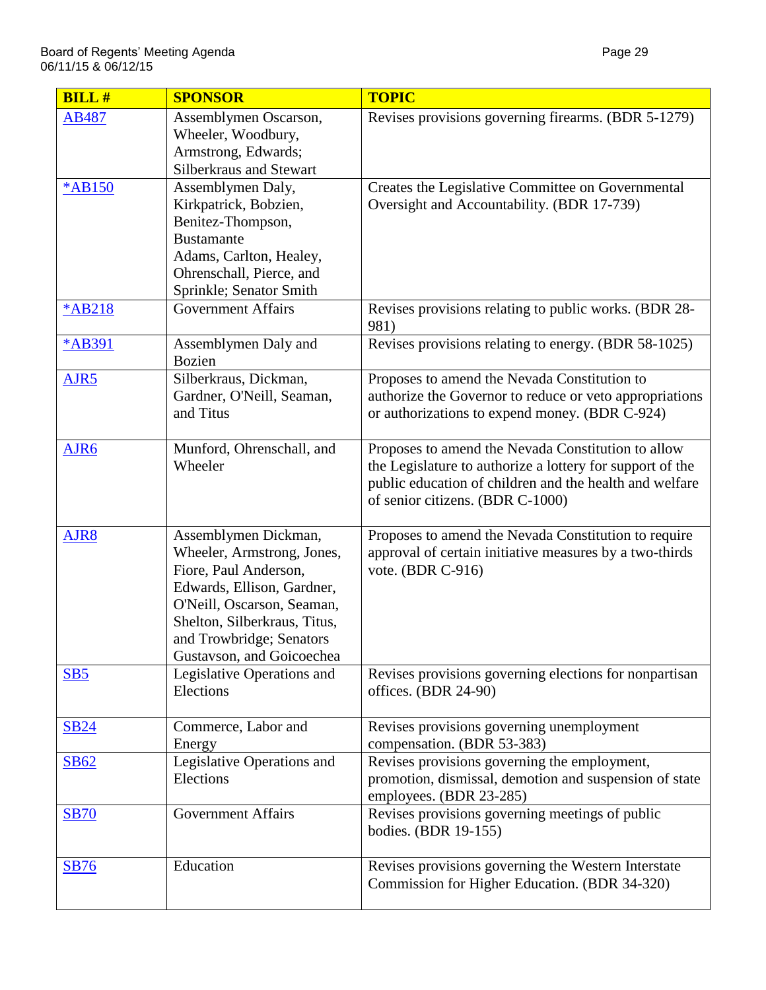| <b>BILL#</b>     | <b>SPONSOR</b>                                                                                                                                                                                                                   | <b>TOPIC</b>                                                                                                                                                                                                   |
|------------------|----------------------------------------------------------------------------------------------------------------------------------------------------------------------------------------------------------------------------------|----------------------------------------------------------------------------------------------------------------------------------------------------------------------------------------------------------------|
| AB487            | Assemblymen Oscarson,<br>Wheeler, Woodbury,<br>Armstrong, Edwards;<br>Silberkraus and Stewart                                                                                                                                    | Revises provisions governing firearms. (BDR 5-1279)                                                                                                                                                            |
| <b>*AB150</b>    | Assemblymen Daly,<br>Kirkpatrick, Bobzien,<br>Benitez-Thompson,<br><b>Bustamante</b><br>Adams, Carlton, Healey,<br>Ohrenschall, Pierce, and<br>Sprinkle; Senator Smith                                                           | Creates the Legislative Committee on Governmental<br>Oversight and Accountability. (BDR 17-739)                                                                                                                |
| <b>*AB218</b>    | <b>Government Affairs</b>                                                                                                                                                                                                        | Revises provisions relating to public works. (BDR 28-<br>981)                                                                                                                                                  |
| *AB391           | Assemblymen Daly and<br><b>Bozien</b>                                                                                                                                                                                            | Revises provisions relating to energy. (BDR 58-1025)                                                                                                                                                           |
| AJR <sub>5</sub> | Silberkraus, Dickman,<br>Gardner, O'Neill, Seaman,<br>and Titus                                                                                                                                                                  | Proposes to amend the Nevada Constitution to<br>authorize the Governor to reduce or veto appropriations<br>or authorizations to expend money. (BDR C-924)                                                      |
| AJR6             | Munford, Ohrenschall, and<br>Wheeler                                                                                                                                                                                             | Proposes to amend the Nevada Constitution to allow<br>the Legislature to authorize a lottery for support of the<br>public education of children and the health and welfare<br>of senior citizens. (BDR C-1000) |
| AJR8             | Assemblymen Dickman,<br>Wheeler, Armstrong, Jones,<br>Fiore, Paul Anderson,<br>Edwards, Ellison, Gardner,<br>O'Neill, Oscarson, Seaman,<br>Shelton, Silberkraus, Titus,<br>and Trowbridge; Senators<br>Gustavson, and Goicoechea | Proposes to amend the Nevada Constitution to require<br>approval of certain initiative measures by a two-thirds<br>vote. (BDR C-916)                                                                           |
| SB5              | Legislative Operations and<br>Elections                                                                                                                                                                                          | Revises provisions governing elections for nonpartisan<br>offices. (BDR 24-90)                                                                                                                                 |
| <b>SB24</b>      | Commerce, Labor and<br>Energy                                                                                                                                                                                                    | Revises provisions governing unemployment<br>compensation. (BDR 53-383)                                                                                                                                        |
| <b>SB62</b>      | Legislative Operations and<br>Elections                                                                                                                                                                                          | Revises provisions governing the employment,<br>promotion, dismissal, demotion and suspension of state<br>employees. (BDR 23-285)                                                                              |
| <b>SB70</b>      | <b>Government Affairs</b>                                                                                                                                                                                                        | Revises provisions governing meetings of public<br>bodies. (BDR 19-155)                                                                                                                                        |
| <b>SB76</b>      | Education                                                                                                                                                                                                                        | Revises provisions governing the Western Interstate<br>Commission for Higher Education. (BDR 34-320)                                                                                                           |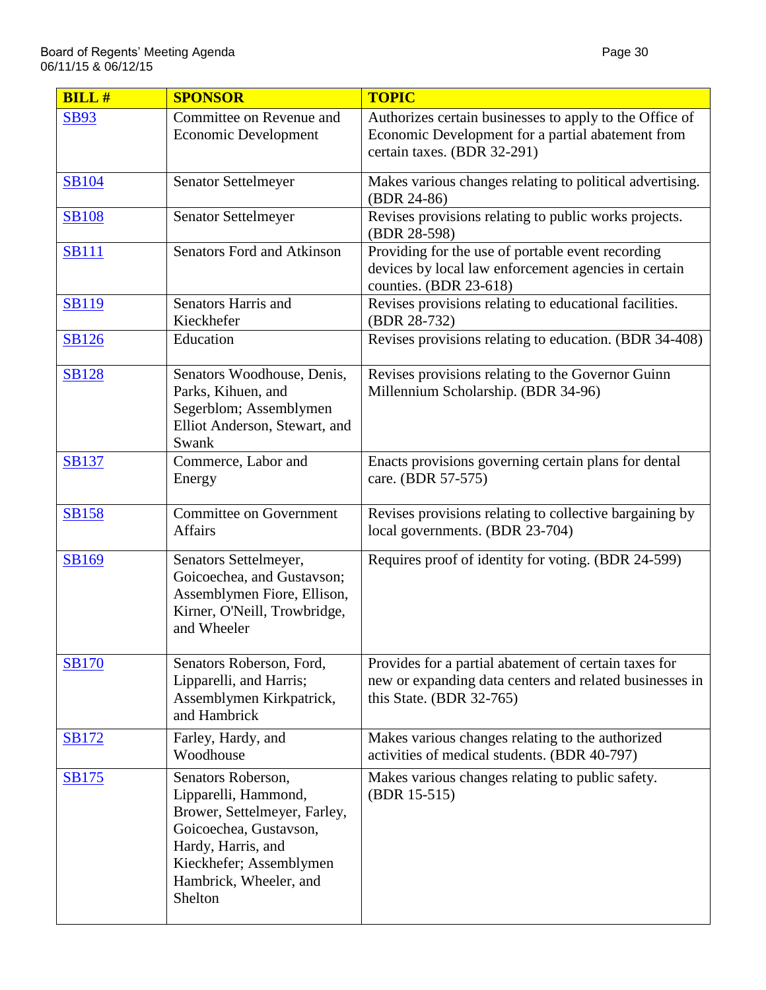| <b>BILL#</b> | <b>SPONSOR</b>                                                                                                                                                                             | <b>TOPIC</b>                                                                                                                                 |
|--------------|--------------------------------------------------------------------------------------------------------------------------------------------------------------------------------------------|----------------------------------------------------------------------------------------------------------------------------------------------|
| <b>SB93</b>  | Committee on Revenue and<br><b>Economic Development</b>                                                                                                                                    | Authorizes certain businesses to apply to the Office of<br>Economic Development for a partial abatement from<br>certain taxes. (BDR 32-291)  |
| <b>SB104</b> | Senator Settelmeyer                                                                                                                                                                        | Makes various changes relating to political advertising.<br>(BDR 24-86)                                                                      |
| <b>SB108</b> | <b>Senator Settelmeyer</b>                                                                                                                                                                 | Revises provisions relating to public works projects.<br>(BDR 28-598)                                                                        |
| <b>SB111</b> | <b>Senators Ford and Atkinson</b>                                                                                                                                                          | Providing for the use of portable event recording<br>devices by local law enforcement agencies in certain<br>counties. (BDR 23-618)          |
| <b>SB119</b> | Senators Harris and<br>Kieckhefer                                                                                                                                                          | Revises provisions relating to educational facilities.<br>(BDR 28-732)                                                                       |
| <b>SB126</b> | Education                                                                                                                                                                                  | Revises provisions relating to education. (BDR 34-408)                                                                                       |
| <b>SB128</b> | Senators Woodhouse, Denis,<br>Parks, Kihuen, and<br>Segerblom; Assemblymen<br>Elliot Anderson, Stewart, and<br>Swank                                                                       | Revises provisions relating to the Governor Guinn<br>Millennium Scholarship. (BDR 34-96)                                                     |
| <b>SB137</b> | Commerce, Labor and<br>Energy                                                                                                                                                              | Enacts provisions governing certain plans for dental<br>care. (BDR 57-575)                                                                   |
| <b>SB158</b> | <b>Committee on Government</b><br><b>Affairs</b>                                                                                                                                           | Revises provisions relating to collective bargaining by<br>local governments. (BDR 23-704)                                                   |
| <b>SB169</b> | Senators Settelmeyer,<br>Goicoechea, and Gustavson;<br>Assemblymen Fiore, Ellison,<br>Kirner, O'Neill, Trowbridge,<br>and Wheeler                                                          | Requires proof of identity for voting. (BDR 24-599)                                                                                          |
| <b>SB170</b> | Senators Roberson, Ford,<br>Lipparelli, and Harris;<br>Assemblymen Kirkpatrick,<br>and Hambrick                                                                                            | Provides for a partial abatement of certain taxes for<br>new or expanding data centers and related businesses in<br>this State. (BDR 32-765) |
| <b>SB172</b> | Farley, Hardy, and<br>Woodhouse                                                                                                                                                            | Makes various changes relating to the authorized<br>activities of medical students. (BDR 40-797)                                             |
| <b>SB175</b> | Senators Roberson,<br>Lipparelli, Hammond,<br>Brower, Settelmeyer, Farley,<br>Goicoechea, Gustavson,<br>Hardy, Harris, and<br>Kieckhefer; Assemblymen<br>Hambrick, Wheeler, and<br>Shelton | Makes various changes relating to public safety.<br>(BDR 15-515)                                                                             |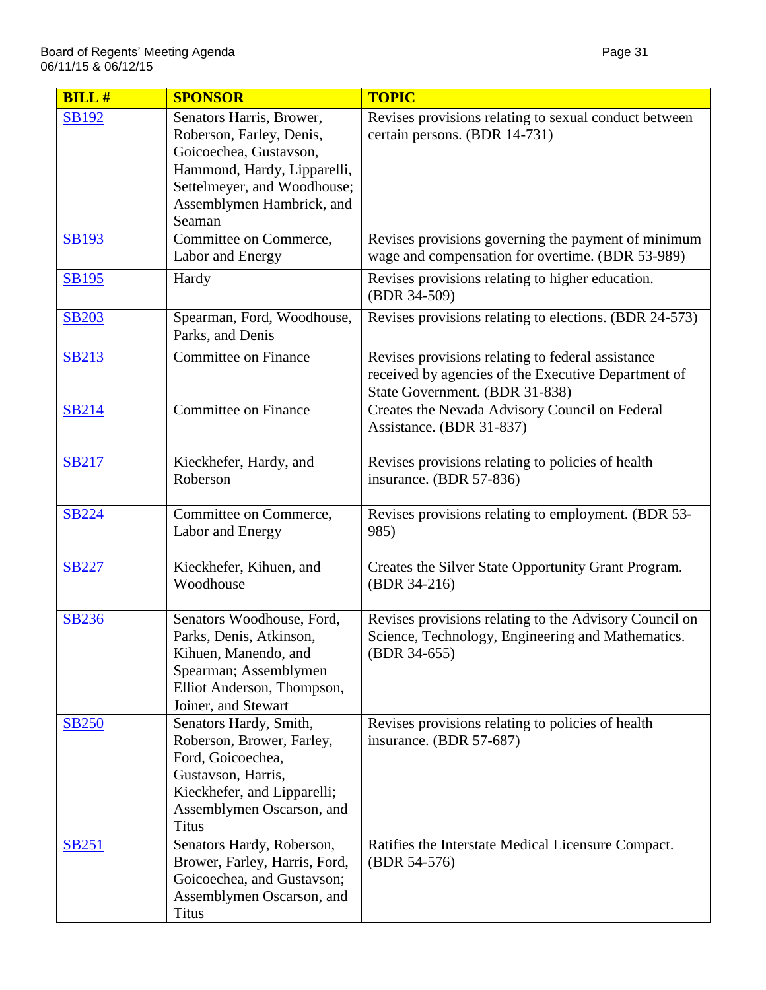| <b>BILL#</b> | <b>SPONSOR</b>                                                                                                                                                                      | <b>TOPIC</b>                                                                                                                               |
|--------------|-------------------------------------------------------------------------------------------------------------------------------------------------------------------------------------|--------------------------------------------------------------------------------------------------------------------------------------------|
| <b>SB192</b> | Senators Harris, Brower,<br>Roberson, Farley, Denis,<br>Goicoechea, Gustavson,<br>Hammond, Hardy, Lipparelli,<br>Settelmeyer, and Woodhouse;<br>Assemblymen Hambrick, and<br>Seaman | Revises provisions relating to sexual conduct between<br>certain persons. (BDR 14-731)                                                     |
| <b>SB193</b> | Committee on Commerce,<br>Labor and Energy                                                                                                                                          | Revises provisions governing the payment of minimum<br>wage and compensation for overtime. (BDR 53-989)                                    |
| <b>SB195</b> | Hardy                                                                                                                                                                               | Revises provisions relating to higher education.<br>(BDR 34-509)                                                                           |
| <b>SB203</b> | Spearman, Ford, Woodhouse,<br>Parks, and Denis                                                                                                                                      | Revises provisions relating to elections. (BDR 24-573)                                                                                     |
| <b>SB213</b> | <b>Committee on Finance</b>                                                                                                                                                         | Revises provisions relating to federal assistance<br>received by agencies of the Executive Department of<br>State Government. (BDR 31-838) |
| <b>SB214</b> | <b>Committee on Finance</b>                                                                                                                                                         | Creates the Nevada Advisory Council on Federal<br>Assistance. (BDR 31-837)                                                                 |
| <b>SB217</b> | Kieckhefer, Hardy, and<br>Roberson                                                                                                                                                  | Revises provisions relating to policies of health<br>insurance. (BDR 57-836)                                                               |
| <b>SB224</b> | Committee on Commerce,<br>Labor and Energy                                                                                                                                          | Revises provisions relating to employment. (BDR 53-<br>985)                                                                                |
| <b>SB227</b> | Kieckhefer, Kihuen, and<br>Woodhouse                                                                                                                                                | Creates the Silver State Opportunity Grant Program.<br>(BDR 34-216)                                                                        |
| <b>SB236</b> | Senators Woodhouse, Ford,<br>Parks, Denis, Atkinson,<br>Kihuen, Manendo, and<br>Spearman; Assemblymen<br>Elliot Anderson, Thompson,<br>Joiner, and Stewart                          | Revises provisions relating to the Advisory Council on<br>Science, Technology, Engineering and Mathematics.<br>(BDR 34-655)                |
| <b>SB250</b> | Senators Hardy, Smith,<br>Roberson, Brower, Farley,<br>Ford, Goicoechea,<br>Gustavson, Harris,<br>Kieckhefer, and Lipparelli;<br>Assemblymen Oscarson, and<br><b>Titus</b>          | Revises provisions relating to policies of health<br>insurance. (BDR 57-687)                                                               |
| <b>SB251</b> | Senators Hardy, Roberson,<br>Brower, Farley, Harris, Ford,<br>Goicoechea, and Gustavson;<br>Assemblymen Oscarson, and<br><b>Titus</b>                                               | Ratifies the Interstate Medical Licensure Compact.<br>(BDR 54-576)                                                                         |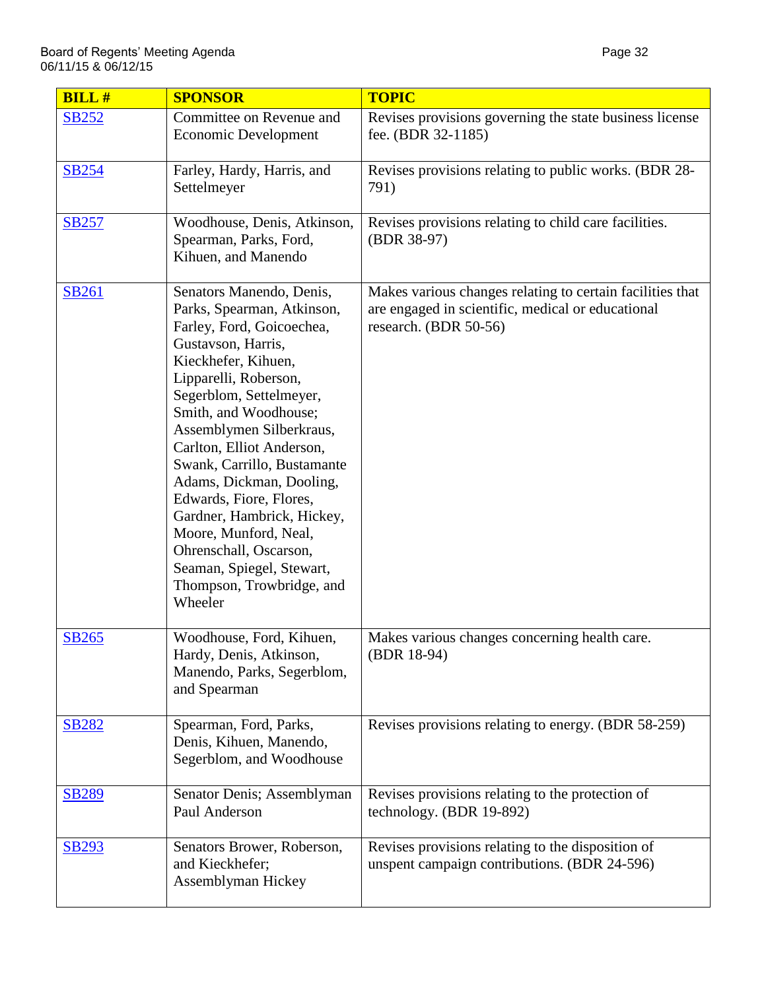| <b>BILL#</b> | <b>SPONSOR</b>                                                                                                                                                                                                                                                                                                                                                                                                                                                                                                     | <b>TOPIC</b>                                                                                                                            |
|--------------|--------------------------------------------------------------------------------------------------------------------------------------------------------------------------------------------------------------------------------------------------------------------------------------------------------------------------------------------------------------------------------------------------------------------------------------------------------------------------------------------------------------------|-----------------------------------------------------------------------------------------------------------------------------------------|
| <b>SB252</b> | Committee on Revenue and<br><b>Economic Development</b>                                                                                                                                                                                                                                                                                                                                                                                                                                                            | Revises provisions governing the state business license<br>fee. (BDR 32-1185)                                                           |
| <b>SB254</b> | Farley, Hardy, Harris, and<br>Settelmeyer                                                                                                                                                                                                                                                                                                                                                                                                                                                                          | Revises provisions relating to public works. (BDR 28-<br>791)                                                                           |
| <b>SB257</b> | Woodhouse, Denis, Atkinson,<br>Spearman, Parks, Ford,<br>Kihuen, and Manendo                                                                                                                                                                                                                                                                                                                                                                                                                                       | Revises provisions relating to child care facilities.<br>(BDR 38-97)                                                                    |
| <b>SB261</b> | Senators Manendo, Denis,<br>Parks, Spearman, Atkinson,<br>Farley, Ford, Goicoechea,<br>Gustavson, Harris,<br>Kieckhefer, Kihuen,<br>Lipparelli, Roberson,<br>Segerblom, Settelmeyer,<br>Smith, and Woodhouse;<br>Assemblymen Silberkraus,<br>Carlton, Elliot Anderson,<br>Swank, Carrillo, Bustamante<br>Adams, Dickman, Dooling,<br>Edwards, Fiore, Flores,<br>Gardner, Hambrick, Hickey,<br>Moore, Munford, Neal,<br>Ohrenschall, Oscarson,<br>Seaman, Spiegel, Stewart,<br>Thompson, Trowbridge, and<br>Wheeler | Makes various changes relating to certain facilities that<br>are engaged in scientific, medical or educational<br>research. (BDR 50-56) |
| <b>SB265</b> | Woodhouse, Ford, Kihuen,<br>Hardy, Denis, Atkinson,<br>Manendo, Parks, Segerblom,<br>and Spearman                                                                                                                                                                                                                                                                                                                                                                                                                  | Makes various changes concerning health care.<br>(BDR 18-94)                                                                            |
| <b>SB282</b> | Spearman, Ford, Parks,<br>Denis, Kihuen, Manendo,<br>Segerblom, and Woodhouse                                                                                                                                                                                                                                                                                                                                                                                                                                      | Revises provisions relating to energy. (BDR 58-259)                                                                                     |
| <b>SB289</b> | Senator Denis; Assemblyman<br>Paul Anderson                                                                                                                                                                                                                                                                                                                                                                                                                                                                        | Revises provisions relating to the protection of<br>technology. (BDR 19-892)                                                            |
| <b>SB293</b> | Senators Brower, Roberson,<br>and Kieckhefer;<br>Assemblyman Hickey                                                                                                                                                                                                                                                                                                                                                                                                                                                | Revises provisions relating to the disposition of<br>unspent campaign contributions. (BDR 24-596)                                       |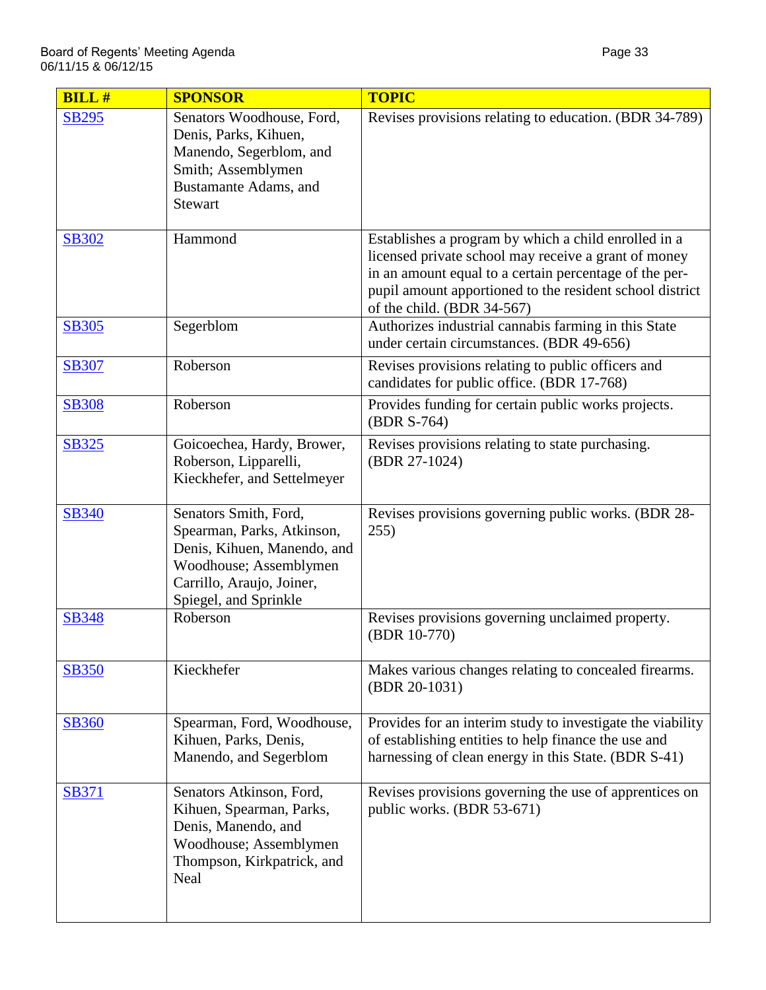| <b>BILL#</b> | <b>SPONSOR</b>                                                                                                                                                     | <b>TOPIC</b>                                                                                                                                                                                                                                                     |
|--------------|--------------------------------------------------------------------------------------------------------------------------------------------------------------------|------------------------------------------------------------------------------------------------------------------------------------------------------------------------------------------------------------------------------------------------------------------|
| <b>SB295</b> | Senators Woodhouse, Ford,<br>Denis, Parks, Kihuen,<br>Manendo, Segerblom, and<br>Smith; Assemblymen<br>Bustamante Adams, and<br><b>Stewart</b>                     | Revises provisions relating to education. (BDR 34-789)                                                                                                                                                                                                           |
| <b>SB302</b> | Hammond                                                                                                                                                            | Establishes a program by which a child enrolled in a<br>licensed private school may receive a grant of money<br>in an amount equal to a certain percentage of the per-<br>pupil amount apportioned to the resident school district<br>of the child. (BDR 34-567) |
| <b>SB305</b> | Segerblom                                                                                                                                                          | Authorizes industrial cannabis farming in this State<br>under certain circumstances. (BDR 49-656)                                                                                                                                                                |
| <b>SB307</b> | Roberson                                                                                                                                                           | Revises provisions relating to public officers and<br>candidates for public office. (BDR 17-768)                                                                                                                                                                 |
| <b>SB308</b> | Roberson                                                                                                                                                           | Provides funding for certain public works projects.<br>(BDR S-764)                                                                                                                                                                                               |
| <b>SB325</b> | Goicoechea, Hardy, Brower,<br>Roberson, Lipparelli,<br>Kieckhefer, and Settelmeyer                                                                                 | Revises provisions relating to state purchasing.<br>(BDR 27-1024)                                                                                                                                                                                                |
| <b>SB340</b> | Senators Smith, Ford,<br>Spearman, Parks, Atkinson,<br>Denis, Kihuen, Manendo, and<br>Woodhouse; Assemblymen<br>Carrillo, Araujo, Joiner,<br>Spiegel, and Sprinkle | Revises provisions governing public works. (BDR 28-<br>255)                                                                                                                                                                                                      |
| <b>SB348</b> | Roberson                                                                                                                                                           | Revises provisions governing unclaimed property.<br>(BDR 10-770)                                                                                                                                                                                                 |
| <b>SB350</b> | Kieckhefer                                                                                                                                                         | Makes various changes relating to concealed firearms.<br>(BDR 20-1031)                                                                                                                                                                                           |
| <b>SB360</b> | Spearman, Ford, Woodhouse,<br>Kihuen, Parks, Denis,<br>Manendo, and Segerblom                                                                                      | Provides for an interim study to investigate the viability<br>of establishing entities to help finance the use and<br>harnessing of clean energy in this State. (BDR S-41)                                                                                       |
| <b>SB371</b> | Senators Atkinson, Ford,<br>Kihuen, Spearman, Parks,<br>Denis, Manendo, and<br>Woodhouse; Assemblymen<br>Thompson, Kirkpatrick, and<br>Neal                        | Revises provisions governing the use of apprentices on<br>public works. (BDR 53-671)                                                                                                                                                                             |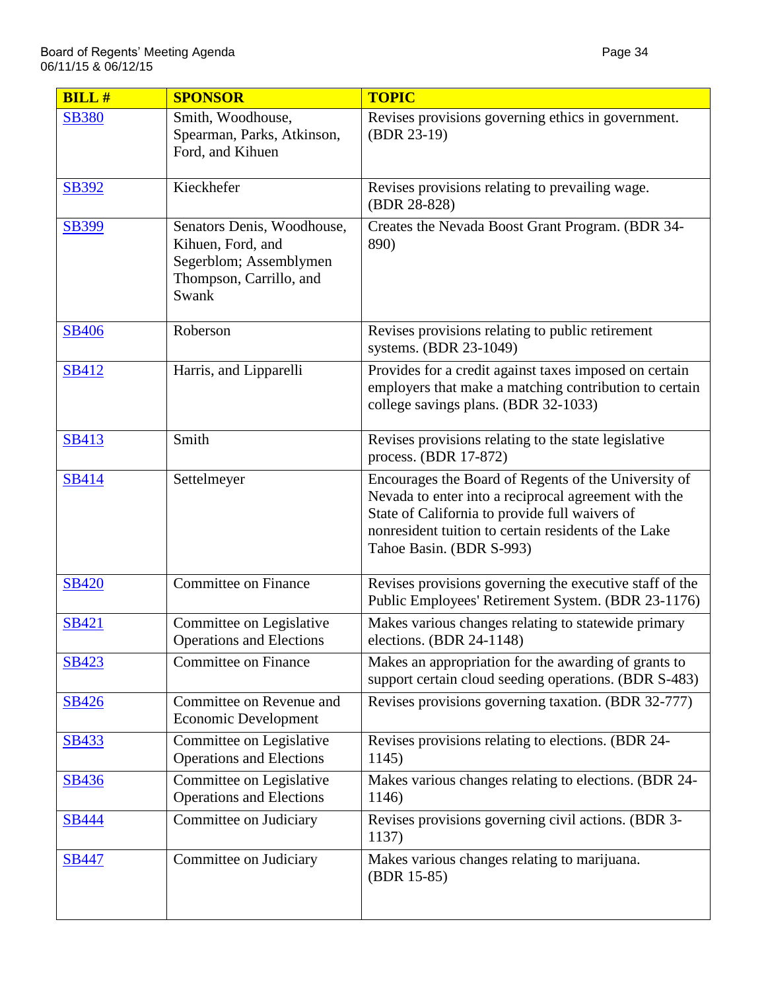| $BILL$ #     | <b>SPONSOR</b>                                                                                                | <b>TOPIC</b>                                                                                                                                                                                                                                       |
|--------------|---------------------------------------------------------------------------------------------------------------|----------------------------------------------------------------------------------------------------------------------------------------------------------------------------------------------------------------------------------------------------|
| <b>SB380</b> | Smith, Woodhouse,<br>Spearman, Parks, Atkinson,<br>Ford, and Kihuen                                           | Revises provisions governing ethics in government.<br>(BDR 23-19)                                                                                                                                                                                  |
| SB392        | Kieckhefer                                                                                                    | Revises provisions relating to prevailing wage.<br>(BDR 28-828)                                                                                                                                                                                    |
| <b>SB399</b> | Senators Denis, Woodhouse,<br>Kihuen, Ford, and<br>Segerblom; Assemblymen<br>Thompson, Carrillo, and<br>Swank | Creates the Nevada Boost Grant Program. (BDR 34-<br>890)                                                                                                                                                                                           |
| <b>SB406</b> | Roberson                                                                                                      | Revises provisions relating to public retirement<br>systems. (BDR 23-1049)                                                                                                                                                                         |
| <b>SB412</b> | Harris, and Lipparelli                                                                                        | Provides for a credit against taxes imposed on certain<br>employers that make a matching contribution to certain<br>college savings plans. (BDR 32-1033)                                                                                           |
| <b>SB413</b> | Smith                                                                                                         | Revises provisions relating to the state legislative<br>process. (BDR 17-872)                                                                                                                                                                      |
| SB414        | Settelmeyer                                                                                                   | Encourages the Board of Regents of the University of<br>Nevada to enter into a reciprocal agreement with the<br>State of California to provide full waivers of<br>nonresident tuition to certain residents of the Lake<br>Tahoe Basin. (BDR S-993) |
| <b>SB420</b> | <b>Committee on Finance</b>                                                                                   | Revises provisions governing the executive staff of the<br>Public Employees' Retirement System. (BDR 23-1176)                                                                                                                                      |
| <b>SB421</b> | Committee on Legislative<br><b>Operations and Elections</b>                                                   | Makes various changes relating to statewide primary<br>elections. (BDR 24-1148)                                                                                                                                                                    |
| <b>SB423</b> | <b>Committee on Finance</b>                                                                                   | Makes an appropriation for the awarding of grants to<br>support certain cloud seeding operations. (BDR S-483)                                                                                                                                      |
| <b>SB426</b> | Committee on Revenue and<br><b>Economic Development</b>                                                       | Revises provisions governing taxation. (BDR 32-777)                                                                                                                                                                                                |
| <b>SB433</b> | Committee on Legislative<br><b>Operations and Elections</b>                                                   | Revises provisions relating to elections. (BDR 24-<br>1145)                                                                                                                                                                                        |
| <b>SB436</b> | Committee on Legislative<br><b>Operations and Elections</b>                                                   | Makes various changes relating to elections. (BDR 24-<br>1146)                                                                                                                                                                                     |
| <b>SB444</b> | Committee on Judiciary                                                                                        | Revises provisions governing civil actions. (BDR 3-<br>1137)                                                                                                                                                                                       |
| <b>SB447</b> | Committee on Judiciary                                                                                        | Makes various changes relating to marijuana.<br>(BDR 15-85)                                                                                                                                                                                        |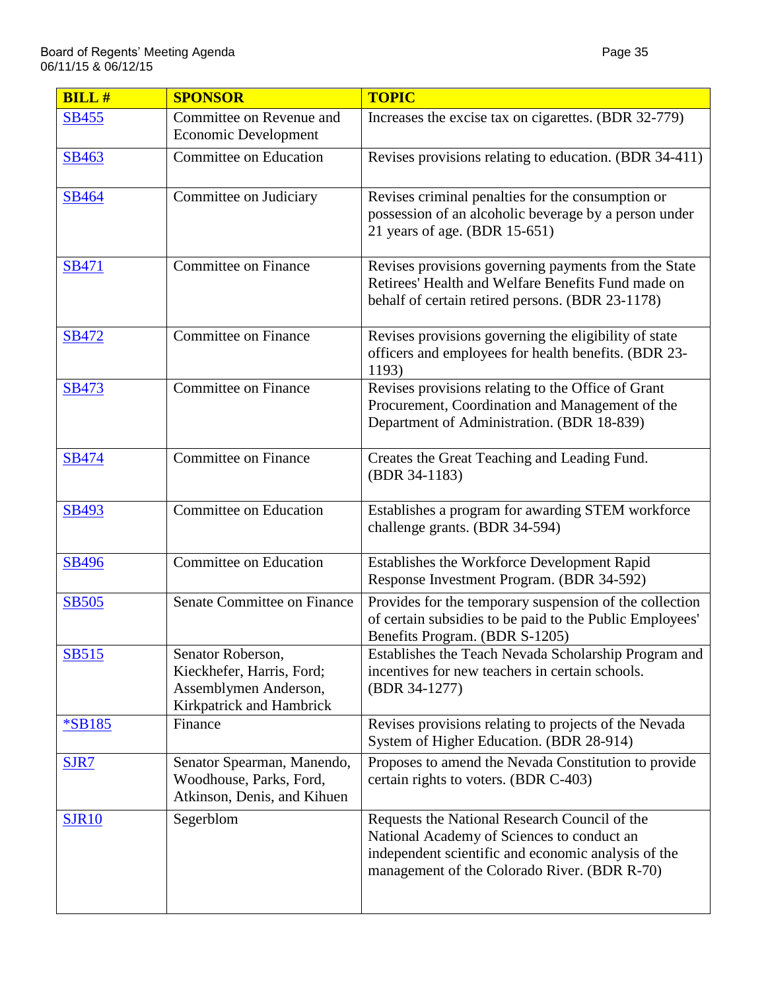| <b>BILL#</b> | <b>SPONSOR</b>                                                                                      | <b>TOPIC</b>                                                                                                                                                                                       |
|--------------|-----------------------------------------------------------------------------------------------------|----------------------------------------------------------------------------------------------------------------------------------------------------------------------------------------------------|
| <b>SB455</b> | Committee on Revenue and<br><b>Economic Development</b>                                             | Increases the excise tax on cigarettes. (BDR 32-779)                                                                                                                                               |
| SB463        | Committee on Education                                                                              | Revises provisions relating to education. (BDR 34-411)                                                                                                                                             |
| <b>SB464</b> | Committee on Judiciary                                                                              | Revises criminal penalties for the consumption or<br>possession of an alcoholic beverage by a person under<br>21 years of age. (BDR 15-651)                                                        |
| <b>SB471</b> | <b>Committee on Finance</b>                                                                         | Revises provisions governing payments from the State<br>Retirees' Health and Welfare Benefits Fund made on<br>behalf of certain retired persons. (BDR 23-1178)                                     |
| <b>SB472</b> | <b>Committee on Finance</b>                                                                         | Revises provisions governing the eligibility of state<br>officers and employees for health benefits. (BDR 23-<br>1193)                                                                             |
| SB473        | <b>Committee on Finance</b>                                                                         | Revises provisions relating to the Office of Grant<br>Procurement, Coordination and Management of the<br>Department of Administration. (BDR 18-839)                                                |
| <b>SB474</b> | <b>Committee on Finance</b>                                                                         | Creates the Great Teaching and Leading Fund.<br>(BDR 34-1183)                                                                                                                                      |
| SB493        | Committee on Education                                                                              | Establishes a program for awarding STEM workforce<br>challenge grants. (BDR 34-594)                                                                                                                |
| <b>SB496</b> | Committee on Education                                                                              | Establishes the Workforce Development Rapid<br>Response Investment Program. (BDR 34-592)                                                                                                           |
| <b>SB505</b> | Senate Committee on Finance                                                                         | Provides for the temporary suspension of the collection<br>of certain subsidies to be paid to the Public Employees'<br>Benefits Program. (BDR S-1205)                                              |
| <u>SB515</u> | Senator Roberson,<br>Kieckhefer, Harris, Ford;<br>Assemblymen Anderson,<br>Kirkpatrick and Hambrick | Establishes the Teach Nevada Scholarship Program and<br>incentives for new teachers in certain schools.<br>(BDR 34-1277)                                                                           |
| *SB185       | Finance                                                                                             | Revises provisions relating to projects of the Nevada<br>System of Higher Education. (BDR 28-914)                                                                                                  |
| SJR7         | Senator Spearman, Manendo,<br>Woodhouse, Parks, Ford,<br>Atkinson, Denis, and Kihuen                | Proposes to amend the Nevada Constitution to provide<br>certain rights to voters. (BDR C-403)                                                                                                      |
| <b>SJR10</b> | Segerblom                                                                                           | Requests the National Research Council of the<br>National Academy of Sciences to conduct an<br>independent scientific and economic analysis of the<br>management of the Colorado River. (BDR R-70) |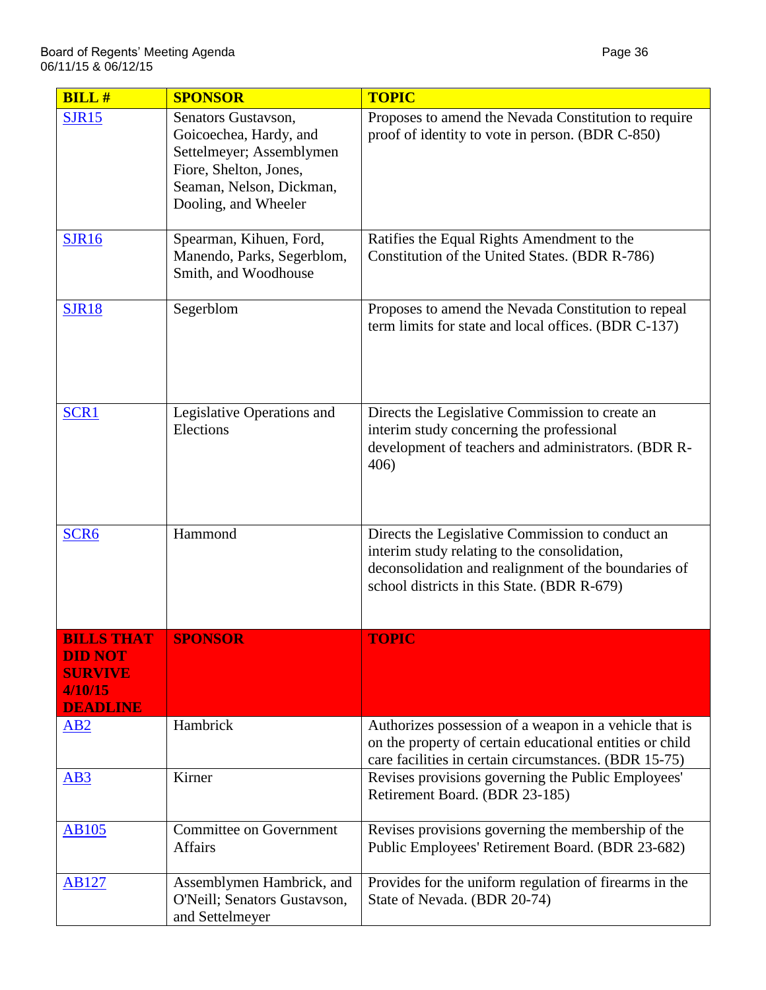| <b>BILL#</b>                                                                        | <b>SPONSOR</b>                                                                                                                                          | <b>TOPIC</b>                                                                                                                                                                                            |
|-------------------------------------------------------------------------------------|---------------------------------------------------------------------------------------------------------------------------------------------------------|---------------------------------------------------------------------------------------------------------------------------------------------------------------------------------------------------------|
| <b>SJR15</b>                                                                        | Senators Gustavson,<br>Goicoechea, Hardy, and<br>Settelmeyer; Assemblymen<br>Fiore, Shelton, Jones,<br>Seaman, Nelson, Dickman,<br>Dooling, and Wheeler | Proposes to amend the Nevada Constitution to require<br>proof of identity to vote in person. (BDR C-850)                                                                                                |
| <b>SJR16</b>                                                                        | Spearman, Kihuen, Ford,<br>Manendo, Parks, Segerblom,<br>Smith, and Woodhouse                                                                           | Ratifies the Equal Rights Amendment to the<br>Constitution of the United States. (BDR R-786)                                                                                                            |
| <b>SJR18</b>                                                                        | Segerblom                                                                                                                                               | Proposes to amend the Nevada Constitution to repeal<br>term limits for state and local offices. (BDR C-137)                                                                                             |
| SCR1                                                                                | Legislative Operations and<br>Elections                                                                                                                 | Directs the Legislative Commission to create an<br>interim study concerning the professional<br>development of teachers and administrators. (BDR R-<br>406)                                             |
| SCR <sub>6</sub>                                                                    | Hammond                                                                                                                                                 | Directs the Legislative Commission to conduct an<br>interim study relating to the consolidation,<br>deconsolidation and realignment of the boundaries of<br>school districts in this State. (BDR R-679) |
| <b>BILLS THAT</b><br><b>DID NOT</b><br><b>SURVIVE</b><br>4/10/15<br><b>DEADLINE</b> | <b>SPONSOR</b>                                                                                                                                          | <b>TOPIC</b>                                                                                                                                                                                            |
| AB2                                                                                 | Hambrick                                                                                                                                                | Authorizes possession of a weapon in a vehicle that is<br>on the property of certain educational entities or child<br>care facilities in certain circumstances. (BDR 15-75)                             |
| AB3                                                                                 | Kirner                                                                                                                                                  | Revises provisions governing the Public Employees'<br>Retirement Board. (BDR 23-185)                                                                                                                    |
| <b>AB105</b>                                                                        | <b>Committee on Government</b><br><b>Affairs</b>                                                                                                        | Revises provisions governing the membership of the<br>Public Employees' Retirement Board. (BDR 23-682)                                                                                                  |
| <b>AB127</b>                                                                        | Assemblymen Hambrick, and<br>O'Neill; Senators Gustavson,<br>and Settelmeyer                                                                            | Provides for the uniform regulation of firearms in the<br>State of Nevada. (BDR 20-74)                                                                                                                  |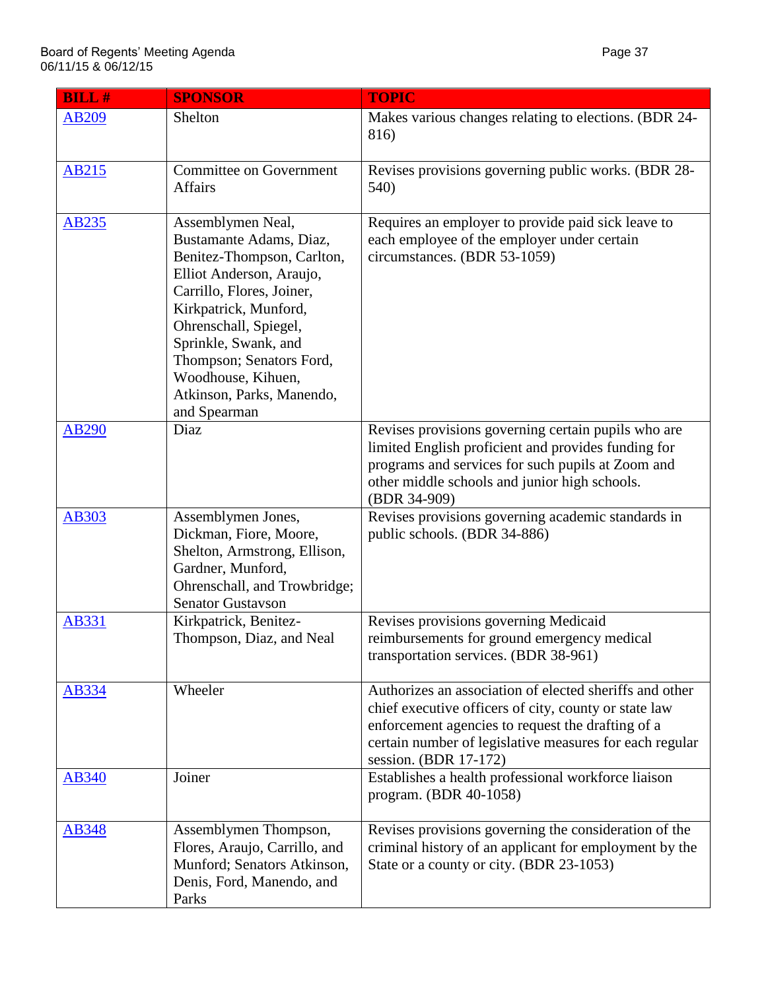| <b>BILL#</b> | <b>SPONSOR</b>                                                                                                                                                                                                                                                                                               | <b>TOPIC</b>                                                                                                                                                                                                                                              |
|--------------|--------------------------------------------------------------------------------------------------------------------------------------------------------------------------------------------------------------------------------------------------------------------------------------------------------------|-----------------------------------------------------------------------------------------------------------------------------------------------------------------------------------------------------------------------------------------------------------|
| <b>AB209</b> | Shelton                                                                                                                                                                                                                                                                                                      | Makes various changes relating to elections. (BDR 24-<br>816)                                                                                                                                                                                             |
| <b>AB215</b> | <b>Committee on Government</b><br><b>Affairs</b>                                                                                                                                                                                                                                                             | Revises provisions governing public works. (BDR 28-<br>540)                                                                                                                                                                                               |
| <b>AB235</b> | Assemblymen Neal,<br>Bustamante Adams, Diaz,<br>Benitez-Thompson, Carlton,<br>Elliot Anderson, Araujo,<br>Carrillo, Flores, Joiner,<br>Kirkpatrick, Munford,<br>Ohrenschall, Spiegel,<br>Sprinkle, Swank, and<br>Thompson; Senators Ford,<br>Woodhouse, Kihuen,<br>Atkinson, Parks, Manendo,<br>and Spearman | Requires an employer to provide paid sick leave to<br>each employee of the employer under certain<br>circumstances. (BDR 53-1059)                                                                                                                         |
| <b>AB290</b> | Diaz                                                                                                                                                                                                                                                                                                         | Revises provisions governing certain pupils who are<br>limited English proficient and provides funding for<br>programs and services for such pupils at Zoom and<br>other middle schools and junior high schools.<br>(BDR 34-909)                          |
| AB303        | Assemblymen Jones,<br>Dickman, Fiore, Moore,<br>Shelton, Armstrong, Ellison,<br>Gardner, Munford,<br>Ohrenschall, and Trowbridge;<br><b>Senator Gustavson</b>                                                                                                                                                | Revises provisions governing academic standards in<br>public schools. (BDR 34-886)                                                                                                                                                                        |
| <b>AB331</b> | Kirkpatrick, Benitez-<br>Thompson, Diaz, and Neal                                                                                                                                                                                                                                                            | Revises provisions governing Medicaid<br>reimbursements for ground emergency medical<br>transportation services. (BDR 38-961)                                                                                                                             |
| AB334        | Wheeler                                                                                                                                                                                                                                                                                                      | Authorizes an association of elected sheriffs and other<br>chief executive officers of city, county or state law<br>enforcement agencies to request the drafting of a<br>certain number of legislative measures for each regular<br>session. (BDR 17-172) |
| <b>AB340</b> | Joiner                                                                                                                                                                                                                                                                                                       | Establishes a health professional workforce liaison<br>program. (BDR 40-1058)                                                                                                                                                                             |
| <b>AB348</b> | Assemblymen Thompson,<br>Flores, Araujo, Carrillo, and<br>Munford; Senators Atkinson,<br>Denis, Ford, Manendo, and<br>Parks                                                                                                                                                                                  | Revises provisions governing the consideration of the<br>criminal history of an applicant for employment by the<br>State or a county or city. (BDR 23-1053)                                                                                               |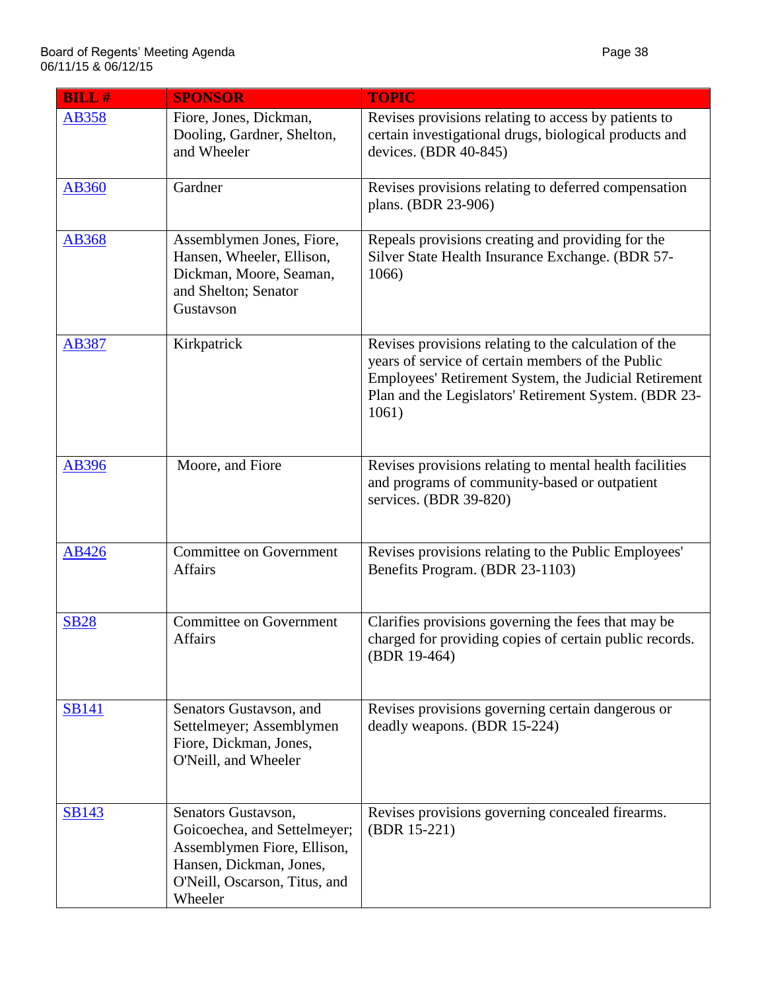| <b>BILL#</b> | <b>SPONSOR</b>                                                                                                                                            | <b>TOPIC</b>                                                                                                                                                                                                                          |
|--------------|-----------------------------------------------------------------------------------------------------------------------------------------------------------|---------------------------------------------------------------------------------------------------------------------------------------------------------------------------------------------------------------------------------------|
| <b>AB358</b> | Fiore, Jones, Dickman,<br>Dooling, Gardner, Shelton,<br>and Wheeler                                                                                       | Revises provisions relating to access by patients to<br>certain investigational drugs, biological products and<br>devices. (BDR 40-845)                                                                                               |
| <b>AB360</b> | Gardner                                                                                                                                                   | Revises provisions relating to deferred compensation<br>plans. (BDR 23-906)                                                                                                                                                           |
| <b>AB368</b> | Assemblymen Jones, Fiore,<br>Hansen, Wheeler, Ellison,<br>Dickman, Moore, Seaman,<br>and Shelton; Senator<br>Gustavson                                    | Repeals provisions creating and providing for the<br>Silver State Health Insurance Exchange. (BDR 57-<br>1066)                                                                                                                        |
| <b>AB387</b> | Kirkpatrick                                                                                                                                               | Revises provisions relating to the calculation of the<br>years of service of certain members of the Public<br>Employees' Retirement System, the Judicial Retirement<br>Plan and the Legislators' Retirement System. (BDR 23-<br>1061) |
| <b>AB396</b> | Moore, and Fiore                                                                                                                                          | Revises provisions relating to mental health facilities<br>and programs of community-based or outpatient<br>services. (BDR 39-820)                                                                                                    |
| AB426        | <b>Committee on Government</b><br><b>Affairs</b>                                                                                                          | Revises provisions relating to the Public Employees'<br>Benefits Program. (BDR 23-1103)                                                                                                                                               |
| <b>SB28</b>  | <b>Committee on Government</b><br><b>Affairs</b>                                                                                                          | Clarifies provisions governing the fees that may be<br>charged for providing copies of certain public records.<br>(BDR 19-464)                                                                                                        |
| <b>SB141</b> | Senators Gustavson, and<br>Settelmeyer; Assemblymen<br>Fiore, Dickman, Jones,<br>O'Neill, and Wheeler                                                     | Revises provisions governing certain dangerous or<br>deadly weapons. (BDR 15-224)                                                                                                                                                     |
| <b>SB143</b> | Senators Gustavson,<br>Goicoechea, and Settelmeyer;<br>Assemblymen Fiore, Ellison,<br>Hansen, Dickman, Jones,<br>O'Neill, Oscarson, Titus, and<br>Wheeler | Revises provisions governing concealed firearms.<br>(BDR 15-221)                                                                                                                                                                      |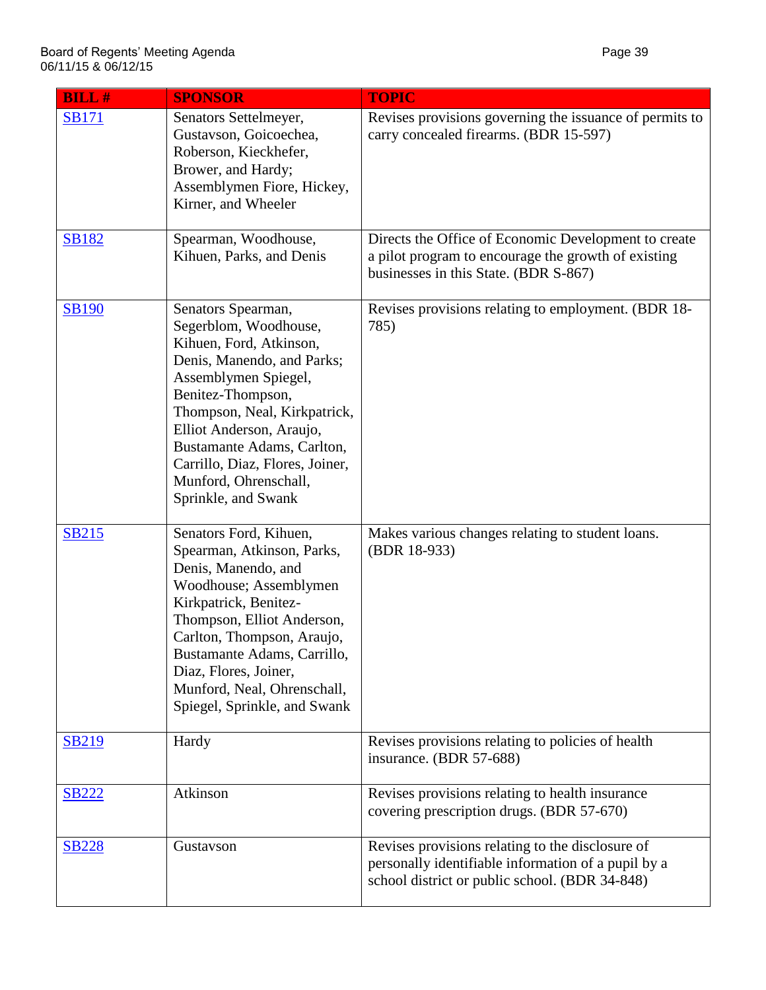| <b>BILL#</b> | <b>SPONSOR</b>                                                                                                                                                                                                                                                                                                                 | <b>TOPIC</b>                                                                                                                                              |
|--------------|--------------------------------------------------------------------------------------------------------------------------------------------------------------------------------------------------------------------------------------------------------------------------------------------------------------------------------|-----------------------------------------------------------------------------------------------------------------------------------------------------------|
| <b>SB171</b> | Senators Settelmeyer,<br>Gustavson, Goicoechea,<br>Roberson, Kieckhefer,<br>Brower, and Hardy;<br>Assemblymen Fiore, Hickey,<br>Kirner, and Wheeler                                                                                                                                                                            | Revises provisions governing the issuance of permits to<br>carry concealed firearms. (BDR 15-597)                                                         |
| <b>SB182</b> | Spearman, Woodhouse,<br>Kihuen, Parks, and Denis                                                                                                                                                                                                                                                                               | Directs the Office of Economic Development to create<br>a pilot program to encourage the growth of existing<br>businesses in this State. (BDR S-867)      |
| <b>SB190</b> | Senators Spearman,<br>Segerblom, Woodhouse,<br>Kihuen, Ford, Atkinson,<br>Denis, Manendo, and Parks;<br>Assemblymen Spiegel,<br>Benitez-Thompson,<br>Thompson, Neal, Kirkpatrick,<br>Elliot Anderson, Araujo,<br>Bustamante Adams, Carlton,<br>Carrillo, Diaz, Flores, Joiner,<br>Munford, Ohrenschall,<br>Sprinkle, and Swank | Revises provisions relating to employment. (BDR 18-<br>785)                                                                                               |
| <u>SB215</u> | Senators Ford, Kihuen,<br>Spearman, Atkinson, Parks,<br>Denis, Manendo, and<br>Woodhouse; Assemblymen<br>Kirkpatrick, Benitez-<br>Thompson, Elliot Anderson,<br>Carlton, Thompson, Araujo,<br>Bustamante Adams, Carrillo,<br>Diaz, Flores, Joiner,<br>Munford, Neal, Ohrenschall,<br>Spiegel, Sprinkle, and Swank              | Makes various changes relating to student loans.<br>(BDR 18-933)                                                                                          |
| <b>SB219</b> | Hardy                                                                                                                                                                                                                                                                                                                          | Revises provisions relating to policies of health<br>insurance. (BDR 57-688)                                                                              |
| <b>SB222</b> | Atkinson                                                                                                                                                                                                                                                                                                                       | Revises provisions relating to health insurance<br>covering prescription drugs. (BDR 57-670)                                                              |
| <b>SB228</b> | Gustavson                                                                                                                                                                                                                                                                                                                      | Revises provisions relating to the disclosure of<br>personally identifiable information of a pupil by a<br>school district or public school. (BDR 34-848) |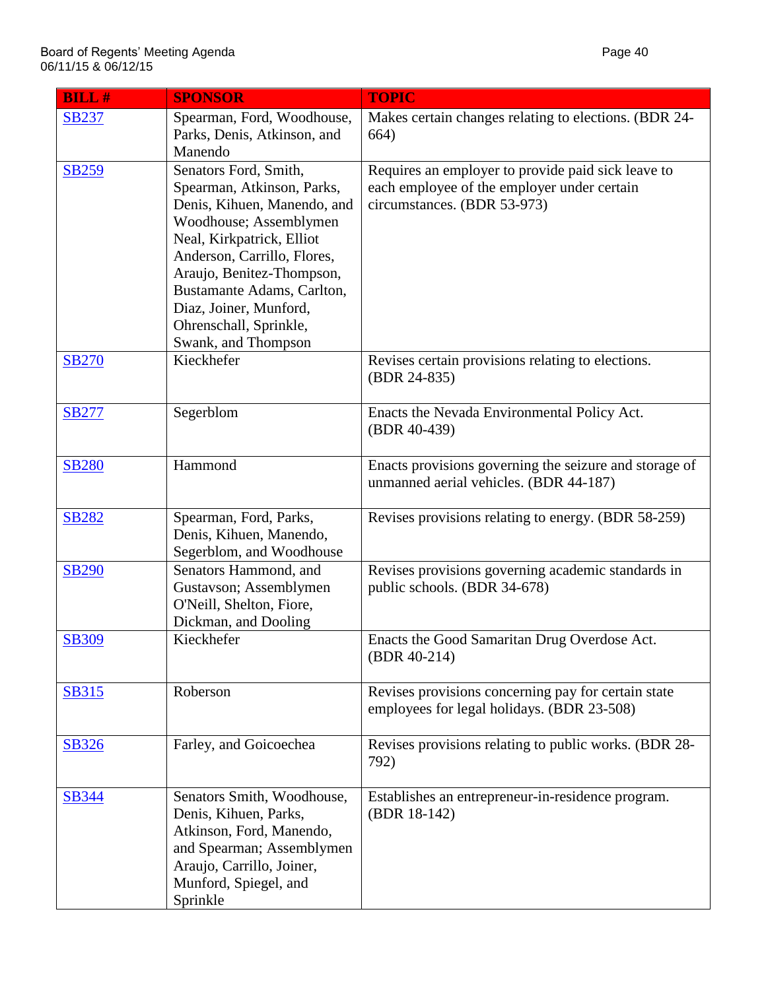| <b>BILL#</b> | <b>SPONSOR</b>                                                                                                                                                                                                                                                                          | <b>TOPIC</b>                                                                                                                     |
|--------------|-----------------------------------------------------------------------------------------------------------------------------------------------------------------------------------------------------------------------------------------------------------------------------------------|----------------------------------------------------------------------------------------------------------------------------------|
| <b>SB237</b> | Spearman, Ford, Woodhouse,<br>Parks, Denis, Atkinson, and                                                                                                                                                                                                                               | Makes certain changes relating to elections. (BDR 24-<br>664)                                                                    |
|              | Manendo                                                                                                                                                                                                                                                                                 |                                                                                                                                  |
| <b>SB259</b> | Senators Ford, Smith,<br>Spearman, Atkinson, Parks,<br>Denis, Kihuen, Manendo, and<br>Woodhouse; Assemblymen<br>Neal, Kirkpatrick, Elliot<br>Anderson, Carrillo, Flores,<br>Araujo, Benitez-Thompson,<br>Bustamante Adams, Carlton,<br>Diaz, Joiner, Munford,<br>Ohrenschall, Sprinkle, | Requires an employer to provide paid sick leave to<br>each employee of the employer under certain<br>circumstances. (BDR 53-973) |
|              | Swank, and Thompson                                                                                                                                                                                                                                                                     |                                                                                                                                  |
| <b>SB270</b> | Kieckhefer                                                                                                                                                                                                                                                                              | Revises certain provisions relating to elections.<br>(BDR 24-835)                                                                |
| <b>SB277</b> | Segerblom                                                                                                                                                                                                                                                                               | Enacts the Nevada Environmental Policy Act.<br>(BDR 40-439)                                                                      |
| <b>SB280</b> | Hammond                                                                                                                                                                                                                                                                                 | Enacts provisions governing the seizure and storage of<br>unmanned aerial vehicles. (BDR 44-187)                                 |
| <b>SB282</b> | Spearman, Ford, Parks,<br>Denis, Kihuen, Manendo,<br>Segerblom, and Woodhouse                                                                                                                                                                                                           | Revises provisions relating to energy. (BDR 58-259)                                                                              |
| <b>SB290</b> | Senators Hammond, and<br>Gustavson; Assemblymen<br>O'Neill, Shelton, Fiore,<br>Dickman, and Dooling                                                                                                                                                                                     | Revises provisions governing academic standards in<br>public schools. (BDR 34-678)                                               |
| <b>SB309</b> | Kieckhefer                                                                                                                                                                                                                                                                              | Enacts the Good Samaritan Drug Overdose Act.<br>$(BDR 40-214)$                                                                   |
| <b>SB315</b> | Roberson                                                                                                                                                                                                                                                                                | Revises provisions concerning pay for certain state<br>employees for legal holidays. (BDR 23-508)                                |
| <b>SB326</b> | Farley, and Goicoechea                                                                                                                                                                                                                                                                  | Revises provisions relating to public works. (BDR 28-<br>792)                                                                    |
| <b>SB344</b> | Senators Smith, Woodhouse,<br>Denis, Kihuen, Parks,<br>Atkinson, Ford, Manendo,<br>and Spearman; Assemblymen<br>Araujo, Carrillo, Joiner,<br>Munford, Spiegel, and<br>Sprinkle                                                                                                          | Establishes an entrepreneur-in-residence program.<br>(BDR 18-142)                                                                |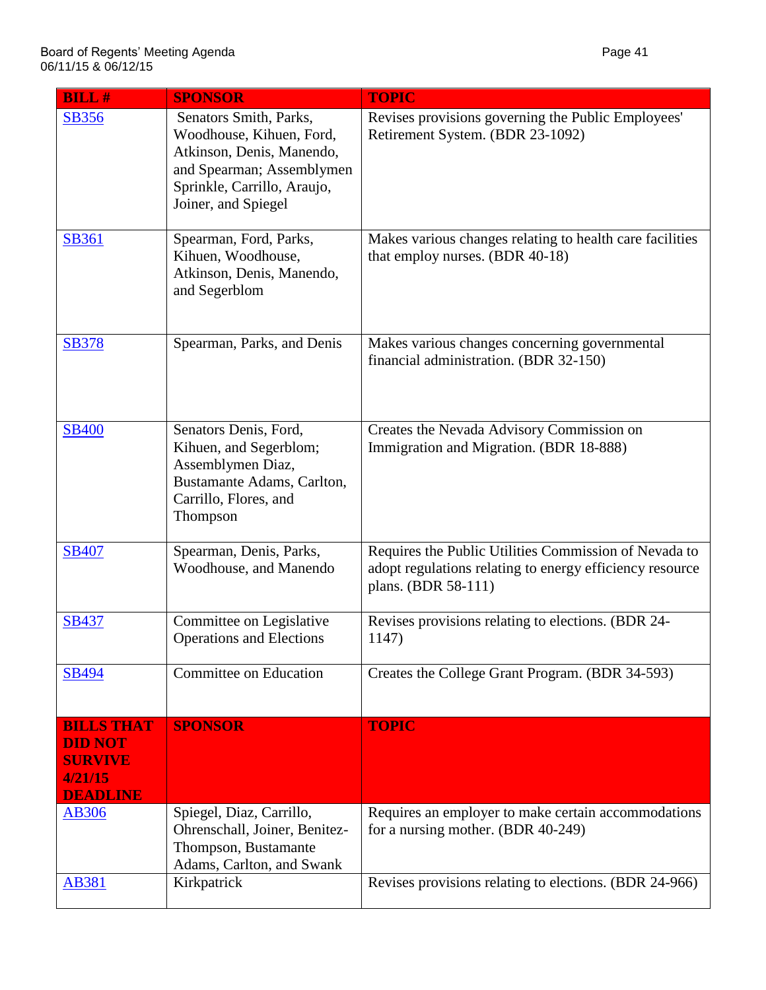| <b>BILL#</b>                                                                        | <b>SPONSOR</b>                                                                                                                                                     | <b>TOPIC</b>                                                                                                                             |
|-------------------------------------------------------------------------------------|--------------------------------------------------------------------------------------------------------------------------------------------------------------------|------------------------------------------------------------------------------------------------------------------------------------------|
| <b>SB356</b>                                                                        | Senators Smith, Parks,<br>Woodhouse, Kihuen, Ford,<br>Atkinson, Denis, Manendo,<br>and Spearman; Assemblymen<br>Sprinkle, Carrillo, Araujo,<br>Joiner, and Spiegel | Revises provisions governing the Public Employees'<br>Retirement System. (BDR 23-1092)                                                   |
| <b>SB361</b>                                                                        | Spearman, Ford, Parks,<br>Kihuen, Woodhouse,<br>Atkinson, Denis, Manendo,<br>and Segerblom                                                                         | Makes various changes relating to health care facilities<br>that employ nurses. (BDR 40-18)                                              |
| <b>SB378</b>                                                                        | Spearman, Parks, and Denis                                                                                                                                         | Makes various changes concerning governmental<br>financial administration. (BDR 32-150)                                                  |
| <b>SB400</b>                                                                        | Senators Denis, Ford,<br>Kihuen, and Segerblom;<br>Assemblymen Diaz,<br>Bustamante Adams, Carlton,<br>Carrillo, Flores, and<br>Thompson                            | Creates the Nevada Advisory Commission on<br>Immigration and Migration. (BDR 18-888)                                                     |
| <b>SB407</b>                                                                        | Spearman, Denis, Parks,<br>Woodhouse, and Manendo                                                                                                                  | Requires the Public Utilities Commission of Nevada to<br>adopt regulations relating to energy efficiency resource<br>plans. (BDR 58-111) |
| <b>SB437</b>                                                                        | Committee on Legislative<br><b>Operations and Elections</b>                                                                                                        | Revises provisions relating to elections. (BDR 24-<br>1147)                                                                              |
| <b>SB494</b>                                                                        | Committee on Education                                                                                                                                             | Creates the College Grant Program. (BDR 34-593)                                                                                          |
| <b>BILLS THAT</b><br><b>DID NOT</b><br><b>SURVIVE</b><br>4/21/15<br><b>DEADLINE</b> | <b>SPONSOR</b>                                                                                                                                                     | <b>TOPIC</b>                                                                                                                             |
| <b>AB306</b>                                                                        | Spiegel, Diaz, Carrillo,<br>Ohrenschall, Joiner, Benitez-<br>Thompson, Bustamante<br>Adams, Carlton, and Swank                                                     | Requires an employer to make certain accommodations<br>for a nursing mother. (BDR 40-249)                                                |
| <b>AB381</b>                                                                        | Kirkpatrick                                                                                                                                                        | Revises provisions relating to elections. (BDR 24-966)                                                                                   |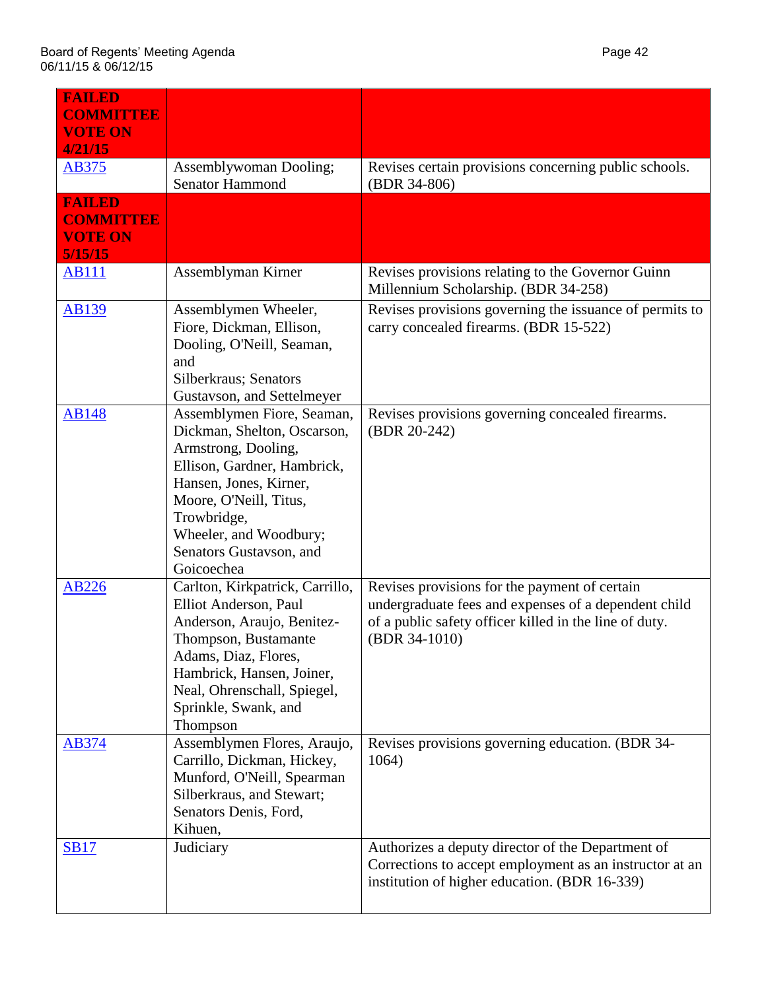| <b>FAILED</b><br><b>COMMITTEE</b><br><b>VOTE ON</b><br>4/21/15 |                                                                                                                                                                                                                                                       |                                                                                                                                                                                  |
|----------------------------------------------------------------|-------------------------------------------------------------------------------------------------------------------------------------------------------------------------------------------------------------------------------------------------------|----------------------------------------------------------------------------------------------------------------------------------------------------------------------------------|
| <b>AB375</b>                                                   | Assemblywoman Dooling;<br>Senator Hammond                                                                                                                                                                                                             | Revises certain provisions concerning public schools.<br>(BDR 34-806)                                                                                                            |
| <b>FAILED</b><br><b>COMMITTEE</b><br><b>VOTE ON</b><br>5/15/15 |                                                                                                                                                                                                                                                       |                                                                                                                                                                                  |
| <b>AB111</b>                                                   | Assemblyman Kirner                                                                                                                                                                                                                                    | Revises provisions relating to the Governor Guinn<br>Millennium Scholarship. (BDR 34-258)                                                                                        |
| <b>AB139</b>                                                   | Assemblymen Wheeler,<br>Fiore, Dickman, Ellison,<br>Dooling, O'Neill, Seaman,<br>and<br>Silberkraus; Senators<br>Gustavson, and Settelmeyer                                                                                                           | Revises provisions governing the issuance of permits to<br>carry concealed firearms. (BDR 15-522)                                                                                |
| <b>AB148</b>                                                   | Assemblymen Fiore, Seaman,<br>Dickman, Shelton, Oscarson,<br>Armstrong, Dooling,<br>Ellison, Gardner, Hambrick,<br>Hansen, Jones, Kirner,<br>Moore, O'Neill, Titus,<br>Trowbridge,<br>Wheeler, and Woodbury;<br>Senators Gustavson, and<br>Goicoechea | Revises provisions governing concealed firearms.<br>(BDR 20-242)                                                                                                                 |
| <b>AB226</b>                                                   | Carlton, Kirkpatrick, Carrillo,<br>Elliot Anderson, Paul<br>Anderson, Araujo, Benitez-<br>Thompson, Bustamante<br>Adams, Diaz, Flores,<br>Hambrick, Hansen, Joiner,<br>Neal, Ohrenschall, Spiegel,<br>Sprinkle, Swank, and<br>Thompson                | Revises provisions for the payment of certain<br>undergraduate fees and expenses of a dependent child<br>of a public safety officer killed in the line of duty.<br>(BDR 34-1010) |
| AB374                                                          | Assemblymen Flores, Araujo,<br>Carrillo, Dickman, Hickey,<br>Munford, O'Neill, Spearman<br>Silberkraus, and Stewart;<br>Senators Denis, Ford,<br>Kihuen,                                                                                              | Revises provisions governing education. (BDR 34-<br>1064)                                                                                                                        |
| <b>SB17</b>                                                    | Judiciary                                                                                                                                                                                                                                             | Authorizes a deputy director of the Department of<br>Corrections to accept employment as an instructor at an<br>institution of higher education. (BDR 16-339)                    |